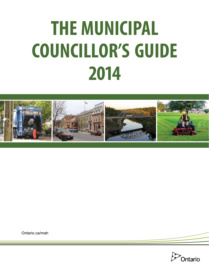# **THE MUNICIPAL COUNCILLOR'S GUIDE 2014**



[Ontario.ca/mah](http://www.ontario.ca/mah)

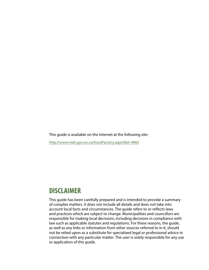This guide is available on the Internet at the following site:

http://www.mah.gov.on.ca/AssetFactory.aspx?did=4965

# **DISCLAIMER**

This guide has been carefully prepared and is intended to provide a summary of complex matters. It does not include all details and does not take into account local facts and circumstances. The guide refers to or reflects laws and practices which are subject to change. Municipalities and councillors are responsible for making local decisions, including decisions in compliance with law such as applicable statutes and regulations. For these reasons, the guide, as well as any links or information from other sources referred to in it, should not be relied upon as a substitute for specialized legal or professional advice in connection with any particular matter. The user is solely responsible for any use or application of this guide.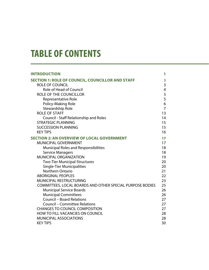# **TABLE OF CONTENTS**

| <b>INTRODUCTION</b>                                       | 1                       |
|-----------------------------------------------------------|-------------------------|
| <b>SECTION 1: ROLE OF COUNCIL, COUNCILLOR AND STAFF</b>   | 3                       |
| <b>ROLE OF COUNCIL</b>                                    | 3                       |
| <b>Role of Head of Council</b>                            | $\overline{\mathbf{4}}$ |
| <b>ROLE OF THE COUNCILLOR</b>                             | 5                       |
| Representative Role                                       | 5                       |
| Policy-Making Role                                        | 6                       |
| Stewardship Role                                          | $\overline{7}$          |
| <b>ROLE OF STAFF</b>                                      | 13                      |
| Council - Staff Relationship and Roles                    | 14                      |
| <b>STRATEGIC PLANNING</b>                                 | 15                      |
| <b>SUCCESSION PLANNING</b>                                | 15                      |
| <b>KEY TIPS</b>                                           | 16                      |
| <b>SECTION 2: AN OVERVIEW OF LOCAL GOVERNMENT</b>         | 17                      |
| MUNICIPAL GOVERNMENT                                      | 17                      |
| Municipal Roles and Responsibilities                      | 18                      |
| <b>Service Managers</b>                                   | 18                      |
| <b>MUNICIPAL ORGANIZATION</b>                             | 19                      |
| <b>Two-Tier Municipal Structures</b>                      | 20                      |
| <b>Single-Tier Municipalities</b>                         | 20                      |
| Northern Ontario                                          | 21                      |
| <b>ABORIGINAL PEOPLES</b>                                 | 22                      |
| <b>MUNICIPAL RESTRUCTURING</b>                            | 23                      |
| COMMITTEES, LOCAL BOARDS AND OTHER SPECIAL PURPOSE BODIES | 25                      |
| <b>Municipal Service Boards</b>                           | 26                      |
| <b>Municipal Committees</b>                               | 26                      |
| <b>Council - Board Relations</b>                          | 27                      |
| <b>Council - Committee Relations</b>                      | 27                      |
| <b>CHANGES TO COUNCIL COMPOSITION</b>                     | 27                      |
| HOW TO FILL VACANCIES ON COUNCIL                          | 28                      |
| <b>MUNICIPAL ASSOCIATIONS</b>                             | 28                      |
| <b>KEY TIPS</b>                                           | 30                      |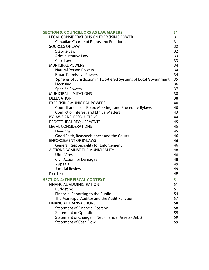| <b>SECTION 3: COUNCILLORS AS LAWMAKERS</b>                        | 31 |
|-------------------------------------------------------------------|----|
| <b>LEGAL CONSIDERATIONS ON EXERCISING POWER</b>                   | 31 |
| <b>Canadian Charter of Rights and Freedoms</b>                    | 31 |
| <b>SOURCES OF LAW</b>                                             | 32 |
| <b>Statute Law</b>                                                | 32 |
| Administrative Law                                                | 33 |
| Case Law                                                          | 33 |
| <b>MUNICIPAL POWERS</b>                                           | 34 |
| <b>Natural Person Powers</b>                                      | 34 |
| <b>Broad Permissive Powers</b>                                    | 34 |
| Spheres of Jurisdiction in Two-tiered Systems of Local Government | 35 |
| Licensing                                                         | 36 |
| <b>Specific Powers</b>                                            | 37 |
| <b>MUNICIPAL LIMITATIONS</b>                                      | 38 |
| <b>DELEGATION</b>                                                 | 38 |
| <b>EXERCISING MUNICIPAL POWERS</b>                                | 40 |
| <b>Council and Local Board Meetings and Procedure Bylaws</b>      | 40 |
| <b>Conflict of Interest and Ethical Matters</b>                   | 43 |
| <b>BYLAWS AND RESOLUTIONS</b>                                     | 44 |
| PROCEDURAL REQUIREMENTS                                           | 45 |
| <b>LEGAL CONSIDERATIONS</b>                                       | 45 |
| Hearings                                                          | 45 |
| Good Faith, Reasonableness and the Courts                         | 46 |
| <b>ENFORCEMENT OF BYLAWS</b>                                      | 46 |
| <b>General Responsibility for Enforcement</b>                     | 46 |
| <b>ACTIONS AGAINST THE MUNICIPALITY</b>                           | 48 |
| <b>Ultra Vires</b>                                                | 48 |
| <b>Civil Action for Damages</b>                                   | 48 |
| Appeals                                                           | 49 |
| <b>Judicial Review</b>                                            | 49 |
| <b>KEY TIPS</b>                                                   | 49 |
| <b>SECTION 4: THE FISCAL CONTEXT</b>                              | 51 |
| FINANCIAL ADMINISTRATION                                          | 51 |
| <b>Budgeting</b>                                                  | 51 |
| <b>Financial Reporting to the Public</b>                          | 54 |
| The Municipal Auditor and the Audit Function                      | 57 |
| <b>FINANCIAL TRANSACTIONS</b>                                     | 58 |
| <b>Statement of Financial Position</b>                            | 58 |
| <b>Statement of Operations</b>                                    | 59 |
| Statement of Change in Net Financial Assets (Debt)                | 59 |
| <b>Statement of Cash Flow</b>                                     | 59 |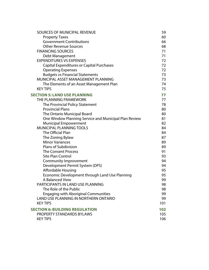| SOURCES OF MUNICIPAL REVENUE                          | 59  |
|-------------------------------------------------------|-----|
| <b>Property Taxes</b>                                 | 60  |
| <b>Government Contributions</b>                       | 66  |
| <b>Other Revenue Sources</b>                          | 68  |
| <b>FINANCING SOURCES</b>                              | 71  |
| Debt Management                                       | 71  |
| <b>EXPENDITURES VS EXPENSES</b>                       | 72  |
| Capital Expenditures or Capital Purchases             | 72  |
| <b>Operating Expenses</b>                             | 72  |
| <b>Budgets vs Financial Statements</b>                | 73  |
| MUNICIPAL ASSET MANAGEMENT PLANNING                   | 73  |
| The Elements of an Asset Management Plan              | 74  |
| <b>KEY TIPS</b>                                       | 75  |
| <b>SECTION 5: LAND USE PLANNING</b>                   | 77  |
| THE PLANNING FRAMEWORK                                | 77  |
| The Provincial Policy Statement                       | 78  |
| <b>Provincial Plans</b>                               | 80  |
| The Ontario Municipal Board                           | 80  |
| One Window Planning Service and Municipal Plan Review | 81  |
| <b>Municipal Empowerment</b>                          | 82  |
| <b>MUNICIPAL PLANNING TOOLS</b>                       | 84  |
| The Official Plan                                     | 84  |
| The Zoning Bylaw                                      | 87  |
| <b>Minor Variances</b>                                | 89  |
| <b>Plans of Subdivision</b>                           | 89  |
| <b>The Consent Process</b>                            | 91  |
| <b>Site Plan Control</b>                              | 93  |
| Community Improvement                                 | 94  |
| Development Permit System (DPS)                       | 94  |
| <b>Affordable Housing</b>                             | 95  |
| Economic Development through Land Use Planning        | 95  |
| A Balanced View                                       | 99  |
| PARTICIPANTS IN LAND USE PLANNING                     | 98  |
| The Role of the Public                                | 98  |
| <b>Engaging with Aboriginal Communities</b>           | 99  |
| LAND USE PLANNING IN NORTHERN ONTARIO                 | 99  |
| <b>KEY TIPS</b>                                       | 101 |
| <b>SECTION 6: BUILDING REGULATION</b>                 | 102 |
| PROPERTY STANDARDS BYLAWS                             | 105 |
| <b>KEY TIPS</b>                                       | 106 |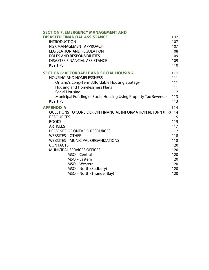| <b>SECTION 7: EMERGENCY MANAGEMENT AND</b>                      |            |
|-----------------------------------------------------------------|------------|
| <b>DISASTER FINANCIAL ASSISTANCE</b>                            | 107        |
| <b>INTRODUCTION</b>                                             | 107        |
| RISK MANAGEMENT APPROACH                                        | 107        |
| <b>LEGISLATION AND REGULATION</b>                               | 108        |
| ROLES AND RESPONSIBILITIES                                      | 109        |
| <b>DISASTER FINANCIAL ASSISTANCE</b>                            | 109        |
| <b>KEY TIPS</b>                                                 | 110        |
| <b>SECTION 8: AFFORDABLE AND SOCIAL HOUSING</b>                 | 111        |
| <b>HOUSING AND HOMELESSNESS</b>                                 | 111        |
| <b>Ontario's Long-Term Affordable Housing Strategy</b>          | 111        |
| Housing and Homelessness Plans                                  | 111        |
| <b>Social Housing</b>                                           | 112        |
| Municipal Funding of Social Housing Using Property Tax Revenue  | 113        |
| <b>KEY TIPS</b>                                                 | 113        |
| <b>APPENDIX A</b>                                               | 114        |
| QUESTIONS TO CONSIDER ON FINANCIAL INFORMATION RETURN (FIR) 114 |            |
| <b>RESOURCES</b>                                                | 115        |
| <b>BOOKS</b>                                                    | 115        |
| <b>ARTICLES</b>                                                 | 117        |
| PROVINCE OF ONTARIO RESOURCES                                   | 117        |
| <b>WEBSITES - OTHER</b>                                         | 118        |
| <b>WEBSITES - MUNICIPAL ORGANIZATIONS</b><br><b>CONTACTS</b>    | 118<br>120 |
| <b>MUNICIPAL SERVICES OFFICES</b>                               | 120        |
| MSO - Central                                                   | 120        |
| MSO - Eastern                                                   | 120        |
| MSO – Western                                                   | 120        |
| MSO - North (Sudbury)                                           | 120        |
| MSO - North (Thunder Bay)                                       | 120        |
|                                                                 |            |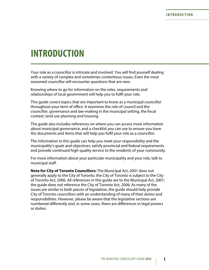# <span id="page-6-0"></span>**INTRODUCTION**

Your role as a councillor is intricate and involved. You will find yourself dealing with a variety of complex and sometimes contentious issues. Even the most seasoned councillor will encounter questions that are new.

Knowing where to go for information on the roles, requirements and relationships of local government will help you to fulfil your role.

This guide covers topics that are important to know as a municipal councillor throughout your term of office. It examines the role of council and the councillor, governance and law-making in the municipal setting, the fiscal context, land use planning and housing.

The guide also includes references on where you can access more information about municipal governance, and a checklist you can use to ensure you have the documents and items that will help you fulfil your role as a councillor.

The information in this guide can help you meet your responsibility and the municipality's goals and objectives, satisfy provincial and federal requirements and provide continued high-quality service to the residents of your community.

For more information about your particular municipality and your role, talk to municipal staff.

**Note for City of Toronto Councillors:** The Municipal Act, 2001 does not generally apply to the City of Toronto; the City of Toronto is subject to the City of Toronto Act, 2006. All references in this guide are to the Municipal Act, 2001; the guide does not reference the City of Toronto Act, 2006. As many of the issues are similar in both pieces of legislation, the guide should help provide City of Toronto councillors with an understanding of many of their duties and responsibilities. However, please be aware that the legislative sections are numbered differently and, in some cases, there are differences in legal powers or duties.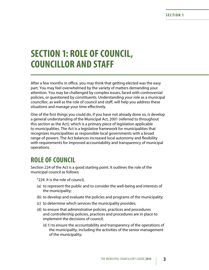# <span id="page-8-0"></span>**SECTION 1: ROLE OF COUNCIL, COUNCILLOR AND STAFF**

After a few months in office, you may think that getting elected was the easy part. You may feel overwhelmed by the variety of matters demanding your attention. You may be challenged by complex issues, faced with controversial policies, or questioned by constituents. Understanding your role as a municipal councillor, as well as the role of council and staff, will help you address these situations and manage your time effectively.

One of the first things you could do, if you have not already done so, is develop a general understanding of the Municipal Act, 2001 (referred to throughout this section as the Act), which is a primary piece of legislation applicable to municipalities. The Act is a legislative framework for municipalities that recognizes municipalities as responsible local governments with a broad range of powers. The Act balances increased local autonomy and flexibility with requirements for improved accountability and transparency of municipal operations.

# **ROLE OF COUNCIL**

Section 224 of the Act is a good starting point. It outlines the role of the municipal council as follows:

"224. It is the role of council,

- (a) to represent the public and to consider the well-being and interests of the municipality;
- (b) to develop and evaluate the policies and programs of the municipality;
- (c) to determine which services the municipality provides;
- (d) to ensure that administrative policies, practices and procedures and controllership policies, practices and procedures are in place to implement the decisions of council;
	- (d.1) to ensure the accountability and transparency of the operations of the municipality, including the activities of the senior management of the municipality;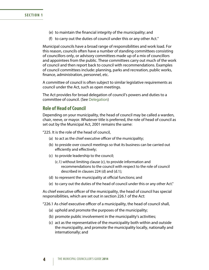- <span id="page-9-0"></span>(e) to maintain the financial integrity of the municipality; and
- (f) to carry out the duties of council under this or any other Act."

Municipal councils have a broad range of responsibilities and work load. For this reason, councils often have a number of standing committees consisting of councillors only, or advisory committees made up of a mix of councillors and appointees from the public. These committees carry out much of the work of council and then report back to council with recommendations. Examples of council committees include: planning, parks and recreation, public works, finance, administration, personnel, etc.

A committee of council is often subject to similar legislative requirements as council under the Act, such as open meetings.

The Act provides for broad delegation of council's powers and duties to a committee of council. (See [Delegation\)](#page-43-1)

### **Role of Head of Council**

Depending on your municipality, the head of council may be called a warden, chair, reeve, or mayor. Whatever title is preferred, the role of head of council as set out by the Municipal Act, 2001 remains the same:

"225. It is the role of the head of council,

- (a) to act as the chief executive officer of the municipality;
- (b) to preside over council meetings so that its business can be carried out efficiently and effectively;
- (c) to provide leadership to the council;
	- (c.1) without limiting clause (c), to provide information and recommendations to the council with respect to the role of council described in clauses 224 (d) and (d.1);
- (d) to represent the municipality at official functions; and
- (e) to carry out the duties of the head of council under this or any other Act."

As chief executive officer of the municipality, the head of council has special responsibilities, which are set out in section 226.1 of the Act:

"226.1 As chief executive officer of a municipality, the head of council shall,

- (a) uphold and promote the purposes of the municipality;
- (b) promote public involvement in the municipality's activities;
- (c) act as the representative of the municipality both within and outside the municipality, and promote the municipality locally, nationally and internationally; and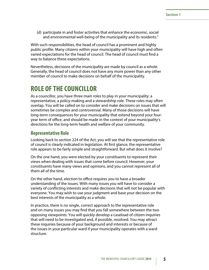<span id="page-10-0"></span>(d) participate in and foster activities that enhance the economic, social and environmental well-being of the municipality and its residents."

With such responsibilities, the head of council has a prominent and highly public profile. Many citizens within your municipality will have high and often varied expectations for the head of council. The head of council must find a way to balance these expectations.

Nevertheless, decisions of the municipality are made by council as a whole. Generally, the head of council does not have any more power than any other member of council to make decisions on behalf of the municipality.

# **ROLE OF THE COUNCILLOR**

As a councillor, you have three main roles to play in your municipality: a representative, a policy-making and a stewardship role. These roles may often overlap. You will be called on to consider and make decisions on issues that will sometimes be complex and controversial. Many of those decisions will have long-term consequences for your municipality that extend beyond your fouryear term of office, and should be made in the context of your municipality's directions for the long-term health and welfare of your community.

### **Representative Role**

Looking back to section 224 of the Act, you will see that the representative role of council is clearly indicated in legislation. At first glance, the representative role appears to be fairly simple and straightforward. But what does it involve?

On the one hand, you were elected by your constituents to represent their views when dealing with issues that come before council. However, your constituents have many views and opinions, and you cannot represent all of them all of the time.

On the other hand, election to office requires you to have a broader understanding of the issues. With many issues you will have to consider a variety of conflicting interests and make decisions that will not be popular with everyone. You may wish to use your judgment and base your decision on the best interests of the municipality as a whole.

In practice, there is no single, correct approach to the representative role and on many issues you may find that you fall somewhere between the two opposing viewpoints. You will quickly develop a caseload of citizen inquiries that will need to be investigated and, if possible, resolved. You may attract these inquiries because of your background and interests or because of the issues in your particular ward if your municipality operates with a ward structure.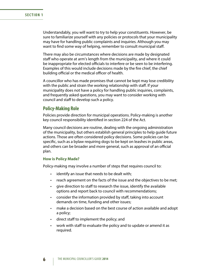<span id="page-11-0"></span>Understandably, you will want to try to help your constituents. However, be sure to familiarize yourself with any policies or protocols that your municipality may have for handling public complaints and inquiries. Although you may want to find some way of helping, remember to consult municipal staff.

There may also be circumstances where decisions are made by designated staff who operate at arm's length from the municipality, and where it could be inappropriate for elected officials to interfere or be seen to be interfering. Examples of this would include decisions made by the fire chief, the chief building official or the medical officer of health.

A councillor who has made promises that cannot be kept may lose credibility with the public and strain the working relationship with staff. If your municipality does not have a policy for handling public inquiries, complaints, and frequently asked questions, you may want to consider working with council and staff to develop such a policy.

### **Policy-Making Role**

Policies provide direction for municipal operations. Policy-making is another key council responsibility identified in section 224 of the Act.

Many council decisions are routine, dealing with the ongoing administration of the municipality, but others establish general principles to help guide future actions. Those are often considered policy decisions. Some policies can be specific, such as a bylaw requiring dogs to be kept on leashes in public areas, and others can be broader and more general, such as approval of an official plan.

#### **How is Policy Made?**

Policy-making may involve a number of steps that requires council to:

- identify an issue that needs to be dealt with;
- reach agreement on the facts of the issue and the objectives to be met;
- give direction to staff to research the issue, identify the available options and report back to council with recommendations;
- consider the information provided by staff, taking into account demands on time, funding and other issues;
- make a decision based on the best course of action available and adopt a policy;
- • direct staff to implement the policy; and
- work with staff to evaluate the policy and to update or amend it as required.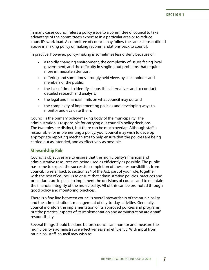<span id="page-12-0"></span>In many cases council refers a policy issue to a committee of council to take advantage of the committee's expertise in a particular area or to reduce council's work load. A committee of council may follow the same steps outlined above in making policy or making recommendations back to council.

In practice, however, policy-making is sometimes less orderly because of:

- a rapidly changing environment, the complexity of issues facing local government, and the difficulty in singling out problems that require more immediate attention;
- • differing and sometimes strongly held views by stakeholders and members of the public;
- the lack of time to identify all possible alternatives and to conduct detailed research and analysis;
- the legal and financial limits on what council may do; and
- the complexity of implementing policies and developing ways to monitor and evaluate them.

Council is the primary policy-making body of the municipality. The administration is responsible for carrying out council's policy decisions. The two roles are distinct, but there can be much overlap. Although staff is responsible for implementing a policy, your council may wish to develop appropriate reporting mechanisms to help ensure that the policies are being carried out as intended, and as effectively as possible.

### **Stewardship Role**

Council's objectives are to ensure that the municipality's financial and administrative resources are being used as efficiently as possible. The public has come to expect the successful completion of these responsibilities from council. To refer back to section 224 of the Act, part of your role, together with the rest of council, is to ensure that administrative policies, practices and procedures are in place to implement the decisions of council and to maintain the financial integrity of the municipality. All of this can be promoted through good policy and monitoring practices.

There is a fine line between council's overall stewardship of the municipality and the administration's management of day-to-day activities. Generally, council monitors the implementation of its approved policies and programs, but the practical aspects of its implementation and administration are a staff responsibility.

Several things should be done before council can monitor and measure the municipality's administrative effectiveness and efficiency. With input from municipal staff, council may wish to: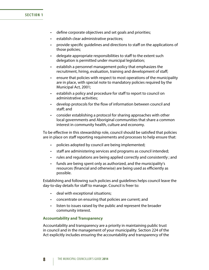### **SECTION 1**

- • define corporate objectives and set goals and priorities;
- • establish clear administrative practices;
- provide specific guidelines and directions to staff on the applications of those policies;
- delegate appropriate responsibilities to staff to the extent such delegation is permitted under municipal legislation;
- • establish a personnel management policy that emphasizes the recruitment, hiring, evaluation, training and development of staff;
- • ensure that policies with respect to most operations of the municipality are in place, with special note to mandatory policies required by the Municipal Act, 2001;
- establish a policy and procedure for staff to report to council on administrative activities;
- • develop protocols for the flow of information between council and staff; and
- consider establishing a protocol for sharing approaches with other local governments and Aboriginal communities that share a common interest in community health, culture and economy.

To be effective in this stewardship role, council should be satisfied that policies are in place on staff reporting requirements and processes to help ensure that:

- policies adopted by council are being implemented;
- staff are administering services and programs as council intended;
- rules and regulations are being applied correctly and consistently; and
- • funds are being spent only as authorized, and the municipality's resources (financial and otherwise) are being used as efficiently as possible.

Establishing and following such policies and guidelines helps council leave the day-to-day details for staff to manage. Council is freer to:

- deal with exceptional situations;
- concentrate on ensuring that policies are current; and
- listen to issues raised by the public and represent the broader community interest.

#### **Accountability and Transparency**

Accountability and transparency are a priority in maintaining public trust in council and in the management of your municipality. Section 224 of the Act explicitly includes ensuring the accountability and transparency of the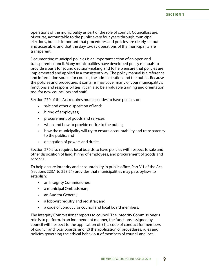operations of the municipality as part of the role of council. Councillors are, of course, accountable to the public every four years through municipal elections, but it is important that procedures and policies are clearly set out and accessible, and that the day-to-day operations of the municipality are transparent.

Documenting municipal policies is an important action of an open and transparent council. Many municipalities have developed policy manuals to provide a basis for sound decision-making and to help ensure that policies are implemented and applied in a consistent way. The policy manual is a reference and information source for council, the administration and the public. Because the policies and procedures it contains may cover many of your municipality's functions and responsibilities, it can also be a valuable training and orientation tool for new councillors and staff.

Section 270 of the Act requires municipalities to have policies on:

- sale and other disposition of land;
- hiring of employees;
- • procurement of goods and services;
- when and how to provide notice to the public;
- how the municipality will try to ensure accountability and transparency to the public; and
- • delegation of powers and duties.

Section 270 also requires local boards to have policies with respect to sale and other disposition of land, hiring of employees, and procurement of goods and services.

To help ensure integrity and accountability in public office, Part V.1 of the Act (sections 223.1 to 223.24) provides that municipalities may pass bylaws to establish:

- an Integrity Commissioner;
- a municipal Ombudsman;
- • an Auditor General;
- • a lobbyist registry and registrar; and
- • a code of conduct for council and local board members.

The Integrity Commissioner reports to council. The Integrity Commissioner's role is to perform, in an independent manner, the functions assigned by council with respect to the application of: (1) a code of conduct for members of council and local boards; and (2) the application of procedures, rules and policies governing the ethical behaviour of members of council and local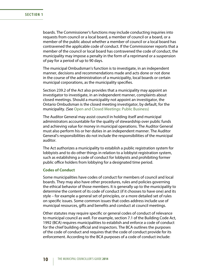boards. The Commissioner's functions may include conducting inquiries into requests from council or a local board, a member of council or a board, or a member of the public about whether a member of council or a local board has contravened the applicable code of conduct. If the Commissioner reports that a member of the council or local board has contravened the code of conduct, the municipality may impose a penalty in the form of a reprimand or a suspension of pay for a period of up to 90 days.

The municipal Ombudsman's function is to investigate, in an independent manner, decisions and recommendations made and acts done or not done in the course of the administration of a municipality, local boards or certain municipal corporations, as the municipality specifies.

Section 239.2 of the Act also provides that a municipality may appoint an investigator to investigate, in an independent manner, complaints about closed meetings. Should a municipality not appoint an investigator, the Ontario Ombudsman is the closed meeting investigator, by default, for the municipality. (See [Open and Closed Meetings: Public Business\)](#page-46-0)

The Auditor General may assist council in holding itself and municipal administrators accountable for the quality of stewardship over public funds and achieving value for money in municipal operations. The Auditor General must also perform his or her duties in an independent manner. The Auditor General's responsibilities do not include the responsibilities of the municipal auditor.

The Act authorizes a municipality to establish a public registration system for lobbyists and to do other things in relation to a lobbyist registration system, such as establishing a code of conduct for lobbyists and prohibiting former public office holders from lobbying for a designated time period.

#### **Codes of Conduct**

Some municipalities have codes of conduct for members of council and local boards. They may also have other procedures, rules and policies governing the ethical behavior of those members. It is generally up to the municipality to determine the content of its code of conduct (if it chooses to have one) and its style – for example a general set of principles, or a more detailed set of rules on specific issues. Some common issues that codes address include use of municipal resources, gifts and benefits and conduct at council meetings.

Other statutes may require specific or general codes of conduct of relevance to municipal council as well. For example, section 7.1 of the Building Code Act, 1992 (BCA) requires municipalities to establish and enforce a code of conduct for the chief building official and inspectors. The BCA outlines the purposes of the code of conduct and requires that the code of conduct provide for its enforcement. According to the BCA purposes of a code of conduct include: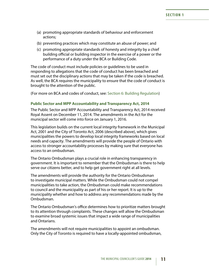- <span id="page-16-0"></span>(a) promoting appropriate standards of behaviour and enforcement actions;
- (b) preventing practices which may constitute an abuse of power; and
- (c) promoting appropriate standards of honesty and integrity by a chief building official or building inspector in the exercise of a power or the performance of a duty under the BCA or Building Code.

The code of conduct must include policies or guidelines to be used in responding to allegations that the code of conduct has been breached and must set out the disciplinary actions that may be taken if the code is breached. As well, the BCA requires the municipality to ensure that the code of conduct is brought to the attention of the public.

(For more on BCA and codes of conduct, see: [Section 6: Building Regulation\)](#page-107-1)

### **Public Sector and MPP Accountability and Transparency Act, 2014**

The Public Sector and MPP Accountability and Transparency Act, 2014 received Royal Assent on December 11, 2014. The amendments in the Act for the municipal sector will come into force on January 1, 2016.

This legislation builds on the current local integrity framework in the Municipal Act, 2001 and the City of Toronto Act, 2006 (described above), which gives municipalities the powers to develop local integrity frameworks based on local needs and capacity. The amendments will provide the people of Ontario with access to stronger accountability processes by making sure that everyone has access to an ombudsman.

The Ontario Ombudsman plays a crucial role in enhancing transparency in government. It is important to remember that the Ombudsman is there to help serve our citizens better, and to help get government right at all levels.

The amendments will provide the authority for the Ontario Ombudsman to investigate municipal matters. While the Ombudsman could not compel municipalities to take action, the Ombudsman could make recommendations to council and the municipality as part of his or her report. It is up to the municipality whether and how to address any recommendations made by the Ombudsman.

The Ontario Ombudsman's office determines how to prioritize matters brought to its attention through complaints. These changes will allow the Ombudsman to examine broad systemic issues that impact a wide range of municipalities and Ontarians.

The amendments will not require municipalities to appoint an ombudsman. Only the City of Toronto is required to have a locally-appointed ombudsman,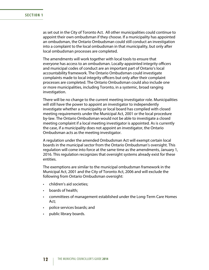as set out in the City of Toronto Act. All other municipalities could continue to appoint their own ombudsman if they choose. If a municipality has appointed an ombudsman, the Ontario Ombudsman could still conduct an investigation into a complaint to the local ombudsman in that municipality, but only after local ombudsman processes are completed.

The amendments will work together with local tools to ensure that everyone has access to an ombudsman. Locally-appointed integrity officers and municipal codes of conduct are an important part of Ontario's local accountability framework. The Ontario Ombudsman could investigate complaints made to local integrity officers but only after their complaint processes are completed. The Ontario Ombudsman could also include one or more municipalities, including Toronto, in a systemic, broad ranging investigation.

There will be no change to the current meeting investigator role. Municipalities will still have the power to appoint an investigator to independently investigate whether a municipality or local board has complied with closed meeting requirements under the Municipal Act, 2001 or the local procedure by-law. The Ontario Ombudsman would not be able to investigate a closed meeting complaint if a local meeting investigator is appointed. As is currently the case, if a municipality does not appoint an investigator, the Ontario Ombudsman acts as the meeting investigator.

A regulation under the amended Ombudsman Act will exempt certain local boards in the municipal sector from the Ontario Ombudsman's oversight. This regulation will come into force at the same time as the amendments, January 1, 2016. This regulation recognizes that oversight systems already exist for these entities.

The exemptions are similar to the municipal ombudsman framework in the Municipal Act, 2001 and the City of Toronto Act, 2006 and will exclude the following from Ontario Ombudsman oversight:

- • children's aid societies;
- • boards of health;
- • committees of management established under the Long-Term Care Homes Act;
- • police services boards; and
- public library boards.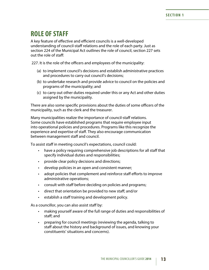# <span id="page-18-0"></span>**ROLE OF STAFF**

A key feature of effective and efficient councils is a well-developed understanding of council-staff relations and the role of each party. Just as section 224 of the Municipal Act outlines the role of council, section 227 sets out the role of staff:

227. It is the role of the officers and employees of the municipality:

- (a) to implement council's decisions and establish administrative practices and procedures to carry out council's decisions;
- (b) to undertake research and provide advice to council on the policies and programs of the municipality; and
- (c) to carry out other duties required under this or any Act and other duties assigned by the municipality.

There are also some specific provisions about the duties of some officers of the municipality, such as the clerk and the treasurer.

Many municipalities realize the importance of council-staff relations. Some councils have established programs that require employee input into operational policies and procedures. Programs like this recognize the experience and expertise of staff. They also encourage communication between management staff and council.

To assist staff in meeting council's expectations, council could:

- have a policy requiring comprehensive job descriptions for all staff that specify individual duties and responsibilities;
- provide clear policy decisions and directions;
- • develop policies in an open and consistent manner;
- adopt policies that complement and reinforce staff efforts to improve administrative operations;
- consult with staff before deciding on policies and programs;
- • direct that orientation be provided to new staff; and/or
- • establish a staff training and development policy.

As a councillor, you can also assist staff by:

- making yourself aware of the full range of duties and responsibilities of staff; and
- preparing for council meetings (reviewing the agenda, talking to staff about the history and background of issues, and knowing your constituents' situations and concerns).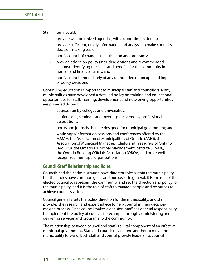#### <span id="page-19-0"></span>**SECTION 1**

Staff, in turn, could:

- provide well-organized agendas, with supporting materials;
- provide sufficient, timely information and analysis to make council's decision-making easier;
- notify council of changes to legislation and programs;
- provide advice on policy (including options and recommended actions), identifying the costs and benefits for the community in human and financial terms; and
- notify council immediately of any unintended or unexpected impacts of policy decisions.

Continuing education is important to municipal staff and councillors. Many municipalities have developed a detailed policy on training and educational opportunities for staff. Training, development and networking opportunities are provided through:

- • courses run by colleges and universities;
- • conferences, seminars and meetings delivered by professional associations;
- books and journals that are designed for municipal government; and
- workshops/information sessions and conferences offered by the MMAH, the Association of Municipalities of Ontario (AMO), the Association of Municipal Managers, Clerks and Treasurers of Ontario (AMCTO), the Ontario Municipal Management Institute (OMMI), the Ontario Building Officials Association (OBOA) and other wellrecognized municipal organizations.

### **Council-Staff Relationship and Roles**

Councils and their administration have different roles within the municipality, but their roles have common goals and purposes. In general, it is the role of the elected council to represent the community and set the direction and policy for the municipality, and it is the role of staff to manage people and resources to achieve council's vision.

Council generally sets the policy direction for the municipality, and staff provides the research and expert advice to help council in their decisionmaking process. Once council makes a decision, staff has general responsibility to implement the policy of council, for example through administering and delivering services and programs to the community.

The relationship between council and staff is a vital component of an effective municipal government. Staff and council rely on one another to move the municipality forward. Both staff and council provide leadership; council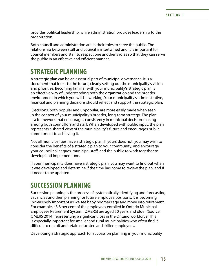<span id="page-20-0"></span>provides political leadership, while administration provides leadership to the organization.

Both council and administration are in their roles to serve the public. The relationship between staff and council is intertwined and it is important for council members and staff to respect one another's roles so that they can serve the public in an effective and efficient manner.

# **STRATEGIC PLANNING**

A strategic plan can be an essential part of municipal governance. It is a document that looks to the future, clearly setting out the municipality's vision and priorities. Becoming familiar with your municipality's strategic plan is an effective way of understanding both the organization and the broader environment in which you will be working. Your municipality's administrative, financial and planning decisions should reflect and support the strategic plan.

 Decisions, both popular and unpopular, are more easily made when seen in the context of your municipality's broader, long-term strategy. The plan is a framework that encourages consistency in municipal decision-making among both councillors and staff. When developed with public input, the plan represents a shared view of the municipality's future and encourages public commitment to achieving it.

Not all municipalities have a strategic plan. If yours does not, you may wish to consider the benefits of a strategic plan to your community, and encourage your council colleagues, municipal staff, and the public to work together to develop and implement one.

If your municipality does have a strategic plan, you may want to find out when it was developed and determine if the time has come to review the plan, and if it needs to be updated.

# **SUCCESSION PLANNING**

Succession planning is the process of systematically identifying and forecasting vacancies and then planning for future employee positions. It is becoming increasingly important as we see baby boomers age and move into retirement. For example, 43.8 per cent of the employees enrolled in Ontario Municipal Employees Retirement System (OMERS) are aged 50 years and older (Source: OMERS 2014) representing a significant loss in the Ontario workforce. This is especially important for smaller and rural municipalities who often find it difficult to recruit and retain educated and skilled employees.

Developing a strategic approach for succession planning in your municipality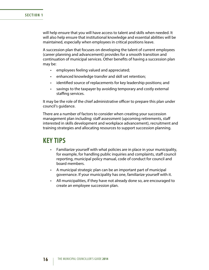will help ensure that you will have access to talent and skills when needed. It will also help ensure that institutional knowledge and essential abilities will be maintained, especially when employees in critical positions leave.

A succession plan that focuses on developing the talent of current employees (career planning and advancement) provides for a smooth transition and continuation of municipal services. Other benefits of having a succession plan may be:

- employees feeling valued and appreciated;
- enhanced knowledge transfer and skill set retention;
- identified source of replacements for key leadership positions; and
- savings to the taxpayer by avoiding temporary and costly external staffing services.

It may be the role of the chief administrative officer to prepare this plan under council's guidance.

There are a number of factors to consider when creating your succession management plan including: staff assessment (upcoming retirements, staff interested in skills development and workplace advancement), recruitment and training strategies and allocating resources to support succession planning.

### **KEY TIPS**

- Familiarize yourself with what policies are in place in your municipality, for example, for handling public inquiries and complaints, staff council reporting, municipal policy manual, code of conduct for council and board members.
- • A municipal strategic plan can be an important part of municipal governance. If your municipality has one, familiarize yourself with it.
- All municipalities, if they have not already done so, are encouraged to create an employee succession plan.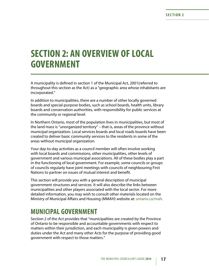# <span id="page-22-0"></span>**SECTION 2: AN OVERVIEW OF LOCAL GOVERNMENT**

A municipality is defined in section 1 of the Municipal Act, 2001(referred to throughout this section as the Act) as a "geographic area whose inhabitants are incorporated."

In addition to municipalities, there are a number of other locally governed boards and special-purpose bodies, such as school boards, health units, library boards and conservation authorities, with responsibility for public services at the community or regional level.

In Northern Ontario, most of the population lives in municipalities, but most of the land mass is "unorganized territory" – that is, areas of the province without municipal organization. Local services boards and local roads boards have been created to deliver basic community services to the residents in some of the areas without municipal organization.

Your day-to-day activities as a council member will often involve working with local boards and commissions, other municipalities, other levels of government and various municipal associations. All of these bodies play a part in the functioning of local government. For example, some councils or groups of councils regularly have joint meetings with councils of neighbouring First Nations to partner on issues of mutual interest and benefit.

This section will provide you with a general description of municipal government structures and services. It will also describe the links between municipalities and other players associated with the local sector. For more detailed information, you may wish to consult other materials located on the Ministry of Municipal Affairs and Housing (MMAH) website at: [ontario.ca/mah.](http://www.mah.gov.on.ca/Page11.aspx)

# **MUNICIPAL GOVERNMENT**

Section 2 of the Act provides that "municipalities are created by the Province of Ontario to be responsible and accountable governments with respect to matters within their jurisdiction, and each municipality is given powers and duties under the Act and many other Acts for the purpose of providing good government with respect to those matters."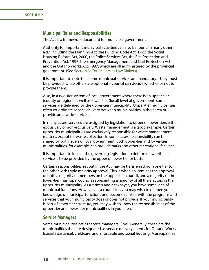### <span id="page-23-0"></span>**Municipal Roles and Responsibilities**

The Act is a framework document for municipal government.

Authority for important municipal activities can also be found in many other acts, including the Planning Act, the Building Code Act, 1992, the Social Housing Reform Act, 2000, the Police Services Act, the Fire Protection and Prevention Act, 1997, the Emergency Management and Civil Protection Act, and the Ontario Works Act, 1997, which are all administered by the provincial government. (See [Section 3: Councillors as Law Makers](#page-36-1))

It is important to note that some municipal services are mandatory – they must be provided, while others are optional – council can decide whether or not to provide them.

Also, in a two-tier system of local government where there is an upper-tier (county or region) as well as lower-tier (local) level of government, some services are delivered by the upper-tier municipality. Upper-tier municipalities often co-ordinate service delivery between municipalities in their area or provide area-wide services.

In many cases, services are assigned by legislation to upper or lower-tiers either exclusively or non-exclusively. Waste management is a good example. Certain upper-tier municipalities are exclusively responsible for waste management matters, except for waste collection. In some cases, responsibility can be shared by both levels of local government. Both upper-tier and lower-tier municipalities, for example, can provide parks and other recreational facilities.

It is important to look at the governing legislation to determine whether a service is to be provided by the upper or lower tier or both.

Certain responsibilities set out in the Act may be transferred from one tier to the other with triple majority approval. This is when an item has the approval of both a majority of members on the upper-tier council, and a majority of the lower-tier municipal councils representing a majority of all the electors in the upper-tier municipality. As a citizen and a taxpayer, you have some idea of municipal functions. However, as a councillor, you may wish to deepen your knowledge of municipal functions and become familiar with the programs and services that your municipality does or does not provide. If your municipality is part of a two-tier structure, you may wish to know the responsibilities of the upper-tier and lower-tier municipalities in your area.

### **Service Managers**

Some municipalities act as service managers (SMs). Generally, these are the municipalities that are designated as service delivery agents for Ontario Works (social assistance), childcare, and affordable and social housing. Municipalities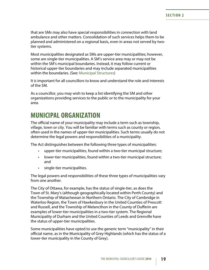<span id="page-24-0"></span>that are SMs may also have special responsibilities in connection with land ambulance and other matters. Consolidation of such services helps them to be planned and administered on a regional basis, even in areas not served by twotier systems.

Most municipalities designated as SMs are upper-tier municipalities; however, some are single-tier municipalities. A SM's service area may or may not be within the SM's municipal boundaries. Instead, it may follow current or historical upper-tier boundaries and may include separated municipalities within the boundaries. (See: Municipal Structures)

It is important for all councillors to know and understand the role and interests of the SM.

As a councillor, you may wish to keep a list identifying the SM and other organizations providing services to the public or to the municipality for your area.

# **MUNICIPAL ORGANIZATION**

The official name of your municipality may include a term such as township, village, town or city. You will be familiar with terms such as county or region, often used in the names of upper-tier municipalities. Such terms usually do not determine the legal powers and responsibilities of a municipality.

The Act distinguishes between the following three types of municipalities:

- upper-tier municipalities, found within a two-tier municipal structure;
- lower-tier municipalities, found within a two-tier municipal structure; and
- • single-tier municipalities.

The legal powers and responsibilities of these three types of municipalities vary from one another.

The City of Ottawa, for example, has the status of single-tier, as does the Town of St. Mary's (although geographically located within Perth County) and the Township of Matachewan in Northern Ontario. The City of Cambridge in Waterloo Region, the Town of Hawkesbury in the United Counties of Prescott and Russell, and the Township of Melancthon in the County of Dufferin are examples of lower-tier municipalities in a two-tier system. The Regional Municipality of Durham and the United Counties of Leeds and Grenville have the status of upper-tier municipalities.

Some municipalities have opted to use the generic term "municipality" in their official name, as in the Municipality of Grey Highlands (which has the status of a lower-tier municipality in the County of Grey).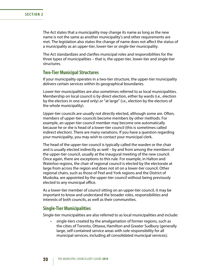<span id="page-25-0"></span>The Act states that a municipality may change its name as long as the new name is not the same as another municipality's and other requirements are met. The legislation also states the change of name does not affect the status of a municipality as an upper-tier, lower-tier or single-tier municipality.

The Act standardizes and clarifies municipal roles and responsibilities for the three types of municipalities – that is, the upper-tier, lower-tier and single-tier structures.

### **Two-Tier Municipal Structures**

If your municipality operates in a two-tier structure, the upper-tier municipality delivers certain services within its geographical boundaries.

Lower-tier municipalities are also sometimes referred to as local municipalities. Membership on local council is by direct election, either by wards (i.e., election by the electors in one ward only) or "at large" (i.e., election by the electors of the whole municipality).

Upper-tier councils are usually not directly elected, although some are. Often, members of upper-tier councils become members by other methods. For example, an upper-tier council member may become one automatically because he or she is head of a lower-tier council (this is sometimes called indirect election). There are many variations. If you have a question regarding your municipality, you may wish to contact your municipal clerk.

The head of the upper-tier council is typically called the warden or the chair and is usually elected indirectly as well – by and from among the members of the upper-tier council, usually at the inaugural meeting of the new council. Once again, there are exceptions to this rule. For example, in Halton and Waterloo regions, the chair of regional council is elected by the electorate at large from across the region and does not sit on a lower-tier council. Other regional chairs, such as those of Peel and York regions and the District of Muskoka, are appointed by the upper-tier council without being previously elected to any municipal office.

As a lower-tier member of council sitting on an upper-tier council, it may be important to know and understand the broader roles, responsibilities and interests of both councils, as well as their communities.

### **Single-Tier Municipalities**

Single-tier municipalities are also referred to as local municipalities and include:

single-tiers created by the amalgamation of former regions, such as the cities of Toronto, Ottawa, Hamilton and Greater Sudbury (generally large, self-contained service areas with sole responsibility for all municipal services, including all consolidated municipal services);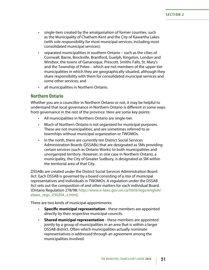- <span id="page-26-0"></span>• single-tiers created by the amalgamation of former counties, such as the Municipality of Chatham-Kent and the City of Kawartha Lakes (with sole responsibility for most municipal services, including most consolidated municipal services);
- separated municipalities in southern Ontario such as the cities of Cornwall, Barrie, Brockville, Brantford, Guelph, Kingston, London and Windsor, the towns of Gananoque, Prescott, Smiths Falls, St. Mary's and the Township of Pelee – which are not members of the upper-tier municipalities in which they are geographically situated, although they share responsibility with them for consolidated municipal services and some other services; and
- • all municipalities in Northern Ontario.

### **Northern Ontario**

Whether you are a councillor in Northern Ontario or not, it may be helpful to understand that local governance in Northern Ontario is different in some ways from governance in the rest of the province. Here are some key points:

- All municipalities in Northern Ontario are single-tier.
- Much of Northern Ontario is not organized for municipal purposes. These are not municipalities, and are sometimes referred to as townships without municipal organization or TWOMOs.
- In the north, there are currently ten District Social Services Administration Boards (DSSABs) that are designated as SMs providing certain services (such as Ontario Works) to both municipalities and unorganized territory. However, in one case in Northern Ontario, a municipality, the City of Greater Sudbury, is designated as SM within the territorial area of that City.

DSSABs are created under the District Social Services Administration Board Act. Each DSSAB is governed by a board consisting of a mix of municipal representatives and individuals in TWOMOs. A regulation under the DSSAB Act sets out the composition of and other matters for each individual Board. (Ontario Regulation 278/98: [http://www.e-laws.gov.on.ca/html/regs/english/](http://www.e-laws.gov.on.ca/html/regs/english/elaws_regs_030204_e.htm) [elaws\\_regs\\_030204\\_e.htm\)](http://www.e-laws.gov.on.ca/html/regs/english/elaws_regs_030204_e.htm).

There are two kinds of municipal appointments:

- • **Specific municipal representation** these members are appointed directly by their respective municipal councils.
- **Shared municipal representation** these members are appointed jointly by a group of municipalities in an area that is within a larger DSSAB district. Often which municipalities actually nominate representatives is addressed through an agreement among the municipalities involved.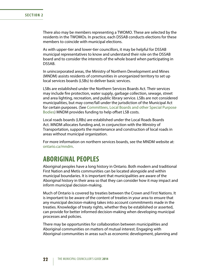<span id="page-27-0"></span>There also may be members representing a TWOMO. These are selected by the residents in the TWOMOs. In practice, each DSSAB conducts elections for these members to coincide with municipal elections.

As with upper-tier and lower-tier councillors, it may be helpful for DSSAB municipal representatives to know and understand their role on the DSSAB board and to consider the interests of the whole board when participating in DSSAB.

In unincorporated areas, the Ministry of Northern Development and Mines (MNDM) assists residents of communities in unorganized territory to set up local services boards (LSBs) to deliver basic services.

LSBs are established under the Northern Services Boards Act. Their services may include fire protection, water supply, garbage collection, sewage, street and area lighting, recreation, and public library service. LSBs are not considered municipalities, but may come/fall under the jurisdiction of the Municipal Act for certain purposes. (See [Committees, Local Boards and other Special Purpose](#page-29-0)  [Bodies](#page-29-0)) MNDM provides funding to help offset LSB costs.

Local roads boards (LRBs) are established under the Local Roads Boards Act. MNDM allocates funding and, in conjunction with the Ministry of Transportation, supports the maintenance and construction of local roads in areas without municipal organization.

For more information on northern services boards, see the MNDM website at: [ontario.ca/mndm.](http://www.mndm.gov.on.ca/en)

# **ABORIGINAL PEOPLES**

Aboriginal peoples have a long history in Ontario. Both modern and traditional First Nation and Metis communities can be located alongside and within municipal boundaries. It is important that municipalities are aware of the Aboriginal history in their area so that they can consider how it may impact and inform municipal decision-making.

Much of Ontario is covered by treaties between the Crown and First Nations. It is important to be aware of the content of treaties in your area to ensure that any municipal decision-making takes into account commitments made in the treaties. Knowledge of treaty rights, whether they be established or asserted, can provide for better informed decision-making when developing municipal processes and policies.

There may be opportunities for collaboration between municipalities and Aboriginal communities on matters of mutual interest. Engaging with Aboriginal communities in areas such as economic development, planning and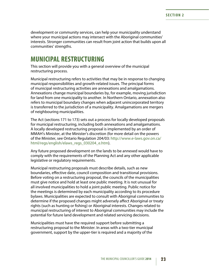<span id="page-28-0"></span>development or community services, can help your municipality understand where your municipal actions may intersect with the Aboriginal communities' interests. Stronger communities can result from joint action that builds upon all communities' strengths.

### **MUNICIPAL RESTRUCTURING**

This section will provide you with a general overview of the municipal restructuring process.

Municipal restructuring refers to activities that may be in response to changing municipal responsibilities and growth-related issues. The principal forms of municipal restructuring activities are annexations and amalgamations. Annexations change municipal boundaries by, for example, moving jurisdiction for land from one municipality to another. In Northern Ontario, annexation also refers to municipal boundary changes when adjacent unincorporated territory is transferred to the jurisdiction of a municipality. Amalgamations are mergers of neighbouring municipalities.

The Act (sections 171 to 173) sets out a process for locally developed proposals for municipal restructuring, including both annexations and amalgamations. A locally developed restructuring proposal is implemented by an order of MMAH's Minister, at the Minister's discretion (for more detail on the powers of the Minister, see Ontario Regulation 204/03: [http://www.e-laws.gov.on.ca/](http://www.e-laws.gov.on.ca/html/regs/english/elaws_regs_030204_e.htm) [html/regs/english/elaws\\_regs\\_030204\\_e.htm](http://www.e-laws.gov.on.ca/html/regs/english/elaws_regs_030204_e.htm)).

Any future proposed development on the lands to be annexed would have to comply with the requirements of the Planning Act and any other applicable legislative or regulatory requirements.

Municipal restructuring proposals must describe details, such as new boundaries, effective date, council composition and transitional provisions. Before voting on a restructuring proposal, the councils of the municipalities must give notice and hold at least one public meeting. It is not unusual for all involved municipalities to hold a joint public meeting. Public notice for the meetings is determined by each municipality according to its procedure bylaws. Municipalities are expected to consult with Aboriginal communities to determine if the proposed changes might adversely affect Aboriginal or treaty rights (such as hunting or fishing) or Aboriginal interests. Changes related to municipal restructuring of interest to Aboriginal communities may include the potential for future land development and related servicing decisions.

Municipalities must have the required support before submitting a restructuring proposal to the Minister. In areas with a two-tier municipal government, support by the upper-tier is required and a majority of the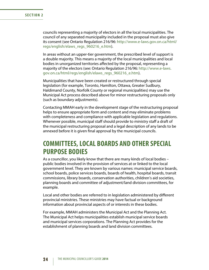<span id="page-29-0"></span>councils representing a majority of electors in all the local municipalities. The council of any separated municipality included in the proposal must also give its consent (see Ontario Regulation 216/96: [http://www.e-laws.gov.on.ca/html/](http://www.e-laws.gov.on.ca/html/regs/english/elaws_regs_960216_e.htm) [regs/english/elaws\\_regs\\_960216\\_e.htm\)](http://www.e-laws.gov.on.ca/html/regs/english/elaws_regs_960216_e.htm).

In areas without an upper-tier government, the prescribed level of support is a double majority. This means a majority of the local municipalities and local bodies in unorganized territories affected by the proposal, representing a majority of the electors (see: Ontario Regulation 216/96: [http://www.e-laws.](http://www.e-laws.gov.on.ca/html/regs/english/elaws_regs_960216_e.htm) [gov.on.ca/html/regs/english/elaws\\_regs\\_960216\\_e.htm\)](http://www.e-laws.gov.on.ca/html/regs/english/elaws_regs_960216_e.htm).

Municipalities that have been created or restructured through special legislation (for example, Toronto, Hamilton, Ottawa, Greater Sudbury, Haldimand County, Norfolk County or regional municipalities) may use the Municipal Act process described above for minor restructuring proposals only (such as boundary adjustments).

Contacting MMAH early in the development stage of the restructuring proposal helps to ensure appropriate form and content and may eliminate problems with completeness and compliance with applicable legislation and regulations. Whenever possible, municipal staff should provide to ministry staff a draft of the municipal restructuring proposal and a legal description of any lands to be annexed before it is given final approval by the municipal councils.

# **COMMITTEES, LOCAL BOARDS AND OTHER SPECIAL PURPOSE BODIES**

As a councillor, you likely know that there are many kinds of local bodies – public bodies involved in the provision of services at or linked to the local government level. They are known by various names: municipal service boards, school boards, police services boards, boards of health, hospital boards, transit commissions, library boards, conservation authorities, children's aid societies, planning boards and committee of adjustment/land division committees, for example.

Local and other bodies are referred to in legislation administered by different provincial ministries. These ministries may have factual or background information about provincial aspects of or interests in these bodies.

For example, MMAH administers the Municipal Act and the Planning Act. The Municipal Act helps municipalities establish municipal service boards and municipal services corporations. The Planning Act provides for the establishment of planning boards and land division committees.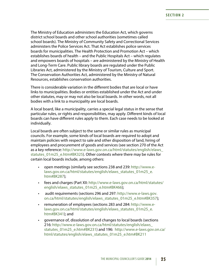The Ministry of Education administers the Education Act, which governs district school boards and other school authorities (sometimes called school boards). The Ministry of Community Safety and Correctional Services administers the Police Services Act. That Act establishes police services boards for municipalities. The Health Protection and Promotion Act – which establishes boards of health – and the Public Hospitals Act – which regulates and empowers boards of hospitals – are administered by the Ministry of Health and Long-Term Care. Public library boards are regulated under the Public Libraries Act, administered by the Ministry of Tourism, Culture and Sport. The Conservation Authorities Act, administered by the Ministry of Natural Resources, establishes conservation authorities.

There is considerable variation in the different bodies that are local or have links to municipalities. Bodies or entities established under the Act and under other statutes, may or may not also be local boards. In other words, not all bodies with a link to a municipality are local boards.

A local board, like a municipality, carries a special legal status in the sense that particular rules, or rights and responsibilities, may apply. Different kinds of local boards can have different rules apply to them. Each case needs to be looked at individually.

Local boards are often subject to the same or similar rules as municipal councils. For example, some kinds of local boards are required to adopt and maintain policies with respect to sale and other disposition of land, hiring of employees and procurement of goods and services (see section 270 of the Act as a key reference: [http://www.e-laws.gov.on.ca/html/statutes/english/elaws\\_](http://www.e-laws.gov.on.ca/html/statutes/english/elaws_statutes_01m25_e.htm#BK325) [statutes\\_01m25\\_e.htm#BK325](http://www.e-laws.gov.on.ca/html/statutes/english/elaws_statutes_01m25_e.htm#BK325)). Other contexts where there may be rules for certain local boards include, among others:

- open meetings (similarly see sections 238 and 239: [http://www.e](http://www.e-laws.gov.on.ca/html/statutes/english/elaws_statutes_01m25_e.htm#BK287)[laws.gov.on.ca/html/statutes/english/elaws\\_statutes\\_01m25\\_e.](http://www.e-laws.gov.on.ca/html/statutes/english/elaws_statutes_01m25_e.htm#BK287) [htm#BK287\)](http://www.e-laws.gov.on.ca/html/statutes/english/elaws_statutes_01m25_e.htm#BK287);
- fees and charges (Part XII: [http://www.e-laws.gov.on.ca/html/statutes/](http://www.e-laws.gov.on.ca/html/statutes/english/elaws_statutes_01m25_e.htm#BK466) [english/elaws\\_statutes\\_01m25\\_e.htm#BK466](http://www.e-laws.gov.on.ca/html/statutes/english/elaws_statutes_01m25_e.htm#BK466));
- • audit requirements (sections 296 and 297: [http://www.e-laws.gov.](http://www.e-laws.gov.on.ca/html/statutes/english/elaws_statutes_01m25_e.htm#BK357) [on.ca/html/statutes/english/elaws\\_statutes\\_01m25\\_e.htm#BK357\)](http://www.e-laws.gov.on.ca/html/statutes/english/elaws_statutes_01m25_e.htm#BK357);
- remuneration of employees (sections 283 and 284: [http://www.e](http://www.e-laws.gov.on.ca/html/statutes/english/elaws_statutes_01m25_e.htm#BK341)[laws.gov.on.ca/html/statutes/english/elaws\\_statutes\\_01m25\\_e.](http://www.e-laws.gov.on.ca/html/statutes/english/elaws_statutes_01m25_e.htm#BK341) [htm#BK341\)](http://www.e-laws.gov.on.ca/html/statutes/english/elaws_statutes_01m25_e.htm#BK341); and
- governance of, dissolution of and changes to local boards (sections 216: [http://www.e-laws.gov.on.ca/html/statutes/english/elaws\\_](http://www.e-laws.gov.on.ca/html/statutes/english/elaws_statutes_01m25_e.htm#BK231) [statutes\\_01m25\\_e.htm#BK231\)](http://www.e-laws.gov.on.ca/html/statutes/english/elaws_statutes_01m25_e.htm#BK231) and 196: [http://www.e-laws.gov.on.ca/](http://www.e-laws.gov.on.ca/html/statutes/english/elaws_statutes_01m25_e.htm#BK211) [html/statutes/english/elaws\\_statutes\\_01m25\\_e.htm#BK211](http://www.e-laws.gov.on.ca/html/statutes/english/elaws_statutes_01m25_e.htm#BK211)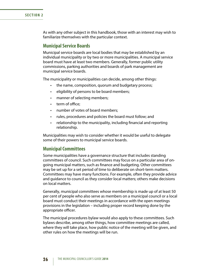<span id="page-31-0"></span>**SECTION 2**

As with any other subject in this handbook, those with an interest may wish to familiarize themselves with the particular context.

### **Municipal Service Boards**

Municipal service boards are local bodies that may be established by an individual municipality or by two or more municipalities. A municipal service board must have at least two members. Generally, former public utility commissions, parking authorities and boards of park management are municipal service boards.

The municipality or municipalities can decide, among other things:

- the name, composition, quorum and budgetary process;
- • eligibility of persons to be board members;
- manner of selecting members;
- term of office:
- number of votes of board members;
- rules, procedures and policies the board must follow; and
- relationship to the municipality, including financial and reporting relationship.

Municipalities may wish to consider whether it would be useful to delegate some of their powers to municipal service boards.

### **Municipal Committees**

Some municipalities have a governance structure that includes standing committees of council. Such committees may focus on a particular area of ongoing municipal matters, such as finance and budgeting. Other committees may be set up for a set period of time to deliberate on short-term matters. Committees may have many functions. For example, often they provide advice and guidance to council as they consider local matters; others make decisions on local matters.

Generally, municipal committees whose membership is made up of at least 50 per cent of people who also serve as members on a municipal council or a local board must conduct their meetings in accordance with the open meetings provisions in the legislation – including proper record keeping done by the appropriate officer.

The municipal procedures bylaw would also apply to these committees. Such bylaws describe, among other things, how committee meetings are called, where they will take place, how public notice of the meeting will be given, and other rules on how the meetings will be run.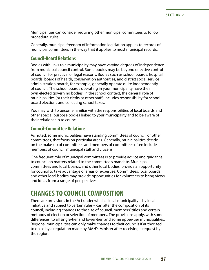<span id="page-32-0"></span>Municipalities can consider requiring other municipal committees to follow procedural rules.

Generally, municipal freedom of information legislation applies to records of municipal committees in the way that it applies to most municipal records.

### **Council-Board Relations**

Bodies with links to a municipality may have varying degrees of independence from municipal council control. Some bodies may be beyond effective control of council for practical or legal reasons. Bodies such as school boards, hospital boards, boards of health, conservation authorities, and district social service administration boards, for example, generally operate quite independently of council. The school boards operating in your municipality have their own elected governing bodies. In the school context, the general role of municipalities (or their clerks or other staff) includes responsibility for school board elections and collecting school taxes.

You may wish to become familiar with the responsibilities of local boards and other special purpose bodies linked to your municipality and to be aware of their relationship to council.

### **Council-Committee Relations**

As noted, some municipalities have standing committees of council, or other committees, that focus on particular areas. Generally, municipalities decide on the make-up of committees and members of committees often include members of council, municipal staff and citizens.

One frequent role of municipal committees is to provide advice and guidance to council on matters related to the committee's mandate. Municipal committees and local boards, and other local bodies, provide an opportunity for council to take advantage of areas of expertise. Committees, local boards and other local bodies may provide opportunities for volunteers to bring views and ideas from a range of perspectives.

# **CHANGES TO COUNCIL COMPOSITION**

There are provisions in the Act under which a local municipality – by local initiative and subject to certain rules – can alter the composition of its council, including changes to the size of council, members' titles and certain methods of election or selection of members. The provisions apply, with some differences, to all single-tier and lower-tier, and some upper-tier municipalities. Regional municipalities can only make changes to their councils if authorized to do so by a regulation made by MAH's Minister after receiving a request by the region.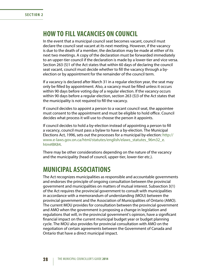# <span id="page-33-0"></span>**HOW TO FILL VACANCIES ON COUNCIL**

In the event that a municipal council seat becomes vacant, council must declare the council seat vacant at its next meeting. However, if the vacancy is due to the death of a member, the declaration may be made at either of its next two meetings. A copy of the declaration must be forwarded immediately to an upper-tier council if the declaration is made by a lower-tier and vice versa. Section 263 (5)1 of the Act states that within 60 days of declaring the council seat vacant, council must decide whether to fill the vacancy through a byelection or by appointment for the remainder of the council term.

If a vacancy is declared after March 31 in a regular election year, the seat may only be filled by appointment. Also, a vacancy must be filled unless it occurs within 90 days before voting day of a regular election. If the vacancy occurs within 90 days before a regular election, section 263 (5)3 of the Act states that the municipality is not required to fill the vacancy.

If council decides to appoint a person to a vacant council seat, the appointee must consent to the appointment and must be eligible to hold office. Council decides what process it will use to choose the person it appoints.

If council decides to hold a by-election instead of appointing a person to fill a vacancy, council must pass a bylaw to have a by-election. The Municipal Elections Act, 1996, sets out the processes for a municipal by-election: [http://](http://www.e-laws.gov.on.ca/html/statutes/english/elaws_statutes_96m32_e.htm#BK84) [www.e-laws.gov.on.ca/html/statutes/english/elaws\\_statutes\\_96m32\\_e.](http://www.e-laws.gov.on.ca/html/statutes/english/elaws_statutes_96m32_e.htm#BK84) [htm#BK84.](http://www.e-laws.gov.on.ca/html/statutes/english/elaws_statutes_96m32_e.htm#BK84)

There may be other considerations depending on the nature of the vacancy and the municipality (head of council, upper-tier, lower-tier etc.).

### **MUNICIPAL ASSOCIATIONS**

The Act recognizes municipalities as responsible and accountable governments and endorses the principle of ongoing consultation between the provincial government and municipalities on matters of mutual interest. Subsection 3(1) of the Act requires the provincial government to consult with municipalities in accordance with a memorandum of understanding (MOU) between the provincial government and the Association of Municipalities of Ontario (AMO). The current MOU provides for consultation between the provincial government and AMO when the government is proposing a change in legislation and regulations that will, in the provincial government's opinion, have a significant financial impact on the current municipal budget year or budget planning cycle. The MOU also provides for provincial consultation with AMO on the negotiation of certain agreements between the Government of Canada and Ontario that have a direct municipal impact.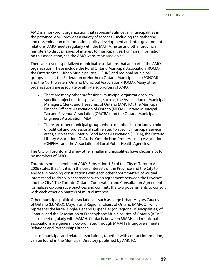AMO is a non-profit organization that represents almost all municipalities in the province. AMO provides a variety of services – including the gathering and dissemination of information, policy development and inter-government relations. AMO meets regularly with the MAH Minister and other provincial ministers to discuss issues of interest to municipalities. For more information on this association, see the AMO website at: [amo.on.ca](http://www.amo.on.ca/).

There are several specialized municipal associations that are part of the AMO organization. These include the Rural Ontario Municipal Association (ROMA), the Ontario Small Urban Municipalities (OSUM) and regional municipal groups such as the Federation of Northern Ontario Municipalities (FONOM) and the Northwestern Ontario Municipal Association (NOMA). Many other organizations are associate or affiliate supporters of AMO.

- There are many other professional municipal organizations with specific subject matter specialties, such as, the Association of Municipal Managers, Clerks and Treasurers of Ontario (AMCTO), the Municipal Finance Officers' Association of Ontario (MFOA), Ontario Municipal Tax and Revenue Association (OMTRA) and the Ontario Municipal Engineers Association (MEA).
- There are other municipal groups whose membership includes a mix of political and professional staff related to specific municipal service areas, such as the Ontario Good Roads Association (OGRA), the Ontario Library Association (OLA), the Ontario Non-Profit Housing Association (ONPHA), and the Association of Local Public Health Agencies.

The City of Toronto and a few other smaller municipalities have chosen not to be members of AMO.

Toronto is not a member of AMO. Subsection 1(3) of the City of Toronto Act, 2006 states that "… it is in the best interests of the Province and the City to engage in ongoing consultations with each other about matters of mutual interest and to do so in accordance with an agreement between the Province and the City." The Toronto-Ontario Cooperation and Consultation Agreement formalizes co-operative practices and commits the two governments to consult with each other on matters of mutual interest.

Other municipal political associations – such as Large Urban Mayors Caucus of Ontario (LUMCO), Mayors and Regional Chairs of Ontario (MARCO), which represents the larger single-Tier and Upper Tier (or Regional Municipalities) of Ontario, and the Association of Francophone Municipalities of Ontario (AFMO) – also meet regularly with MMAH. Contacts between MMAH and municipal associations are generally co-ordinated through MMAH's Intergovernmental Relations and Partnerships Branch.

Lists of municipal and related associations, together with contact information, can be found in the Municipal Directory published by AMCTO.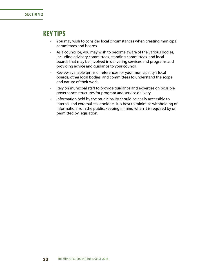## <span id="page-35-0"></span>**KEY TIPS**

- You may wish to consider local circumstances when creating municipal committees and boards.
- • As a councillor, you may wish to become aware of the various bodies, including advisory committees, standing committees, and local boards that may be involved in delivering services and programs and providing advice and guidance to your council.
- • Review available terms of references for your municipality's local boards, other local bodies, and committees to understand the scope and nature of their work.
- • Rely on municipal staff to provide guidance and expertise on possible governance structures for program and service delivery.
- Information held by the municipality should be easily accessible to internal and external stakeholders. It is best to minimize withholding of information from the public, keeping in mind when it is required by or permitted by legislation.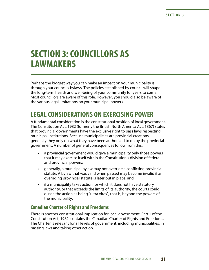# **SECTION 3: COUNCILLORS AS LAWMAKERS**

Perhaps the biggest way you can make an impact on your municipality is through your council's bylaws. The policies established by council will shape the long-term health and well-being of your community for years to come. Most councillors are aware of this role. However, you should also be aware of the various legal limitations on your municipal powers.

# **LEGAL CONSIDERATIONS ON EXERCISING POWER**

A fundamental consideration is the constitutional position of local government. The Constitution Act, 1982 (formerly the British North America Act, 1867) states that provincial governments have the exclusive right to pass laws respecting municipal institutions. Because municipalities are provincial creations, generally they only do what they have been authorized to do by the provincial government. A number of general consequences follow from this:

- a provincial government would give a municipality only those powers that it may exercise itself within the Constitution's division of federal and provincial powers;
- generally, a municipal bylaw may not override a conflicting provincial statute. A bylaw that was valid when passed may become invalid if an overriding provincial statute is later put in place; and
- if a municipality takes action for which it does not have statutory authority, or that exceeds the limits of its authority, the courts could quash the action as being "ultra vires", that is, beyond the powers of the municipality.

# **Canadian Charter of Rights and Freedoms**

There is another constitutional implication for local government. Part 1 of the Constitution Act, 1982, contains the Canadian Charter of Rights and Freedoms. The Charter is relevant for all levels of government, including municipalities, in passing laws and taking other action.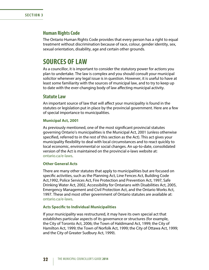# **Human Rights Code**

The Ontario Human Rights Code provides that every person has a right to equal treatment without discrimination because of race, colour, gender identity, sex, sexual orientation, disability, age and certain other grounds.

# **SOURCES OF LAW**

As a councillor, it is important to consider the statutory power for actions you plan to undertake. The law is complex and you should consult your municipal solicitor whenever any legal issue is in question. However, it is useful to have at least some familiarity with the sources of municipal law, and to try to keep up to date with the ever-changing body of law affecting municipal activity.

## **Statute Law**

An important source of law that will affect your municipality is found in the statutes or legislation put in place by the provincial government. Here are a few of special importance to municipalities.

### **Municipal Act, 2001**

As previously mentioned, one of the most significant provincial statutes governing Ontario's municipalities is the Municipal Act, 2001 (unless otherwise specified, referred to in the rest of this section as the Act). This act gives your municipality flexibility to deal with local circumstances and to react quickly to local economic, environmental or social changes. An up-to-date, consolidated version of the Act is maintained on the provincial e-laws website at: [ontario.ca/e-laws.](http://www.e-laws.gov.on.ca/index.html)

## **Other General Acts**

There are many other statutes that apply to municipalities but are focused on specific activities, such as the Planning Act, Line Fences Act, Building Code Act,1992, Police Services Act, Fire Protection and Prevention Act, 1997, Safe Drinking Water Act, 2002, Accessibility for Ontarians with Disabilities Act, 2005, Emergency Management and Civil Protection Act, and the Ontario Works Act, 1997. These and most other government of Ontario statutes are available at: [ontario.ca/e-laws.](http://www.e-laws.gov.on.ca/index.html)

#### **Acts Specific to Individual Municipalities**

If your municipality was restructured, it may have its own special act that establishes particular aspects of its governance or structures (for example, the City of Toronto Act, 2006; the Town of Haldimand Act, 1999; the City of Hamilton Act, 1999; the Town of Norfolk Act, 1999; the City of Ottawa Act, 1999; and the City of Greater Sudbury Act, 1999).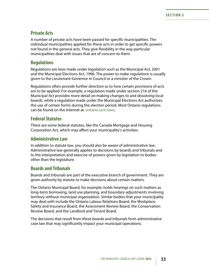# **Private Acts**

A number of private acts have been passed for specific municipalities. The individual municipalities applied for these acts in order to get specific powers not found in the general acts. They give flexibility in the way particular municipalities deal with issues that are of concern to them.

## **Regulations**

Regulations are laws made under legislation such as the Municipal Act, 2001 and the Municipal Elections Act, 1996. The power to make regulations is usually given to the Lieutenant-Governor in Council or a minister of the Crown.

Regulations often provide further direction as to how certain provisions of acts are to be applied. For example, a regulation made under section 216 of the Municipal Act provides more detail on making changes to and dissolving local boards, while a regulation made under the Municipal Elections Act authorizes the use of certain forms during the election period. Most Ontario regulations can be found on the Internet at: [ontario.ca/e-laws.](http://www.e-laws.gov.on.ca/index.html)

# **Federal Statutes**

There are some federal statutes, like the Canada Mortgage and Housing Corporation Act, which may affect your municipality's activities.

# **Administrative Law**

In addition to statute law, you should also be aware of administrative law. Administrative law generally applies to decisions by boards and tribunals and to the interpretation and exercise of powers given by legislation to bodies other than the legislature.

# **Boards and Tribunals**

Boards and tribunals are part of the executive branch of government. They are given authority by statute to make decisions about certain matters.

The Ontario Municipal Board, for example, holds hearings on such matters as long-term borrowing, land use planning, and boundary adjustments involving territory without municipal organization. Similar bodies that your municipality may deal with include the Ontario Labour Relations Board, the Workplace Safety and Insurance Board, the Assessment Review Board, the Conservation Review Board, and the Landlord and Tenant Board.

The decisions that result from these boards and tribunals form administrative case law that may significantly impact your municipal operations.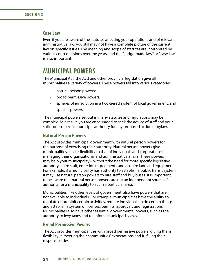# **Case Law**

Even if you are aware of the statutes affecting your operations and of relevant administrative law, you still may not have a complete picture of the current law on specific issues. The meaning and scope of statutes are interpreted by various court decisions over the years, and this "judge-made law" or "case law" is also important.

# **MUNICIPAL POWERS**

The Municipal Act (the Act) and other provincial legislation give all municipalities a variety of powers. These powers fall into various categories:

- natural person powers;
- broad permissive powers;
- spheres of jurisdiction in a two-tiered system of local government; and
- • specific powers.

The municipal powers set out in many statutes and regulations may be complex. As a result, you are encouraged to seek the advice of staff and your solicitor on specific municipal authority for any proposed action or bylaw.

## **Natural Person Powers**

The Act provides municipal government with natural person powers for the purpose of exercising their authority. Natural person powers give municipalities similar flexibility to that of individuals and corporations in managing their organizational and administrative affairs. These powers may help your municipality – without the need for more specific legislative authority – hire staff, enter into agreements and acquire land and equipment. For example, if a municipality has authority to establish a public transit system, it may use natural person powers to hire staff and buy buses. It is important to be aware that natural person powers are not an independent source of authority for a municipality to act in a particular area.

Municipalities, like other levels of government, also have powers that are not available to individuals. For example, municipalities have the ability to regulate or prohibit certain activities, require individuals to do certain things and establish a system of licenses, permits, approvals and registrations. Municipalities also have other essential governmental powers, such as the authority to levy taxes and to enforce municipal bylaws.

## **Broad Permissive Powers**

The Act provides municipalities with broad permissive powers, giving them flexibility in meeting their communities' expectations and fulfilling their responsibilities.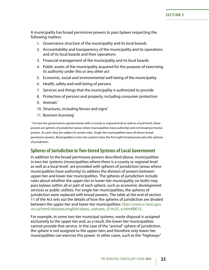A municipality has broad permissive powers to pass bylaws respecting the following matters:

- 1. Governance structure of the municipality and its local boards
- 2. Accountability and transparency of the municipality and its operations and of its local boards and their operations
- 3. Financial management of the municipality and its local boards
- 4. Public assets of the municipality acquired for the purpose of exercising its authority under this or any other act
- 5. Economic, social and environmental well-being of the municipality
- 6. Health, safety and well-being of persons
- 7. Services and things that the municipality is authorized to provide
- 8. Protection of persons and property, including consumer protection
- 9. Animals\*
- 10. Structures, including fences and signs<sup>\*</sup>
- 11. Business licensing\*

\* For two-tier governments (governments with a county or regional level as well as a local level), these powers are spheres of jurisdiction (areas where municipalities have authority) and not broad permissive powers. As such, they are subject to certain rules. Single-tier municipalities have all eleven broad permissive powers. Municipalities in two-tier systems have the first eight broad powers plus the spheres of jurisdiction.

# **Spheres of Jurisdiction in Two-tiered Systems of Local Government**

In addition to the broad permissive powers described above, municipalities in two-tier systems (municipalities where there is a county or regional level as well as a local level) are provided with spheres of jurisdiction (areas where municipalities have authority) to address the division of powers between upper-tier and lower-tier municipalities. The spheres of jurisdiction include rules about whether the upper-tier or lower-tier municipality (or both) may pass bylaws within all or part of each sphere, such as economic development services or public utilities. For single-tier municipalities, the spheres of jurisdiction were replaced with broad powers. The table at the end of section 11 of the Act sets out the details of how the spheres of jurisdiction are divided between the upper-tier and lower-tier municipalities: [http://www.e-laws.gov.](http://www.e-laws.gov.on.ca/html/statutes/english/elaws_statutes_01m25_e.htm#BK15) [on.ca/html/statutes/english/elaws\\_statutes\\_01m25\\_e.htm#BK15](http://www.e-laws.gov.on.ca/html/statutes/english/elaws_statutes_01m25_e.htm#BK15).

For example, in some two-tier municipal systems, waste disposal is assigned exclusively to the upper tier and, as a result, the lower-tier municipalities cannot provide that service. In the case of the "animal" sphere of jurisdiction, the sphere is not assigned to the upper-tiers and therefore only lower-tier municipalities can exercise this power. In other cases, such as the "highways"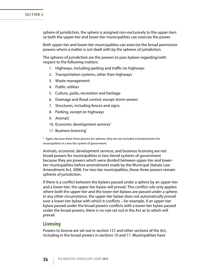sphere of jurisdiction, the sphere is assigned non-exclusively to the upper-tiers so both the upper-tier and lower-tier municipalities can exercise the power.

Both upper-tier and lower-tier municipalities can exercise the broad permissive powers where a matter is not dealt with by the spheres of jurisdiction.

The spheres of jurisdiction are the powers to pass bylaws regarding/with respect to the following matters:

- 1. Highways, including parking and traffic on highways
- 2. Transportation systems, other than highways
- 3. Waste management
- 4. Public utilities
- 5. Culture, parks, recreation and heritage
- 6. Drainage and flood control, except storm sewers
- 7. Structures, including fences and signs.
- 8. Parking, except on highways
- 9. Animals\*
- 10. Economic development services\*
- 11. Business licencing\*

\* Again, because these three powers are spheres, they are not included as broad powers for municipalities in a two-tier system of government.

Animals, economic development services, and business licensing are not broad powers for municipalities in two-tiered systems of government because they are powers which were divided between upper-tier and lowertier municipalities before amendments made by the Municipal Statute Law Amendment Act, 2006. For two-tier municipalities, these three powers remain spheres of jurisdiction.

If there is a conflict between the bylaws passed under a sphere by an upper-tier and a lower-tier, the upper-tier bylaw will prevail. This conflict rule only applies where both the upper-tier and the lower-tier bylaws are passed under a sphere. In any other circumstance, the upper-tier bylaw does not automatically prevail over a lower-tier bylaw with which it conflicts – for example, if an upper-tier bylaw passed under the broad powers conflicts with a lower-tier bylaw passed under the broad powers, there is no rule set out in the Act as to which will prevail.

## **Licensing**

Powers to license are set out in section 151 and other sections of the Act, including in the broad powers in sections 10 and 11. Municipalities have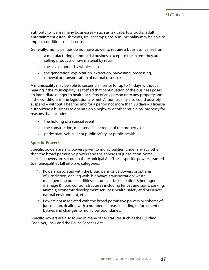authority to license many businesses – such as taxicabs, tow trucks, adult entertainment establishments, trailer camps, etc. A municipality may be able to impose conditions on a license.

Generally, municipalities do not have power to require a business license from:

- a manufacturing or industrial business except to the extent they are selling products or raw material by retail;
- the sale of goods by wholesale; or
- the generation, exploitation, extraction, harvesting, processing, renewal or transportation of natural resources.

A municipality may be able to suspend a license for up to 14 days without a hearing if the municipality is satisfied that continuation of the business poses an immediate danger to health or safety of any person or to any property and if the conditions in the legislation are met. A municipality also could possibly suspend – without a hearing and for a period not more than 28 days – a license authorizing a business to operate on a highway or other municipal property for reasons that include:

- the holding of a special event;
- the construction, maintenance or repair of the property; or
- pedestrian, vehicular or public safety, or public health.

## **Specific Powers**

Specific powers are any powers given to municipalities, under any act, other than the broad permissive powers and the spheres of jurisdiction. Some specific powers are set out in the Municipal Act. These specific powers granted to municipalities fall into two categories:

- 1. Powers associated with the broad permissive powers or spheres of jurisdiction, dealing with: highways; transportation; waste management; public utilities; culture, parks, recreation & heritage; drainage & flood control; structures including fences and signs; parking; animals; economic development services; health, safety and nuisance; natural environment, etc.
- 2. Powers not associated with the broad permissive powers or spheres of jurisdiction, dealing with a number of areas, including enforcement of bylaws and changes to municipal boundaries.

Specific powers are also found in many other statutes such as the Building Code Act, 1992 and the Police Services Act.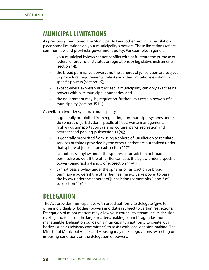# **MUNICIPAL LIMITATIONS**

As previously mentioned, the Municipal Act and other provincial legislation place some limitations on your municipality's powers. These limitations reflect common-law and provincial government policy. For example, in general:

- your municipal bylaws cannot conflict with or frustrate the purpose of federal or provincial statutes or regulations or legislative instruments (section 14);
- the broad permissive powers and the spheres of jurisdiction are subject to procedural requirements (rules) and other limitations existing in specific powers (section 15);
- except where expressly authorized, a municipality can only exercise its powers within its municipal boundaries; and
- the government may, by regulation, further limit certain powers of a municipality (section 451.1).

As well, in a two-tier system, a municipality:

- is generally prohibited from regulating non-municipal systems under six spheres of jurisdiction – public utilities; waste management; highways; transportation systems; culture, parks, recreation and heritage; and parking (subsection 11(8));
- is generally prohibited from using a sphere of jurisdiction to regulate services or things provided by the other tier that are authorized under that sphere of jurisdiction (subsection 11(7));
- cannot pass a bylaw under the spheres of jurisdiction or broad permissive powers if the other tier can pass the bylaw under a specific power (paragraphs 4 and 5 of subsection 11(4));
- cannot pass a bylaw under the spheres of jurisdiction or broad permissive powers if the other tier has the exclusive power to pass the bylaw under the spheres of jurisdiction (paragraphs 1 and 2 of subsection 11(4)).

# **DELEGATION**

The Act provides municipalities with broad authority to delegate (give to other individuals or bodies) powers and duties subject to certain restrictions. Delegation of minor matters may allow your council to streamline its decisionmaking and focus on the larger matters, making council's agendas more manageable. Delegation builds on a municipality's authority to create local bodies (such as advisory committees) to assist with local decision-making. The Minister of Municipal Affairs and Housing may make regulations restricting or imposing conditions on the delegation of powers.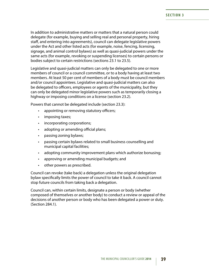In addition to administrative matters or matters that a natural person could delegate (for example, buying and selling real and personal property, hiring staff, and entering into agreements), council can delegate legislative powers under the Act and other listed acts (for example, noise, fencing, licensing, signage, and animal control bylaws) as well as quasi-judicial powers under the same acts (for example, revoking or suspending licenses) to certain persons or bodies subject to certain restrictions (sections 23.1 to 23.5).

Legislative and quasi-judicial matters can only be delegated to one or more members of council or a council committee, or to a body having at least two members. At least 50 per cent of members of a body must be council members and/or council appointees. Legislative and quasi-judicial matters can also be delegated to officers, employees or agents of the municipality, but they can only be delegated minor legislative powers such as temporarily closing a highway or imposing conditions on a license (section 23.2).

Powers that cannot be delegated include (section 23.3):

- appointing or removing statutory officers;
- imposing taxes;
- incorporating corporations;
- adopting or amending official plans;
- passing zoning bylaws;
- passing certain bylaws related to small business counselling and municipal capital facilities;
- adopting community improvement plans which authorize bonusing;
- approving or amending municipal budgets; and
- other powers as prescribed.

Council can revoke (take back) a delegation unless the original delegation bylaw specifically limits the power of council to take it back. A council cannot stop future councils from taking back a delegation.

Council can, within certain limits, designate a person or body (whether composed of themselves or another body) to conduct a review or appeal of the decisions of another person or body who has been delegated a power or duty. (Section 284.1).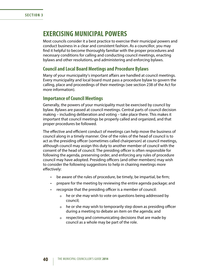# **EXERCISING MUNICIPAL POWERS**

Most councils consider it a best practice to exercise their municipal powers and conduct business in a clear and consistent fashion. As a councillor, you may find it helpful to become thoroughly familiar with the proper procedures and necessary conditions for calling and conducting council meetings, enacting bylaws and other resolutions, and administering and enforcing bylaws.

# **Council and Local Board Meetings and Procedure Bylaws**

Many of your municipality's important affairs are handled at council meetings. Every municipality and local board must pass a procedure bylaw to govern the calling, place and proceedings of their meetings (see section 238 of the Act for more information).

# **Importance of Council Meetings**

Generally, the powers of your municipality must be exercised by council by bylaw. Bylaws are passed at council meetings. Central parts of council decision making – including deliberation and voting – take place there. This makes it important that council meetings be properly called and organized, and that proper procedures be followed.

The effective and efficient conduct of meetings can help move the business of council along in a timely manner. One of the roles of the head of council is to act as the presiding officer (sometimes called chairperson) at council meetings, although council may assign this duty to another member of council with the consent of the head of council. The presiding officer is often responsible for following the agenda, preserving order, and enforcing any rules of procedure council may have adopted. Presiding officers (and other members) may wish to consider the following suggestions to help in chairing meetings more effectively:

- $\cdot$  be aware of the rules of procedure, be timely, be impartial, be firm;
- prepare for the meeting by reviewing the entire agenda package; and
- recognize that the presiding officer is a member of council:
	- o he or she may wish to vote on questions being addressed by council;
	- o he or she may wish to temporarily step down as presiding officer during a meeting to debate an item on the agenda; and
	- o respecting and communicating decisions that are made by council as a whole may be part of the role.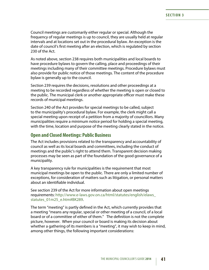Council meetings are customarily either regular or special. Although the frequency of regular meetings is up to council, they are usually held at regular intervals and at locations set out in the procedural bylaw. An exception is the date of council's first meeting after an election, which is regulated by section 230 of the Act.

As noted above, section 238 requires both municipalities and local boards to have procedure bylaws to govern the calling, place and proceedings of their meetings including many of their committee meetings. Procedure bylaws must also provide for public notice of those meetings. The content of the procedure bylaw is generally up to the council.

Section 239 requires the decisions, resolutions and other proceedings at a meeting to be recorded regardless of whether the meeting is open or closed to the public. The municipal clerk or another appropriate officer must make these records of municipal meetings.

Section 240 of the Act provides for special meetings to be called, subject to the municipality's procedural bylaw. For example, the clerk might call a special meeting upon receipt of a petition from a majority of councillors. Many municipalities require a minimum notice period for holding a special meeting, with the time, location and purpose of the meeting clearly stated in the notice.

## **Open and Closed Meetings: Public Business**

The Act includes provisions related to the transparency and accountability of council as well as its local boards and committees, including the conduct of meetings and the public's right to attend them. Transparent decision making processes may be seen as part of the foundation of the good governance of a municipality.

A key transparency rule for municipalities is the requirement that most municipal meetings be open to the public. There are only a limited number of exceptions, for consideration of matters such as litigation, or personal matters about an identifiable individual.

See section 239 of the Act for more information about open meetings requirements: [http://www.e-laws.gov.on.ca/html/statutes/english/elaws\\_](http://www.e-laws.gov.on.ca/html/statutes/english/elaws_statutes_01m25_e.htm#BK289) [statutes\\_01m25\\_e.htm#BK289](http://www.e-laws.gov.on.ca/html/statutes/english/elaws_statutes_01m25_e.htm#BK289).

The term "meeting" is partly defined in the Act, which currently provides that a meeting "means any regular, special or other meeting of a council, of a local board or of a committee of either of them." The definition is not the complete picture, however. When your council or board is making its decision about whether a gathering of its members is a "meeting", it may wish to keep in mind, among other things, the following important considerations: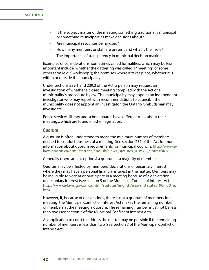#### **SECTION 3**

- Is the subject matter of the meeting something traditionally municipal or something municipalities make decisions about?
- Are municipal resources being used?
- How many members or staff are present and what is their role?
- The importance of transparency in municipal decision making

Examples of considerations, sometimes called formalities, which may be less important include: whether the gathering was called a "meeting" or some other term (e.g. "'workshop"); the premises where it takes place; whether it is within or outside the municipality.

Under sections 239.1 and 239.2 of the Act, a person may request an investigation of whether a closed meeting complied with the Act or a municipality's procedure bylaw. The municipality may appoint an independent investigator who may report with recommendations to council. If the municipality does not appoint an investigator, the Ontario Ombudsman may investigate.

Police services, library and school boards have different rules about their meetings, which are found in other legislation.

## **Quorum**

A quorum is often understood to mean the minimum number of members needed to conduct business at a meeting. See section 237 of the Act for more information about quorum requirements for municipal councils: [http://www.e](http://www.e-laws.gov.on.ca/html/statutes/english/elaws_statutes_01m25_e.htm#BK285)[laws.gov.on.ca/html/statutes/english/elaws\\_statutes\\_01m25\\_e.htm#BK285.](http://www.e-laws.gov.on.ca/html/statutes/english/elaws_statutes_01m25_e.htm#BK285)

Generally (there are exceptions) a quorum is a majority of members.

Quorum may be affected by members' declarations of pecuniary interest, where they may have a personal financial interest in the matter. Members may be ineligible to vote at or participate in a meeting because of a declaration of pecuniary interest (see section 5 of the Municipal Conflict of Interest Act): [http://www.e-laws.gov.on.ca/html/statutes/english/elaws\\_statutes\\_90m50\\_e.](http://www.e-laws.gov.on.ca/html/statutes/english/elaws_statutes_90m50_e.htm) [htm.](http://www.e-laws.gov.on.ca/html/statutes/english/elaws_statutes_90m50_e.htm)

However, if, because of declarations, there is not a quorum of members for a meeting, the Municipal Conflict of Interest Act makes the remaining number of members at the meeting a quorum. The remaining number must not be less than two (see section 7 of the Municipal Conflict of Interest Act).

An application to court to address the matter may be possible if the remaining number of members is less than two (see section 7 of the Municipal Conflict of Interest Act).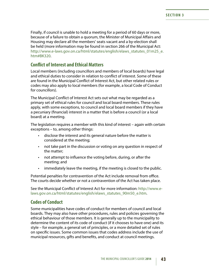Finally, if council is unable to hold a meeting for a period of 60 days or more, because of a failure to obtain a quorum, the Minister of Municipal Affairs and Housing may declare all the members' seats vacant and a by-election shall be held (more information may be found in section 266 of the Municipal Act: [http://www.e-laws.gov.on.ca/html/statutes/english/elaws\\_statutes\\_01m25\\_e.](http://www.e-laws.gov.on.ca/html/statutes/english/elaws_statutes_01m25_e.htm#BK320) [htm#BK320](http://www.e-laws.gov.on.ca/html/statutes/english/elaws_statutes_01m25_e.htm#BK320).

## **Conflict of Interest and Ethical Matters**

Local members (including councillors and members of local boards) have legal and ethical duties to consider in relation to conflict of interest. Some of these are found in the Municipal Conflict of Interest Act, but other related rules or codes may also apply to local members (for example, a local Code of Conduct for councillors).

The Municipal Conflict of Interest Act sets out what may be regarded as a primary set of ethical rules for council and local board members. These rules apply, with some exceptions, to council and local board members if they have a pecuniary (financial) interest in a matter that is before a council (or a local board) at a meeting.

The legislation requires a member with this kind of interest – again with certain exceptions – to, among other things:

- disclose the interest and its general nature before the matter is considered at the meeting;
- not take part in the discussion or voting on any question in respect of the matter;
- not attempt to influence the voting before, during, or after the meeting; and
- immediately leave the meeting, if the meeting is closed to the public.

Potential penalties for contravention of the Act include removal from office. The courts decide whether or not a contravention of the Act has taken place.

See the Municipal Conflict of Interest Act for more information: [http://www.e](http://www.e-laws.gov.on.ca/html/statutes/english/elaws_statutes_90m50_e.htm)[laws.gov.on.ca/html/statutes/english/elaws\\_statutes\\_90m50\\_e.htm](http://www.e-laws.gov.on.ca/html/statutes/english/elaws_statutes_90m50_e.htm).

## **Codes of Conduct**

Some municipalities have codes of conduct for members of council and local boards. They may also have other procedures, rules and policies governing the ethical behaviour of those members. It is generally up to the municipality to determine the content of its code of conduct (if it chooses to have one) and its style – for example, a general set of principles, or a more detailed set of rules on specific issues. Some common issues that codes address include the use of municipal resources, gifts and benefits, and conduct at council meetings.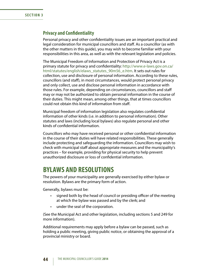# **Privacy and Confidentiality**

Personal privacy and other confidentiality issues are an important practical and legal consideration for municipal councillors and staff. As a councillor (as with the other matters in this guide), you may wish to become familiar with your responsibilities in this area, as well as with the relevant legislation and policies.

The Municipal Freedom of Information and Protection of Privacy Act is a primary statute for privacy and confidentiality: [http://www.e-laws.gov.on.ca/](http://www.e-laws.gov.on.ca/html/statutes/english/elaws_statutes_90m56_e.htm) [html/statutes/english/elaws\\_statutes\\_90m56\\_e.htm.](http://www.e-laws.gov.on.ca/html/statutes/english/elaws_statutes_90m56_e.htm) It sets out rules for collection, use and disclosure of personal information. According to these rules, councillors (and staff), in most circumstances, would protect personal privacy and only collect, use and disclose personal information in accordance with those rules. For example, depending on circumstances, councillors and staff may or may not be authorized to obtain personal information in the course of their duties. This might mean, among other things, that at times councillors could not obtain this kind of information from staff.

Municipal freedom of information legislation also regulates confidential information of other kinds (i.e. in addition to personal information). Other statutes and laws (including local bylaws) also regulate personal and other kinds of confidential information.

Councillors who may have received personal or other confidential information in the course of their duties will have related responsibilities. These generally include protecting and safeguarding the information. Councillors may wish to check with municipal staff about appropriate measures and the municipality's practices – for example, providing for physical security to help prevent unauthorized disclosure or loss of confidential information.

# **BYLAWS AND RESOLUTIONS**

The powers of your municipality are generally exercised by either bylaw or resolution. Bylaws are the primary form of action.

Generally, bylaws must be:

- signed both by the head of council or presiding officer of the meeting at which the bylaw was passed and by the clerk; and
- under the seal of the corporation.

(See the Municipal Act and other legislation, including sections 5 and 249 for more information).

Additional requirements may apply before a bylaw can be passed, such as holding a public meeting, giving public notice, or obtaining the approval of a provincial ministry or board.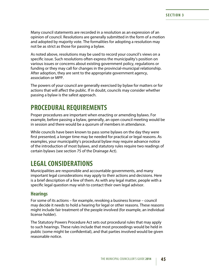Many council statements are recorded in a resolution as an expression of an opinion of council. Resolutions are generally submitted in the form of a motion and adopted by majority vote. The formalities for adopting a resolution may not be as strict as those for passing a bylaw.

As noted above, resolutions may be used to record your council's views on a specific issue. Such resolutions often express the municipality's position on various issues or concerns about existing government policy, regulations or funding or they may call for changes in the provincial-municipal relationship. After adoption, they are sent to the appropriate government agency, association or MPP.

The powers of your council are generally exercised by bylaw for matters or for actions that will affect the public. If in doubt, councils may consider whether passing a bylaw is the safest approach.

# **PROCEDURAL REQUIREMENTS**

Proper procedures are important when enacting or amending bylaws. For example, before passing a bylaw, generally, an open council meeting would be in session and there would be a quorum of members in attendance.

While councils have been known to pass some bylaws on the day they were first presented, a longer time may be needed for practical or legal reasons. As examples, your municipality's procedural bylaw may require advance notice of the introduction of most bylaws, and statutory rules require two readings of certain bylaws (see section 75 of the Drainage Act).

# **LEGAL CONSIDERATIONS**

Municipalities are responsible and accountable governments, and many important legal considerations may apply to their actions and decisions. Here is a brief description of a few of them. As with any legal matter, people with a specific legal question may wish to contact their own legal advisor.

# **Hearings**

For some of its actions – for example, revoking a business license – council may decide it needs to hold a hearing for legal or other reasons. These reasons might include fair treatment of the people involved (for example, an individual license holder).

The Statutory Powers Procedure Act sets out procedural rules that may apply to such hearings. These rules include that most proceedings would be held in public (some might be confidential), and that parties involved would be given reasonable notice.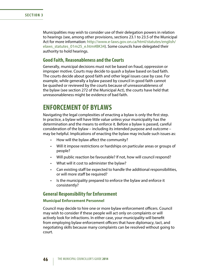Municipalities may wish to consider use of their delegation powers in relation to hearings (see, among other provisions, sections 23.1 to 23.5 of the Municipal Act for more information: [http://www.e-laws.gov.on.ca/html/statutes/english/](http://www.e-laws.gov.on.ca/html/statutes/english/elaws_statutes_01m25_e.htm#BK34) elaws statutes 01m25 e.htm#BK34). Some councils have delegated their authority to hold hearings.

## **Good Faith, Reasonableness and the Courts**

Generally, municipal decisions must not be based on fraud, oppression or improper motive. Courts may decide to quash a bylaw based on bad faith. The courts decide about good faith and other legal issues case by case. For example, while generally a bylaw passed by council in good faith cannot be quashed or reviewed by the courts because of unreasonableness of the bylaw (see section 272 of the Municipal Act), the courts have held that unreasonableness might be evidence of bad faith.

# **ENFORCEMENT OF BYLAWS**

Navigating the legal complexities of enacting a bylaw is only the first step. In practice, a bylaw will have little value unless your municipality has the determination and the means to enforce it. Before a bylaw is passed, careful consideration of the bylaw – including its intended purpose and outcome – may be helpful. Implications of enacting the bylaw may include such issues as:

- How will the bylaw affect the community?
- Will it impose restrictions or hardships on particular areas or groups of people?
- Will public reaction be favourable? If not, how will council respond?
- What will it cost to administer the bylaw?
- Can existing staff be expected to handle the additional responsibilities, or will more staff be required?
- Is the municipality prepared to enforce the bylaw and enforce it consistently?

# **General Responsibility for Enforcement**

### **Municipal Enforcement Personnel**

Council may decide to hire one or more bylaw enforcement officers. Council may wish to consider if these people will act only on complaints or will actively look for infractions. In either case, your municipality will benefit from employing bylaw enforcement officers that have diplomacy, tact, and negotiating skills because many complaints can be resolved without going to court.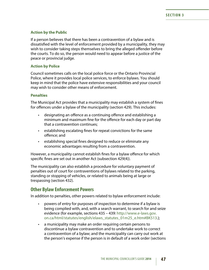## **Action by the Public**

If a person believes that there has been a contravention of a bylaw and is dissatisfied with the level of enforcement provided by a municipality, they may wish to consider taking steps themselves to bring the alleged offender before the courts. To do so, the person would need to appear before a justice of the peace or provincial judge.

## **Action by Police**

Council sometimes calls on the local police force or the Ontario Provincial Police, where it provides local police services, to enforce bylaws. You should keep in mind that the police have extensive responsibilities and your council may wish to consider other means of enforcement.

## **Penalties**

The Municipal Act provides that a municipality may establish a system of fines for offences under a bylaw of the municipality (section 429). This includes:

- designating an offence as a continuing offence and establishing a minimum and maximum fine for the offence for each day or part day that a contravention continues;
- establishing escalating fines for repeat convictions for the same offence; and
- establishing special fines designed to reduce or eliminate any economic advantages resulting from a contravention.

However, a municipality cannot establish fines for a bylaw offence for which specific fines are set out in another Act (subsection 429(4)).

The municipality can also establish a procedure for voluntary payment of penalties out of court for contraventions of bylaws related to the parking, standing or stopping of vehicles, or related to animals being at large or trespassing (section 432).

# **Other Bylaw Enforcement Powers**

In addition to penalties, other powers related to bylaw enforcement include:

- powers of entry for purposes of inspection to determine if a bylaw is being complied with, and, with a search warrant, to search for and seize evidence (for example, sections 435 – 439: [http://www.e-laws.gov.](http://www.e-laws.gov.on.ca/html/statutes/english/elaws_statutes_01m25_e.htm#BK513) [on.ca/html/statutes/english/elaws\\_statutes\\_01m25\\_e.htm#BK513.](http://www.e-laws.gov.on.ca/html/statutes/english/elaws_statutes_01m25_e.htm#BK513));
- a municipality may make an order requiring certain persons to discontinue a bylaw contravention and to undertake work to correct a contravention of a bylaw; and the municipality can carry out work at the person's expense if the person is in default of a work order (sections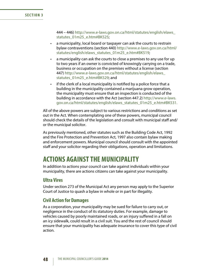### **SECTION 3**

444 – 446) [http://www.e-laws.gov.on.ca/html/statutes/english/elaws\\_](http://www.e-laws.gov.on.ca/html/statutes/english/elaws_statutes_01m25_e.htm#BK525) [statutes\\_01m25\\_e.htm#BK525;](http://www.e-laws.gov.on.ca/html/statutes/english/elaws_statutes_01m25_e.htm#BK525)

- a municipality, local board or taxpayer can ask the courts to restrain bylaw contraventions (section 440) [http://www.e-laws.gov.on.ca/html/](http://www.e-laws.gov.on.ca/html/statutes/english/elaws_statutes_01m25_e.htm#BK519) [statutes/english/elaws\\_statutes\\_01m25\\_e.htm#BK519](http://www.e-laws.gov.on.ca/html/statutes/english/elaws_statutes_01m25_e.htm#BK519);
- a municipality can ask the courts to close a premises to any use for up to two years if an owner is convicted of knowingly carrying on a trade, business or occupation on the premises without a license (section 447) [http://www.e-laws.gov.on.ca/html/statutes/english/elaws\\_](http://www.e-laws.gov.on.ca/html/statutes/english/elaws_statutes_01m25_e.htm#BK529) [statutes\\_01m25\\_e.htm#BK529;](http://www.e-laws.gov.on.ca/html/statutes/english/elaws_statutes_01m25_e.htm#BK529) and
- if the clerk of a local municipality is notified by a police force that a building in the municipality contained a marijuana grow operation, the municipality must ensure that an inspection is conducted of the building in accordance with the Act (section 447.2) [http://www.e-laws.](http://www.e-laws.gov.on.ca/html/statutes/english/elaws_statutes_01m25_e.htm#BK531) [gov.on.ca/html/statutes/english/elaws\\_statutes\\_01m25\\_e.htm#BK531](http://www.e-laws.gov.on.ca/html/statutes/english/elaws_statutes_01m25_e.htm#BK531).

All of the above powers are subject to various restrictions and conditions as set out in the Act. When contemplating one of these powers, municipal council should check the details of the legislation and consult with municipal staff and/ or the municipal solicitor.

As previously mentioned, other statutes such as the Building Code Act, 1992 and the Fire Protection and Prevention Act, 1997 also contain bylaw making and enforcement powers. Municipal council should consult with the appointed staff and your solicitor regarding their obligations, operation and limitations.

# **ACTIONS AGAINST THE MUNICIPALITY**

In addition to actions your council can take against individuals within your municipality, there are actions citizens can take against your municipality.

## **Ultra Vires**

Under section 273 of the Municipal Act any person may apply to the Superior Court of Justice to quash a bylaw in whole or in part for illegality.

## **Civil Action for Damages**

As a corporation, your municipality may be sued for failure to carry out, or negligence in the conduct of its statutory duties. For example, damage to vehicles caused by poorly maintained roads, or an injury suffered in a fall on an icy sidewalk, could result in a civil suit. You and the rest of council should ensure that your municipality has adequate insurance to cover this type of civil action.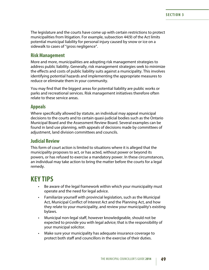The legislature and the courts have come up with certain restrictions to protect municipalities from litigation. For example, subsection 44(9) of the Act limits potential municipal liability for personal injury caused by snow or ice on a sidewalk to cases of "gross negligence".

## **Risk Management**

More and more, municipalities are adopting risk management strategies to address public liability. Generally, risk management strategies seek to minimize the effects and costs of public liability suits against a municipality. This involves identifying potential hazards and implementing the appropriate measures to reduce or eliminate them in your community.

You may find that the biggest areas for potential liability are public works or parks and recreational services. Risk management initiatives therefore often relate to these service areas.

## **Appeals**

Where specifically allowed by statute, an individual may appeal municipal decisions to the courts and to certain quasi-judicial bodies such as the Ontario Municipal Board and the Assessment Review Board. Several examples can be found in land use planning, with appeals of decisions made by committees of adjustment, land division committees and councils.

# **Judicial Review**

This form of court action is limited to situations where it is alleged that the municipality proposes to act, or has acted, without power or beyond its powers, or has refused to exercise a mandatory power. In these circumstances, an individual may take action to bring the matter before the courts for a legal remedy.

# **KEY TIPS**

- Be aware of the legal framework within which your municipality must operate and the need for legal advice.
- Familiarize yourself with provincial legislation, such as the Municipal Act, Municipal Conflict of Interest Act and the Planning Act, and how they relate to your municipality, and review your municipality's existing bylaws.
- Municipal non-legal staff, however knowledgeable, should not be expected to provide you with legal advice; that is the responsibility of your municipal solicitor.
- Make sure your municipality has adequate insurance coverage to protect both staff and councillors in the exercise of their duties.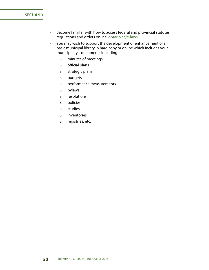### **SECTION 3**

- • Become familiar with how to access federal and provincial statutes, regulations and orders online: [ontario.ca/e-laws.](http://www.ontario.ca/e-laws)
- • You may wish to support the development or enhancement of a basic municipal library in hard copy or online which includes your municipality's documents including:
	- o minutes of meetings
	- o official plans
	- o strategic plans
	- o budgets
	- o performance measurements
	- o bylaws
	- o resolutions
	- o policies
	- o studies
	- o inventories
	- o registries, etc.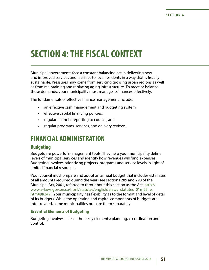# **SECTION 4: THE FISCAL CONTEXT**

Municipal governments face a constant balancing act in delivering new and improved services and facilities to local residents in a way that is fiscally sustainable. Pressures may come from servicing growing urban regions as well as from maintaining and replacing aging infrastructure. To meet or balance these demands, your municipality must manage its finances effectively.

The fundamentals of effective finance management include:

- an effective cash management and budgeting system;
- effective capital financing policies;
- regular financial reporting to council; and
- regular programs, services, and delivery reviews.

# **FINANCIAL ADMINISTRATION**

# **Budgeting**

Budgets are powerful management tools. They help your municipality define levels of municipal services and identify how revenues will fund expenses. Budgeting involves prioritizing projects, programs and service levels in light of limited financial resources.

Your council must prepare and adopt an annual budget that includes estimates of all amounts required during the year (see sections 289 and 290 of the Municipal Act, 2001, referred to throughout this section as the Act: [http://](http://www.e-laws.gov.on.ca/html/statutes/english/elaws_statutes_01m25_e.htm#BK349) [www.e-laws.gov.on.ca/html/statutes/english/elaws\\_statutes\\_01m25\\_e.](http://www.e-laws.gov.on.ca/html/statutes/english/elaws_statutes_01m25_e.htm#BK349) [htm#BK349](http://www.e-laws.gov.on.ca/html/statutes/english/elaws_statutes_01m25_e.htm#BK349)). Your municipality has flexibility as to the format and level of detail of its budgets. While the operating and capital components of budgets are inter-related, some municipalities prepare them separately.

#### **Essential Elements of Budgeting**

Budgeting involves at least three key elements: planning, co-ordination and control.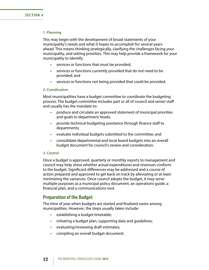#### **1. Planning**

This may begin with the development of broad statements of your municipality's needs and what it hopes to accomplish for several years ahead. This means thinking strategically, clarifying the challenges facing your municipality, and setting priorities. This may help provide a framework for your municipality to identify:

- • services or functions that must be provided;
- • services or functions currently provided that do not need to be provided; and
- services or functions not being provided that could be provided.

## **2. Coordination**

Most municipalities have a budget committee to coordinate the budgeting process. The budget committee includes part or all of council and senior staff and usually has the mandate to:

- produce and circulate an approved statement of municipal priorities and goals to department heads;
- provide technical budgeting assistance through finance staff to departments;
- • evaluate individual budgets submitted to the committee; and
- • consolidate departmental and local board budgets into an overall budget document for council's review and consideration.

#### **3. Control**

Once a budget is approved, quarterly or monthly reports to management and council may help show whether actual expenditures and revenues conform to the budget. Significant differences may be addressed and a course of action prepared and approved to get back on track by alleviating or at least minimizing the variances. Once council adopts the budget, it may serve multiple purposes as a municipal policy document, an operations guide, a financial plan, and a communications tool.

# **Preparation of the Budget**

The time of year when budgets are started and finalized varies among municipalities. However, the steps usually taken include:

- establishing a budget timetable;
- initiating a budget plan, supporting data and guidelines;
- • evaluating/reviewing draft estimates;
- • compiling an overall budget document;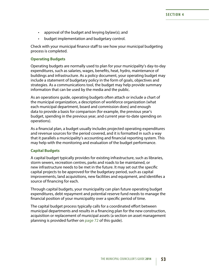- approval of the budget and levying bylaw(s); and
- • budget implementation and budgetary control.

Check with your municipal finance staff to see how your municipal budgeting process is completed.

## **Operating Budgets**

Operating budgets are normally used to plan for your municipality's day-to-day expenditures, such as salaries, wages, benefits, heat, hydro, maintenance of buildings and infrastructure. As a policy document, your operating budget may include a statement of budgetary policy in the form of goals, objectives and strategies. As a communications tool, the budget may help provide summary information that can be used by the media and the public.

As an operations guide, operating budgets often attach or include a chart of the municipal organization, a description of workforce organization (what each municipal department, board and commission does) and enough data to provide a basis for comparison (for example, the previous year's budget, spending in the previous year, and current year-to-date spending on operations).

As a financial plan, a budget usually includes projected operating expenditures and revenue sources for the period covered, and it is formatted in such a way that it parallels a municipality's accounting and financial reporting system. This may help with the monitoring and evaluation of the budget performance.

## **Capital Budgets**

A capital budget typically provides for existing infrastructure, such as libraries, storm sewers, recreation centres, parks and roads to be maintained, or new infrastructure needs to be met in the future. It may set out the specific capital projects to be approved for the budgetary period, such as capital improvements, land acquisitions, new facilities and equipment, and identifies a source of financing for each.

Through capital budgets, your municipality can plan future operating budget expenditures, debt repayment and potential reserve fund needs to manage the financial position of your municipality over a specific period of time.

The capital budget process typically calls for a coordinated effort between municipal departments and results in a financing plan for the new construction, acquisition or replacement of municipal assets (a section on asset management planning is provided further on [page 72](#page-78-0) of this guide).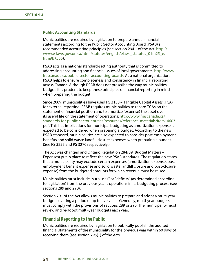#### **Public Accounting Standards**

Municipalities are required by legislation to prepare annual financial statements according to the Public Sector Accounting Board (PSAB)'s recommended accounting principles (see section 294.1 of the Act: [http://](http://www.e-laws.gov.on.ca/html/statutes/english/elaws_statutes_01m25_e.htm#BK355) [www.e-laws.gov.on.ca/html/statutes/english/elaws\\_statutes\\_01m25\\_e.](http://www.e-laws.gov.on.ca/html/statutes/english/elaws_statutes_01m25_e.htm#BK355) [htm#BK355](http://www.e-laws.gov.on.ca/html/statutes/english/elaws_statutes_01m25_e.htm#BK355)).

PSAB acts as a national standard-setting authority that is committed to addressing accounting and financial issues of local governments: [http://www.](http://www.frascanada.ca/public-sector-accounting-board/) [frascanada.ca/public-sector-accounting-board/](http://www.frascanada.ca/public-sector-accounting-board/). As a national organization, PSAB helps to ensure completeness and consistency in financial reporting across Canada. Although PSAB does not prescribe the way municipalities budget, it is prudent to keep these principles of financial reporting in mind when preparing the budget.

Since 2009, municipalities have used PS 3150 – Tangible Capital Assets (TCA) for external reporting. PSAB requires municipalities to record TCAs on the statement of financial position and to amortize (expense) the asset over its useful life on the statement of operations: [http://www.frascanada.ca/](http://www.frascanada.ca/item62001.aspx) [standards-for-public-sector-entities/resources/reference-materials/item14603.](http://www.frascanada.ca/item62001.aspx) pdf. This has implications for municipal budgeting as amortization expense is expected to be considered when preparing a budget. According to the new PSAB standard, municipalities are also expected to consider post-employment benefits and solid waste landfill closure expenses when preparing a budget. (See PS 3255 and PS 3270 respectively.)

The Act was changed and Ontario Regulation 284/09 (Budget Matters – Expenses) put in place to reflect the new PSAB standards. The regulation states that a municipality may exclude certain expenses (amortization expense, postemployment benefit expense and solid waste landfill closure and post-closure expense) from the budgeted amounts for which revenue must be raised.

Municipalities must include "surpluses" or "deficits" (as determined according to legislation) from the previous year's operations in its budgeting process (see sections 289 and 290).

Section 291 of the Act allows municipalities to prepare and adopt a multi-year budget covering a period of up to five years. Generally, multi-year budgets must comply with the provisions of sections 289 or 290. The municipality must review and re-adopt multi-year budgets each year.

## **Financial Reporting to the Public**

Municipalities are required by legislation to publically publish the audited financial statements of the municipality for the previous year within 60 days of receiving them (see section 295(1) of the Act).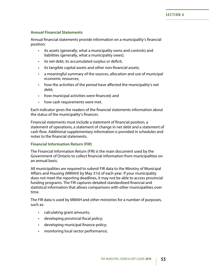## **Annual Financial Statements**

Annual financial statements provide information on a municipality's financial position:

- • its assets (generally, what a municipality owns and controls) and liabilities (generally, what a municipality owes);
- its net debt, its accumulated surplus or deficit;
- its tangible capital assets and other non-financial assets;
- a meaningful summary of the sources, allocation and use of municipal economic resources;
- how the activities of the period have affected the municipality's net debt;
- how municipal activities were financed; and
- how cash requirements were met.

Each indicator gives the readers of the financial statements information about the status of the municipality's finances.

Financial statements must include a statement of financial position, a statement of operations, a statement of change in net debt and a statement of cash flow. Additional supplementary information is provided in schedules and notes to the financial statements.

## **Financial Information Return (FIR)**

The Financial Information Return (FIR) is the main document used by the Government of Ontario to collect financial information from municipalities on an annual basis.

All municipalities are required to submit FIR data to the Ministry of Municipal Affairs and Housing (MMAH) by May 31st of each year. If your municipality does not meet the reporting deadlines, it may not be able to access provincial funding programs. The FIR captures detailed standardized financial and statistical information that allows comparisons with other municipalities over time.

The FIR data is used by MMAH and other ministries for a number of purposes, such as:

- calculating grant amounts;
- • developing provincial fiscal policy;
- developing municipal finance policy;
- monitoring local sector performance;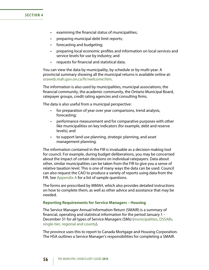### **SECTION 4**

- • examining the financial status of municipalities;
- preparing municipal debt limit reports;
- forecasting and budgeting;
- preparing local economic profiles and information on local services and service levels for use by industry; and
- • requests for financial and statistical data.

You can view the data by municipality, by schedule or by multi-year. A provincial summary showing all the municipal returns is available online at: oraweb.mah.gov.on.ca/fir/welcome.htm.

The information is also used by municipalities, municipal associations, the financial community, the academic community, the Ontario Municipal Board, ratepayer groups, credit rating agencies and consulting firms.

The data is also useful from a municipal perspective:

- for preparation of year over year comparisons, trend analysis, forecasting;
- performance measurement and for comparative purposes with other like municipalities on key indicators (for example, debt and reserve levels); and
- to support land use planning, strategic planning, and asset management planning.

The information contained in the FIR is invaluable as a decision making tool for council. For example, during budget deliberations, you may be concerned about the impact of certain decisions on individual ratepayers. Data about other, similar municipalities can be taken from the FIR to give you a sense of relative taxation level. This is one of many ways the data can be used. Council can also request the CAO to produce a variety of reports using data from the FIR. See [Appendix A](#page-119-0) for a list of sample questions.

The forms are prescribed by MMAH, which also provides detailed instructions on how to complete them, as well as other advice and assistance that may be needed.

#### **Reporting Requirements for Service Managers – Housing**

The Service Manager Annual Information Return (SMAIR) is a summary of financial, operating and statistical information for the period January 1 - December 31 for all types of Service Managers (SMs) ([municipalities, DSSABs,](#page-23-0)  [single-tier, regional and county\)](#page-23-0).

The province uses this to report to Canada Mortgage and Housing Corporation. The HSA outlines a Service Manager's responsibilities for completing a SMAIR.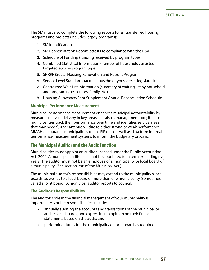The SM must also complete the following reports for all transferred housing programs and projects (includes legacy programs):

- 1. SM Identification
- 2. SM Representation Report (attests to compliance with the HSA)
- 3. Schedule of Funding (funding received by program type)
- 4. Combined Statistical Information (number of households assisted, targeted etc.) by program type
- 5. SHRRP (Social Housing Renovation and Retrofit Program)
- 6. Service Level Standards (actual household types verses legislated)
- 7. Centralized Wait List Information (summary of waiting list by household and program type, seniors, family etc.)
- 8. Housing Allowance/Rent Supplement Annual Reconciliation Schedule

## **Municipal Performance Measurement**

Municipal performance measurement enhances municipal accountability by measuring service delivery in key areas. It is also a management tool; it helps municipalities track their performance over time and identifies service areas that may need further attention – due to either strong or weak performance. MMAH encourages municipalities to use FIR data as well as data from internal performance measurement systems to inform the budgetary process.

# **The Municipal Auditor and the Audit Function**

Municipalities must appoint an auditor licensed under the Public Accounting Act, 2004. A municipal auditor shall not be appointed for a term exceeding five years. The auditor must not be an employee of a municipality or local board of a municipality. (See section 296 of the Municipal Act.)

The municipal auditor's responsibilities may extend to the municipality's local boards, as well as to a local board of more than one municipality (sometimes called a joint board). A municipal auditor reports to council.

## **The Auditor's Responsibilities**

The auditor's role in the financial management of your municipality is important. His or her responsibilities include:

- annually auditing the accounts and transactions of the municipality and its local boards, and expressing an opinion on their financial statements based on the audit; and
- performing duties for the municipality or local board, as required.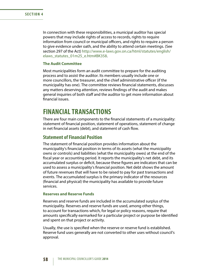In connection with these responsibilities, a municipal auditor has special powers that may include rights of access to records, rights to require information from council or municipal officers, and rights to require a person to give evidence under oath, and the ability to attend certain meetings. (See section 297 of the Act) [http://www.e-laws.gov.on.ca/html/statutes/english/](http://www.e-laws.gov.on.ca/html/statutes/english/elaws_statutes_01m25_e.htm#BK358) elaws statutes 01m25 e.htm#BK358.

### **The Audit Committee**

Most municipalities form an audit committee to prepare for the auditing process and to assist the auditor. Its members usually include one or more councillors, the treasurer, and the chief administrative officer (if the municipality has one). The committee reviews financial statements, discusses any matters deserving attention, reviews findings of the audit and makes general inquiries of both staff and the auditor to get more information about financial issues.

# **FINANCIAL TRANSACTIONS**

There are four main components to the financial statements of a municipality: statement of financial position, statement of operations, statement of change in net financial assets (debt), and statement of cash flow.

# **Statement of Financial Position**

The statement of financial position provides information about the municipality's financial position in terms of its assets (what the municipality owns or controls) and liabilities (what the municipality owes) at the end of the fiscal year or accounting period. It reports the municipality's net debt, and its accumulated surplus or deficit, because these figures are indicators that can be used to assess a municipality's financial position. Net debt shows the amount of future revenues that will have to be raised to pay for past transactions and events. The accumulated surplus is the primary indicator of the resources (financial and physical) the municipality has available to provide future services.

#### **Reserves and Reserve Funds**

Reserves and reserve funds are included in the accumulated surplus of the municipality. Reserves and reserve funds are used, among other things, to account for transactions which, for legal or policy reasons, require that amounts specifically earmarked for a particular project or purpose be identified and spent on that project or activity.

Usually, the use is specified when the reserve or reserve fund is established. Reserve fund uses generally are not converted to other uses without council's approval.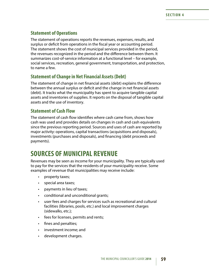# **Statement of Operations**

The statement of operations reports the revenues, expenses, results, and surplus or deficit from operations in the fiscal year or accounting period. The statement shows the cost of municipal services provided in the period, the revenues recognized in the period and the difference between them. It summarizes cost-of-service information at a functional level – for example, social services, recreation, general government, transportation, and protection, to name a few.

# **Statement of Change in Net Financial Assets (Debt)**

The statement of change in net financial assets (debt) explains the difference between the annual surplus or deficit and the change in net financial assets (debt). It tracks what the municipality has spent to acquire tangible capital assets and inventories of supplies. It reports on the disposal of tangible capital assets and the use of inventory.

# **Statement of Cash Flow**

The statement of cash flow identifies where cash came from, shows how cash was used and provides details on changes in cash and cash equivalents since the previous reporting period. Sources and uses of cash are reported by major activity: operations, capital transactions (acquisitions and disposals), investments (purchases and disposals), and financing (debt proceeds and payments).

# **SOURCES OF MUNICIPAL REVENUE**

Revenues may be seen as income for your municipality. They are typically used to pay for the services that the residents of your municipality receive. Some examples of revenue that municipalities may receive include:

- property taxes;
- special area taxes;
- • payments in lieu of taxes;
- • conditional and unconditional grants;
- • user fees and charges for services such as recreational and cultural facilities (libraries, pools, etc.) and local improvement charges (sidewalks, etc.);
- • fees for licenses, permits and rents;
- fines and penalties;
- investment income; and
- • development charges.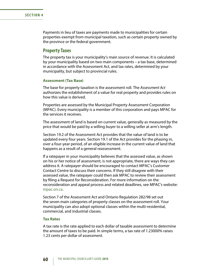Payments in lieu of taxes are payments made to municipalities for certain properties exempt from municipal taxation, such as certain property owned by the province or the federal government.

## **Property Taxes**

The property tax is your municipality's main source of revenue. It is calculated by your municipality based on two main components – a tax base, determined in accordance with the Assessment Act, and tax rates, determined by your municipality, but subject to provincial rules.

### **Assessment (Tax Base)**

The base for property taxation is the assessment roll. The *Assessment Act*  authorizes the establishment of a value for real property and provides rules on how this value is derived.

Properties are assessed by the Municipal Property Assessment Corporation (MPAC). Every municipality is a member of this corporation and pays MPAC for the services it receives.

The assessment of land is based on current value, generally as measured by the price that would be paid by a willing buyer to a willing seller at arm's length.

Section 19.2 of the Assessment Act provides that the value of land is to be updated every four years. Section 19.1 of the Act provides for the phasing in, over a four-year period, of an eligible increase in the current value of land that happens as a result of a general reassessment.

If a ratepayer in your municipality believes that the assessed value, as shown on his or her notice of assessment, is not appropriate, there are ways they can address it. A ratepayer should be encouraged to contact MPAC's Customer Contact Centre to discuss their concerns. If they still disagree with their assessed value, the ratepayer could then ask MPAC to review their assessment by filing a Request for Reconsideration. For more information on the reconsideration and appeal process and related deadlines, see MPAC's website: [mpac.on.ca](http://www.mpac.on.ca/).

Section 7 of the Assessment Act and Ontario Regulation 282/98 set out the seven main categories of property classes on the assessment roll. Your municipality can also adopt optional classes within the multi-residential, commercial, and industrial classes.

### **Tax Rates**

A tax rate is the rate applied to each dollar of taxable assessment to determine the amount of taxes to be paid. In simple terms, a tax rate of 1.23000% raises 1.23 cents per dollar of assessment.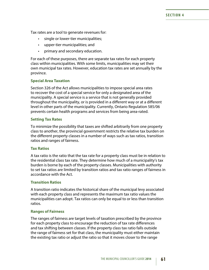Tax rates are a tool to generate revenues for:

- single or lower-tier municipalities;
- • upper-tier municipalities; and
- primary and secondary education.

For each of these purposes, there are separate tax rates for each property class within municipalities. With some limits, municipalities may set their own municipal tax rates. However, education tax rates are set annually by the province.

### **Special Area Taxation**

Section 326 of the Act allows municipalities to impose special area rates to recover the cost of a special service for only a designated area of the municipality. A special service is a service that is not generally provided throughout the municipality, or is provided in a different way or at a different level in other parts of the municipality. Currently, Ontario Regulation 585/06 prevents certain health programs and services from being area-rated.

#### **Setting Tax Rates**

To minimize the possibility that taxes are shifted arbitrarily from one property class to another, the provincial government restricts the relative tax burden on the different property classes in a number of ways such as tax ratios, transition ratios and ranges of fairness.

#### **Tax Ratios**

A tax ratio is the ratio that the tax rate for a property class must be in relation to the residential class tax rate. They determine how much of a municipality's tax burden is borne by each of the property classes. Municipalities with authority to set tax ratios are limited by transition ratios and tax ratio ranges of fairness in accordance with the Act.

### **Transition Ratios**

A transition ratio indicates the historical share of the municipal levy associated with each property class and represents the maximum tax ratio values the municipalities can adopt. Tax ratios can only be equal to or less than transition ratios.

#### **Ranges of Fairness**

The ranges of fairness are target levels of taxation prescribed by the province for each property class to encourage the reduction of tax rate differences and tax shifting between classes. If the property class tax ratio falls outside the range of fairness set for that class, the municipality must either maintain the existing tax ratio or adjust the ratio so that it moves closer to the range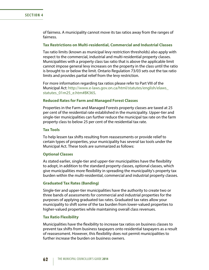of fairness. A municipality cannot move its tax ratios away from the ranges of fairness.

## **Tax Restrictions on Multi-residential, Commercial and Industrial Classes**

Tax ratio limits (known as municipal levy restriction thresholds) also apply with respect to the commercial, industrial and multi-residential property classes. Municipalities with a property class tax ratio that is above the applicable limit cannot impose general levy increases on the property in the class until the ratio is brought to or below the limit. Ontario Regulation 73/03 sets out the tax ratio limits and provides partial relief from the levy restriction.

For more information regarding tax ratios please refer to Part VIII of the Municipal Act: [http://www.e-laws.gov.on.ca/html/statutes/english/elaws\\_](http://www.e-laws.gov.on.ca/html/statutes/english/elaws_statutes_01m25_e.htm#BK365) [statutes\\_01m25\\_e.htm#BK365](http://www.e-laws.gov.on.ca/html/statutes/english/elaws_statutes_01m25_e.htm#BK365).

#### **Reduced Rates for Farm and Managed Forest Classes**

Properties in the Farm and Managed Forests property classes are taxed at 25 per cent of the residential rate established in the municipality. Upper-tier and single-tier municipalities can further reduce the municipal tax rate on the farm property class to below 25 per cent of the residential tax rate.

#### **Tax Tools**

To help lessen tax shifts resulting from reassessments or provide relief to certain types of properties, your municipality has several tax tools under the Municipal Act. These tools are summarized as follows:

#### **Optional Classes**

As stated earlier, single-tier and upper-tier municipalities have the flexibility to adopt, in addition to the standard property classes, optional classes, which give municipalities more flexibility in spreading the municipality's property tax burden within the multi-residential, commercial and industrial property classes.

#### **Graduated Tax Rates (Banding)**

Single-tier and upper-tier municipalities have the authority to create two or three bands of assessments for commercial and industrial properties for the purposes of applying graduated tax rates. Graduated tax rates allow your municipality to shift some of the tax burden from lower-valued properties to higher-valued properties while maintaining overall class revenues.

#### **Tax Ratio Flexibility**

Municipalities have the flexibility to increase tax ratios on business classes to prevent tax shifts from business taxpayers onto residential taxpayers as a result of reassessment. However, this flexibility does not permit municipalities to further increase the burden on business owners.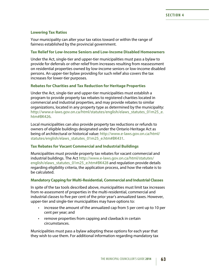## **Lowering Tax Ratios**

Your municipality can alter your tax ratios toward or within the range of fairness established by the provincial government.

### **Tax Relief for Low-Income Seniors and Low-Income Disabled Homeowners**

Under the Act, single-tier and upper-tier municipalities must pass a bylaw to provide for deferrals or other relief from increases resulting from reassessment on residential properties owned by low-income seniors or low-income disabled persons. An upper-tier bylaw providing for such relief also covers the tax increases for lower-tier purposes.

## **Rebates for Charities and Tax Reduction for Heritage Properties**

Under the Act, single-tier and upper-tier municipalities must establish a program to provide property tax rebates to registered charities located in commercial and industrial properties, and may provide rebates to similar organizations, located in any property type as determined by the municipality: [http://www.e-laws.gov.on.ca/html/statutes/english/elaws\\_statutes\\_01m25\\_e.](http://www.e-laws.gov.on.ca/html/statutes/english/elaws_statutes_01m25_e.htm#BK426) [htm#BK426](http://www.e-laws.gov.on.ca/html/statutes/english/elaws_statutes_01m25_e.htm#BK426).

Local municipalities can also provide property tax reductions or refunds to owners of eligible buildings designated under the Ontario Heritage Act as being of architectural or historical value: [http://www.e-laws.gov.on.ca/html/](http://www.e-laws.gov.on.ca/html/statutes/english/elaws_statutes_01m25_e.htm#BK431) [statutes/english/elaws\\_statutes\\_01m25\\_e.htm#BK431.](http://www.e-laws.gov.on.ca/html/statutes/english/elaws_statutes_01m25_e.htm#BK431)

#### **Tax Rebates for Vacant Commercial and Industrial Buildings**

Municipalities must provide property tax rebates for vacant commercial and industrial buildings. The Act [http://www.e-laws.gov.on.ca/html/statutes/](http://www.e-laws.gov.on.ca/html/statutes/english/elaws_statutes_01m25_e.htm#BK428) [english/elaws\\_statutes\\_01m25\\_e.htm#BK428](http://www.e-laws.gov.on.ca/html/statutes/english/elaws_statutes_01m25_e.htm#BK428) and regulation provide details regarding eligibility criteria, the application process, and how the rebate is to be calculated.

### **Mandatory Capping for Multi-Residential, Commercial and Industrial Classes**

In spite of the tax tools described above, municipalities must limit tax increases from re-assessment of properties in the multi-residential, commercial and industrial classes to five per cent of the prior year's annualized taxes. However, upper-tier and single-tier municipalities may have options to:

- increase the amount of the annualized cap from 5 per cent up to 10 per cent per year; and
- remove properties from capping and clawback in certain circumstances.

Municipalities must pass a bylaw adopting these options for each year that they wish to use them. For additional information regarding mandatory tax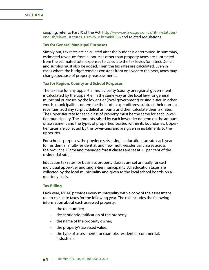capping, refer to Part IX of the Act: [http://www.e-laws.gov.on.ca/html/statutes/](http://www.e-laws.gov.on.ca/html/statutes/ english/elaws_statutes_01m25_e.htm#BK386)  [english/elaws\\_statutes\\_01m25\\_e.htm#BK386](http://www.e-laws.gov.on.ca/html/statutes/ english/elaws_statutes_01m25_e.htm#BK386) and related regulations.

### **Tax for General Municipal Purposes**

Simply put, tax rates are calculated after the budget is determined. In summary, estimated revenues from all sources other than property taxes are subtracted from the estimated total expenses to calculate the tax levies (or rates). Deficit and surplus must also be added. Then the tax rates are calculated. Even in cases where the budget remains constant from one year to the next, taxes may change because of property reassessments.

#### **Tax for Region, County and School Purposes**

The tax rate for any upper-tier municipality (county or regional government) is calculated by the upper-tier in the same way as the local levy for general municipal purposes by the lower-tier (local government) or single-tier. In other words, municipalities determine their total expenditures, subtract their non-tax revenues, add any surplus/deficit amounts and then calculate their tax rates. The upper-tier rate for each class of property must be the same for each lowertier municipality. The amounts raised by each lower tier depend on the amount of assessment and the types of properties located within its boundaries. Uppertier taxes are collected by the lower-tiers and are given in instalments to the upper-tier.

For schools purposes, the province sets a single education tax rate each year for residential, multi-residential, and new multi-residential classes across the province. (Farm and managed forest classes are set at 25 per cent of the residential rate).

Education tax rates for business property classes are set annually for each individual upper-tier and single-tier municipality. All education taxes are collected by the local municipality and given to the local school boards on a quarterly basis.

#### **Tax Billing**

Each year, MPAC provides every municipality with a copy of the assessment roll to calculate taxes for the following year. The roll includes the following information about each assessed property:

- the roll number;
- description/identification of the property;
- the name of the property owner;
- the property's assessed value;
- • the type of assessment (for example, residential, commercial, industrial);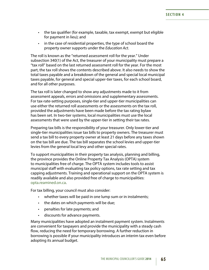- the tax qualifier (for example, taxable, tax exempt, exempt but eligible for payment in lieu); and
- in the case of residential properties, the type of school board the property owner supports under the *Education Act*.

The roll is known as the "returned assessment roll for the year." Under subsection 340(1) of the Act, the treasurer of your municipality must prepare a "tax roll" based on the last returned assessment roll for the year. For the most part, the tax roll shows the contents described above. It also needs to show the total taxes payable and a breakdown of the general and special local municipal taxes payable, for general and special upper-tier taxes, for each school board, and for all other purposes.

The tax roll is later changed to show any adjustments made to it from assessment appeals, errors and omissions and supplementary assessments. For tax-rate-setting purposes, single-tier and upper-tier municipalities can use either the returned roll assessments or the assessments on the tax roll, provided the adjustments have been made before the tax rating bylaw has been set. In two-tier systems, local municipalities must use the local assessments that were used by the upper-tier in setting their tax rates.

Preparing tax bills is the responsibility of your treasurer. Only lower-tier and single-tier municipalities issue tax bills to property owners. The treasurer must send a tax bill to every property owner at least 21 days before any taxes shown on the tax bill are due. The tax bill separates the school levies and upper-tier levies from the general local levy and other special rates.

To support municipalities in their property tax analysis, planning and billing, the province provides the Online Property Tax Analysis (OPTA) system to municipalities free of charge. The OPTA system includes tools to assist municipal staff with evaluating tax policy options, tax rate setting and tax capping adjustments. Training and operational support on the OPTA system is readily available and also provided free of charge to municipalities: [opta.reamined.on.ca](https://opta.reamined.on.ca/).

For tax billing, your council must also consider:

- whether taxes will be paid in one lump sum or in instalments;
- the dates on which payments will be due;
- • penalties for late payments; and
- discounts for advance payments.

Many municipalities have adopted an instalment payment system. Instalments are convenient for taxpayers and provide the municipality with a steady cash flow, reducing the need for temporary borrowing. A further reduction in borrowing is possible if your municipality introduces an interim tax even before adopting its annual budget.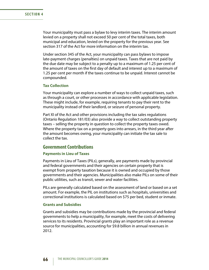Your municipality must pass a bylaw to levy interim taxes. The interim amount levied on a property shall not exceed 50 per cent of the total taxes, both municipal and education, levied on the property for the previous year. See section 317 of the Act for more information on the interim tax.

Under section 345 of the Act, your municipality can pass bylaws to impose late-payment charges (penalties) on unpaid taxes. Taxes that are not paid by the due date may be subject to a penalty up to a maximum of 1.25 per cent of the amount of taxes on the first day of default and interest up to a maximum of 1.25 per cent per month if the taxes continue to be unpaid. Interest cannot be compounded.

#### **Tax Collection**

Your municipality can explore a number of ways to collect unpaid taxes, such as through a court, or other processes in accordance with applicable legislation. These might include, for example, requiring tenants to pay their rent to the municipality instead of their landlord, or seizure of personal property.

Part XI of the Act and other provisions including the tax sales regulations (Ontario Regulation 181/03) also provide a way to collect outstanding property taxes – selling the property in question to collect the property taxes owed. Where the property tax on a property goes into arrears, in the third year after the amount becomes owing, your municipality can initiate the tax sale to collect the tax.

## **Government Contributions**

#### **Payments in Lieu of Taxes**

Payments in Lieu of Taxes (PILs), generally, are payments made by provincial and federal governments and their agencies on certain property that is exempt from property taxation because it is owned and occupied by those governments and their agencies. Municipalities also make PILs on some of their public utilities, such as transit, sewer and water facilities.

PILs are generally calculated based on the assessment of land or based on a set amount. For example, the PIL on institutions such as hospitals, universities and correctional institutions is calculated based on \$75 per bed, student or inmate.

### **Grants and Subsidies**

Grants and subsidies may be contributions made by the provincial and federal governments to help a municipality, for example, meet the costs of delivering services to its residents. Provincial grants play an important role as a revenue source for municipalities, accounting for \$9.8 billion in annual revenues in 2012.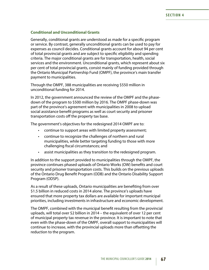#### **Conditional and Unconditional Grants**

Generally, conditional grants are understood as made for a specific program or service. By contrast, generally unconditional grants can be used to pay for expenses as council decides. Conditional grants account for about 94 per cent of total provincial grants and are subject to specific eligibility and spending criteria. The major conditional grants are for transportation, health, social services and the environment. Unconditional grants, which represent about six per cent of total provincial grants, consist mainly of funding provided through the Ontario Municipal Partnership Fund (OMPF), the province's main transfer payment to municipalities.

Through the OMPF, 388 municipalities are receiving \$550 million in unconditional funding for 2014.

In 2012, the government announced the review of the OMPF and the phasedown of the program to \$500 million by 2016. The OMPF phase-down was part of the province's agreement with municipalities in 2008 to upload social assistance benefit programs as well as court security and prisoner transportation costs off the property tax base.

The government's objectives for the redesigned 2014 OMPF are to:

- continue to support areas with limited property assessment;
- • continue to recognize the challenges of northern and rural municipalities, while better targeting funding to those with more challenging fiscal circumstances; and
- assist municipalities as they transition to the redesigned program.

In addition to the support provided to municipalities through the OMPF, the province continues phased uploads of Ontario Works (OW) benefits and court security and prisoner transportation costs. This builds on the previous uploads of the Ontario Drug Benefit Program (ODB) and the Ontario Disability Support Program (ODSP).

As a result of these uploads, Ontario municipalities are benefiting from over \$1.5 billion in reduced costs in 2014 alone. The province's uploads have ensured that more property tax dollars are available for important municipal priorities, including investments in infrastructure and economic development.

The OMPF, combined with the municipal benefit resulting from the provincial uploads, will total over \$2 billion in 2014 – the equivalent of over 12 per cent of municipal property tax revenue in the province. It is important to note that even with the phase-down of the OMPF, overall support to municipalities will continue to increase, with the provincial uploads more than offsetting the reduction to the program.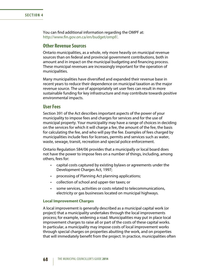You can find additional information regarding the OMPF at: [http://www.fin.gov.on.ca/en/budget/ompf/.](http://www.fin.gov.on.ca/en/budget/ompf/2015/)

#### **Other Revenue Sources**

Ontario municipalities, as a whole, rely more heavily on municipal revenue sources than on federal and provincial government contributions, both in amount and in impact on the municipal budgeting and financing process. These municipal revenues are increasingly important for the operation of municipalities.

Many municipalities have diversified and expanded their revenue base in recent years to reduce their dependence on municipal taxation as the major revenue source. The use of appropriately set user fees can result in more sustainable funding for key infrastructure and may contribute towards positive environmental impacts.

#### **User Fees**

Section 391 of the Act describes important aspects of the power of your municipality to impose fees and charges for services and for the use of municipal property. Your municipality may have a range of choices in deciding on the services for which it will charge a fee, the amount of the fee, the basis for calculating the fee, and who will pay the fee. Examples of fees charged by municipalities include fees for licenses, permits and services such as water, waste, sewage, transit, recreation and special police enforcement.

Ontario Regulation 584/06 provides that a municipally or local board does not have the power to impose fees on a number of things, including, among others, fees for:

- • capital costs captured by existing bylaws or agreements under the Development Charges Act, 1997;
- processing of Planning Act planning applications;
- • collection of school and upper-tier taxes; or
- • some services, activities or costs related to telecommunications, electricity or gas businesses located on municipal highways.

#### **Local Improvement Charges**

A local improvement is generally described as a municipal capital work (or project) that a municipality undertakes through the local improvements process; for example, widening a road. Municipalities may put in place local improvement charges to raise all or part of the costs of these capital works. In particular, a municipality may impose costs of local improvement works through special charges on properties abutting the work, and on properties that will immediately benefit from the project. In practice, municipalities often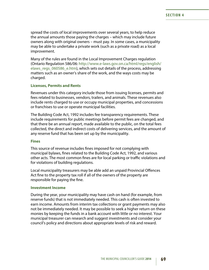spread the costs of local improvements over several years, to help reduce the annual amounts those paying the charges – which may include future owners along with original owners – must pay. In some cases, a municipality may be able to undertake a private work (such as a private road) as a local improvement.

Many of the rules are found in the Local Improvement Charges regulation (Ontario Regulation 586/06: [http://www.e-laws.gov.on.ca/html/regs/english/](http://www.e-laws.gov.on.ca/html/regs/english/elaws_regs_060586_e.htm) elaws regs 060586 e.htm), which sets out details of the process, addressing matters such as an owner's share of the work, and the ways costs may be charged.

#### **Licenses, Permits and Rents**

Revenues under this category include those from issuing licenses, permits and fees related to businesses, vendors, trailers, and animals. These revenues also include rents charged to use or occupy municipal properties, and concessions or franchises to use or operate municipal facilities.

The Building Code Act, 1992 includes fee transparency requirements. These include requirements for public meetings before permit fees are changed, and that there be an annual report, made available to the public, on the total fees collected, the direct and indirect costs of delivering services, and the amount of any reserve fund that has been set up by the municipality.

#### **Fines**

This source of revenue includes fines imposed for not complying with municipal bylaws, fines related to the Building Code Act, 1992, and various other acts. The most common fines are for local parking or traffic violations and for violations of building regulations.

Local municipality treasurers may be able add an unpaid Provincial Offences Act fine to the property tax roll if all of the owners of the property are responsible for paying the fine.

#### **Investment Income**

During the year, your municipality may have cash on hand (for example, from reserve funds) that is not immediately needed. This cash is often invested to earn income. Amounts from interim tax collections or grant payments may also not be immediately needed. It may be possible to seek a higher return on these monies by keeping the funds in a bank account with little or no interest. Your municipal treasurer can research and suggest investments and consider your council's policy and directions about appropriate levels of risk and reward.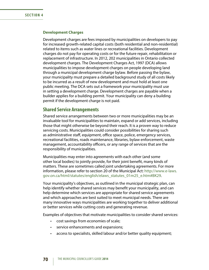#### **Development Charges**

Development charges are fees imposed by municipalities on developers to pay for increased growth-related capital costs (both residential and non-residential) related to items such as water lines or recreational facilities. Development charges do not pay for operating costs or for the future repair, rehabilitation or replacement of infrastructure. In 2012, 202 municipalities in Ontario collected development charges. The Development Charges Act, 1997 (DCA) allows municipalities to impose development charges on people developing land through a municipal development charge bylaw. Before passing the bylaw, your municipality must prepare a detailed background study of all costs likely to be incurred as a result of new development and must hold at least one public meeting. The DCA sets out a framework your municipality must use in setting a development charge. Development charges are payable when a builder applies for a building permit. Your municipality can deny a building permit if the development charge is not paid.

### **Shared Service Arrangements**

Shared service arrangements between two or more municipalities may be an invaluable tool for municipalities to maintain, expand or add services, including those that might otherwise be beyond their reach. It is a proven way to reduce servicing costs. Municipalities could consider possibilities for sharing such as administrative staff, equipment, office space, police, emergency services, recreational facilities, roads maintenance, libraries, bylaw enforcement, waste management, accountability officers, or any range of services that are the responsibility of municipalities.

Municipalities may enter into agreements with each other (and some other local bodies) to jointly provide, for their joint benefit, many kinds of matters. These are sometimes called joint undertaking agreements. For more information, please refer to section 20 of the Municipal Act: [http://www.e-laws.](http://www.e-laws.gov.on.ca/html/statutes/english/elaws_statutes_01m25_e.htm#BK29) [gov.on.ca/html/statutes/english/elaws\\_statutes\\_01m25\\_e.htm#BK29.](http://www.e-laws.gov.on.ca/html/statutes/english/elaws_statutes_01m25_e.htm#BK29)

Your municipality's objectives, as outlined in the municipal strategic plan, can help identify whether shared services may benefit your municipality, and can help determine which services are appropriate for shared service agreements and which approaches are best suited to meet municipal needs. There are many innovative ways municipalities are working together to deliver additional or better services while cutting costs and generating revenue.

Examples of objectives that motivate municipalities to consider shared services:

- • cost savings from economies of scale;
- • service enhancements and expansions;
- access to specialists, skilled labour and/or better quality equipment;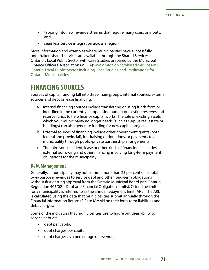- tapping into new revenue streams that require many users or inputs; and
- • seamless service integration across a region.

More information and examples where municipalities have successfully undertaken shared services are available through the Shared Services in Ontario's Local Public Sector with Case Studies prepared by the Municipal Finance Officers' Association (MFOA): [www.mfoa.on.ca/Shared-Services-in-](http://www.mfoa.on.ca/Shared-Services-in-Ontario-Local-Public-Sector-Including-Case-Studies-and-Implications-for-Ontario-Municipalities)[Ontario-Local-Public-Sector-Including-Case-Studies-and-Implications-for-](http://www.mfoa.on.ca/Shared-Services-in-Ontario-Local-Public-Sector-Including-Case-Studies-and-Implications-for-Ontario-Municipalities)[Ontario-Municipalities](http://www.mfoa.on.ca/Shared-Services-in-Ontario-Local-Public-Sector-Including-Case-Studies-and-Implications-for-Ontario-Municipalities).

# **FINANCING SOURCES**

Sources of capital funding fall into three main groups: internal sources, external sources and debt or lease financing.

- a. Internal financing sources include transferring or using funds from or identified in the current-year operating budget or existing reserves and reserve funds to help finance capital works. The sale of existing assets which your municipality no longer needs (such as surplus real estate or buildings) can also generate funding for new capital projects.
- b. External sources of financing include other government grants (both federal and provincial), fundraising or donations, or payments to a municipality through public-private partnership arrangements.
- c. The third source debt, lease or other kinds of financing includes external borrowing and other financing involving long-term payment obligations for the municipality.

#### **Debt Management**

Generally, a municipality may not commit more than 25 per cent of its total own-purpose revenues to service debt and other long-term obligations without first getting approval from the Ontario Municipal Board (see Ontario Regulation 403/02 – Debt and Financial Obligation Limits). Often, the limit for a municipality is referred to as the annual repayment limit (ARL). The ARL is calculated using the data that municipalities submit annually through the Financial Information Return (FIR) to MMAH on their long-term liabilities and debt charges.

Some of the indicators that municipalities use to figure out their ability to service debt are:

- debt per capita;
- debt charges per capita;
- • debt charges as a percentage of revenue;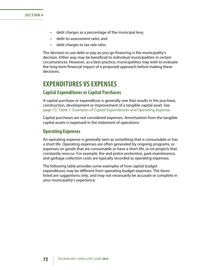- debt charges as a percentage of the municipal levy;
- • debt-to-assessment ratio; and
- debt charges to tax rate ratio.

The decision to use debt or pay-as-you-go financing is the municipality's decision. Either way may be beneficial to individual municipalities in certain circumstances. However, as a best practice, municipalities may wish to evaluate the long-term financial impact of a proposed approach before making these decisions.

# **EXPENDITURES VS EXPENSES**

### **Capital Expenditures or Capital Purchases**

A capital purchase or expenditure is generally one that results in the purchase, construction, development or improvement of a tangible capital asset. See [page 72, Table 1: Examples of Capital Expenditures and Operating Expense](#page-78-0).

Capital purchases are not considered expenses. Amortization from the tangible capital assets is expensed in the statement of operations.

#### **Operating Expenses**

An operating expense is generally seen as something that is consumable or has a short life. Operating expenses are often generated by ongoing programs, or expenses on goods that are consumable or have a short life, or on projects that constantly reoccur. For example, fire and police protection, park maintenance, and garbage collection costs are typically recorded as operating expenses.

The following table provides some examples of how capital budget expenditures may be different from operating budget expenses. The items listed are suggestions only, and may not necessarily be accurate or complete in your municipality's experience.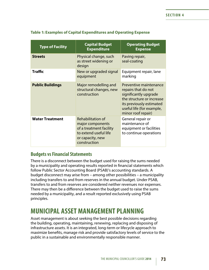| <b>Type of Facility</b> | <b>Capital Budget</b><br><b>Expenditure</b>                                                                                          | <b>Operating Budget</b><br><b>Expense</b>                                                                                                                                          |
|-------------------------|--------------------------------------------------------------------------------------------------------------------------------------|------------------------------------------------------------------------------------------------------------------------------------------------------------------------------------|
| <b>Streets</b>          | Physical change, such<br>as street widening or<br>design                                                                             | Paving repair,<br>seal-coating                                                                                                                                                     |
| Traffic                 | New or upgraded signal<br>equipment                                                                                                  | Equipment repair, lane<br>marking                                                                                                                                                  |
| <b>Public Buildings</b> | Major remodelling and<br>structural changes, new<br>construction                                                                     | Preventive maintenance<br>repairs that do not<br>significantly upgrade<br>the structure or increase<br>its previously estimated<br>useful life (for example,<br>minor roof repair) |
| <b>Water Treatment</b>  | <b>Rehabilitation of</b><br>major components<br>of a treatment facility<br>to extend useful life<br>or capacity, new<br>construction | General repair or<br>maintenance of<br>equipment or facilities<br>to continue operations                                                                                           |

#### <span id="page-78-0"></span>**Table 1: Examples of Capital Expenditures and Operating Expense**

### **Budgets vs Financial Statements**

There is a disconnect between the budget used for raising the sums needed by a municipality and operating results reported in financial statements which follow Public Sector Accounting Board (PSAB)'s accounting standards. A budget disconnect may arise from – among other possibilities – a municipality including transfers to and from reserves in the annual budget. Under PSAB, transfers to and from reserves are considered neither revenues nor expenses. There may then be a difference between the budget used to raise the sums needed by a municipality, and a result reported exclusively using PSAB principles.

# **MUNICIPAL ASSET MANAGEMENT PLANNING**

Asset management is about seeking the best possible decisions regarding the building, operating, maintaining, renewing, replacing and disposing of infrastructure assets. It is an integrated, long-term or lifecycle approach to maximize benefits, manage risk and provide satisfactory levels of service to the public in a sustainable and environmentally responsible manner.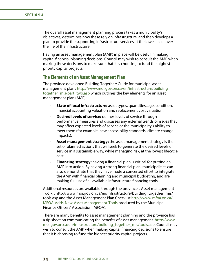#### **SECTION 4**

The overall asset management planning process takes a municipality's objectives, determines how these rely on infrastructure, and then develops a plan to provide the supporting infrastructure services at the lowest cost over the life of the infrastructure.

Having an asset management plan (AMP) in place will be useful in making capital financial planning decisions. Council may wish to consult the AMP when making these decisions to make sure that it is choosing to fund the highest priority capital projects.

### **The Elements of an Asset Management Plan**

The province developed Building Together: Guide for municipal asset management plans [http://www.moi.gov.on.ca/en/infrastructure/building\\_](http://www.moi.gov.on.ca/en/infrastructure/building_together_mis/part_two.asp) [together\\_mis/part\\_two.asp](http://www.moi.gov.on.ca/en/infrastructure/building_together_mis/part_two.asp) which outlines the key elements for an asset management plan (AMP):

- • **State of local infrastructure:** asset types, quantities, age, condition, financial accounting valuation and replacement cost valuation.
- • **Desired levels of service:** defines levels of service through performance measures and discusses any external trends or issues that may affect expected levels of service or the municipality's ability to meet them (for example, new accessibility standards, climate change impacts).
- • **Asset management strategy:** the asset management strategy is the set of planned actions that will seek to generate the desired levels of service in a sustainable way, while managing risk, at the lowest lifecycle cost.
- **Financing strategy:** having a financial plan is critical for putting an AMP into action. By having a strong financial plan, municipalities can also demonstrate that they have made a concerted effort to integrate the AMP with financial planning and municipal budgeting, and are making full use of all available infrastructure financing tools.

Additional resources are available through the province's Asset management Toolkit http://www.moi.gov.on.ca/en/infrastructure/building\_together\_mis/ tools.asp and the Asset Management Plan Checklist [http://www.mfoa.on.ca/](http://www.mfoa.on.ca/MFOA-Adds-New-Asset-Management-Tools) [MFOA-Adds-New-Asset-Management-Tools](http://www.mfoa.on.ca/MFOA-Adds-New-Asset-Management-Tools) produced by the Municipal Finance Officers' Association (MFOA).

There are many benefits to asset management planning and the province has a tip sheet on communicating the benefits of asset management. [http://www.](http://www.moi.gov.on.ca/en/infrastructure/building_together_mis/tools.asp) [moi.gov.on.ca/en/infrastructure/building\\_together\\_mis/tools.asp](http://www.moi.gov.on.ca/en/infrastructure/building_together_mis/tools.asp). Council may wish to consult the AMP when making capital financing decisions to ensure that it is choosing to fund the highest priority capital projects.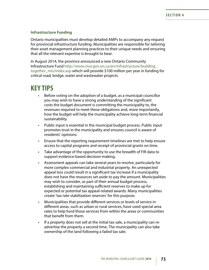#### **Infrastructure Funding**

Ontario municipalities must develop detailed AMPs to accompany any request for provincial infrastructure funding. Municipalities are responsible for tailoring their asset management planning practices to their unique needs and ensuring that all the relevant expertise is brought to bear.

In August 2014, the province announced a new Ontario Community Infrastructure Fund [http://www.moi.gov.on.ca/en/infrastructure/building\\_](http://www.moi.gov.on.ca/en/infrastructure/building_together_mis/index.asp) [together\\_mis/index.asp](http://www.moi.gov.on.ca/en/infrastructure/building_together_mis/index.asp) which will provide \$100 million per year in funding for critical road, bridge, water and wastewater projects.

# **KEY TIPS**

- Before voting on the adoption of a budget, as a municipal councillor you may wish to have a strong understanding of the significant costs the budget document is committing the municipality to, the revenues required to meet these obligations and, more importantly, how the budget will help the municipality achieve long-term financial sustainability.
- Public input is essential in the municipal budget process. Public input promotes trust in the municipality and ensures council is aware of residents' opinions.
- Ensure that the reporting requirement timelines are met to help ensure access to capital programs and receipt of provincial grants on time.
- Take advantage of the opportunity to use the breadth of FIR data to support evidence-based decision-making.
- • Assessment appeals can take several years to resolve, particularly for more complex commercial and industrial property. An unexpected appeal loss could result in a significant tax increase if a municipality does not have the resources set aside to pay the amount. Municipalities may wish to consider, as part of their annual budget process, establishing and maintaining sufficient reserves to make up for expected or potential tax appeal-related awards. Many municipalities create 'tax rate stabilization reserves' for this purpose.
- Municipalities that provide different services or levels of service in different areas, such as urban or rural services, have used special area rates to help fund those services from within the areas or communities that benefit from them.
- If a property does not sell at the initial tax sale, a municipality can readvertise the property a second time. The municipality can also take ownership of the land following a failed tax sale.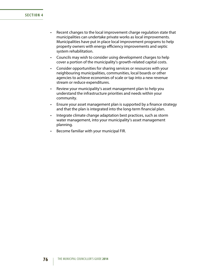#### **SECTION 4**

- Recent changes to the local improvement charge regulation state that municipalities can undertake private works as local improvements. Municipalities have put in place local improvement programs to help property owners with energy efficiency improvements and septic system rehabilitation.
- Councils may wish to consider using development charges to help cover a portion of the municipality's growth-related capital costs.
- Consider opportunities for sharing services or resources with your neighbouring municipalities, communities, local boards or other agencies to achieve economies of scale or tap into a new revenue stream or reduce expenditures.
- Review your municipality's asset management plan to help you understand the infrastructure priorities and needs within your community.
- Ensure your asset management plan is supported by a finance strategy and that the plan is integrated into the long-term financial plan.
- Integrate climate change adaptation best practices, such as storm water management, into your municipality's asset management planning.
- Become familiar with your municipal FIR.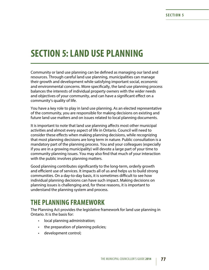# **SECTION 5: LAND USE PLANNING**

Community or land use planning can be defined as managing our land and resources. Through careful land use planning, municipalities can manage their growth and development while satisfying important social, economic and environmental concerns. More specifically, the land use planning process balances the interests of individual property owners with the wider needs and objectives of your community, and can have a significant effect on a community's quality of life.

You have a key role to play in land use planning. As an elected representative of the community, you are responsible for making decisions on existing and future land use matters and on issues related to local planning documents.

It is important to note that land use planning affects most other municipal activities and almost every aspect of life in Ontario. Council will need to consider these effects when making planning decisions, while recognizing that most planning decisions are long term in nature. Public consultation is a mandatory part of the planning process. You and your colleagues (especially if you are in a growing municipality) will devote a large part of your time to community planning issues. You may also find that much of your interaction with the public involves planning matters.

Good planning contributes significantly to the long-term, orderly growth and efficient use of services. It impacts all of us and helps us to build strong communities. On a day-to-day basis, it is sometimes difficult to see how individual planning decisions can have such impact. Making decisions on planning issues is challenging and, for these reasons, it is important to understand the planning system and process.

# **THE PLANNING FRAMEWORK**

The Planning Act provides the legislative framework for land use planning in Ontario. It is the basis for:

- local planning administration;
- the preparation of planning policies;
- development control;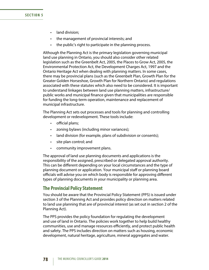#### **SECTION 5**

- land division:
- • the management of provincial interests; and
- the public's right to participate in the planning process.

Although the Planning Act is the primary legislation governing municipal land use planning in Ontario, you should also consider other related legislation such as the Greenbelt Act, 2005, the Places to Grow Act, 2005, the Environmental Protection Act, the Development Charges Act, 1997 and the Ontario Heritage Act when dealing with planning matters. In some cases, there may be provincial plans (such as the Greenbelt Plan, Growth Plan for the Greater Golden Horseshoe, Growth Plan for Northern Ontario) and regulations associated with these statutes which also need to be considered. It is important to understand linkages between land use planning matters, infrastructure/ public works and municipal finance given that municipalities are responsible for funding the long-term operation, maintenance and replacement of municipal infrastructure.

The Planning Act sets out processes and tools for planning and controlling development or redevelopment. These tools include:

- official plans;
- zoning bylaws (including minor variances);
- land division (for example, plans of subdivision or consents);
- • site plan control; and
- • community improvement plans.

The approval of land use planning documents and applications is the responsibility of the assigned, prescribed or delegated approval authority. This can be different depending on your local circumstances and the type of planning document or application. Your municipal staff or planning board officials will advise you on which body is responsible for approving different types of planning documents in your municipality or planning area.

#### **The Provincial Policy Statement**

You should be aware that the Provincial Policy Statement (PPS) is issued under section 3 of the Planning Act and provides policy direction on matters related to land use planning that are of provincial interest (as set out in section 2 of the Planning Act).

The PPS provides the policy foundation for regulating the development and use of land in Ontario. The policies work together to help build healthy communities, use and manage resources efficiently, and protect public health and safety. The PPS includes direction on matters such as housing, economic development, natural heritage, agriculture, mineral aggregates and water.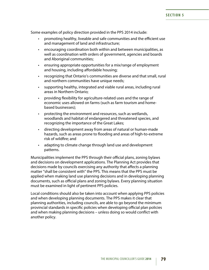Some examples of policy direction provided in the PPS 2014 include:

- promoting healthy, liveable and safe communities and the efficient use and management of land and infrastructure;
- encouraging coordination both within and between municipalities, as well as coordination with orders of government, agencies and boards and Aboriginal communities;
- • ensuring appropriate opportunities for a mix/range of employment and housing, including affordable housing;
- • recognizing that Ontario's communities are diverse and that small, rural and northern communities have unique needs;
- supporting healthy, integrated and viable rural areas, including rural areas in Northern Ontario;
- providing flexibility for agriculture-related uses and the range of economic uses allowed on farms (such as farm tourism and homebased businesses);
- protecting the environment and resources, such as wetlands, woodlands and habitat of endangered and threatened species, and recognizing the importance of the Great Lakes;
- • directing development away from areas of natural or human-made hazards, such as areas prone to flooding and areas of high-to-extreme risk of wildfire; and
- adapting to climate change through land use and development patterns.

Municipalities implement the PPS through their official plans, zoning bylaws and decisions on development applications. The Planning Act provides that decisions made by councils exercising any authority that affects a planning matter "shall be consistent with" the PPS. This means that the PPS must be applied when making land use planning decisions and in developing planning documents, such as official plans and zoning bylaws. Every planning situation must be examined in light of pertinent PPS policies.

Local conditions should also be taken into account when applying PPS policies and when developing planning documents. The PPS makes it clear that planning authorities, including councils, are able to go beyond the minimum provincial standards in specific policies when developing official plan policies and when making planning decisions – unless doing so would conflict with another policy.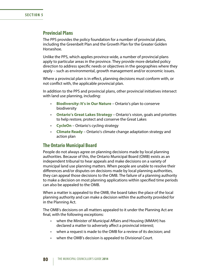### **Provincial Plans**

The PPS provides the policy foundation for a number of provincial plans, including the Greenbelt Plan and the Growth Plan for the Greater Golden Horseshoe.

Unlike the PPS, which applies province-wide, a number of provincial plans apply to particular areas in the province. They provide more detailed policy direction to address specific needs or objectives in the geographies where they apply – such as environmental, growth management and/or economic issues.

Where a provincial plan is in effect, planning decisions must conform with, or not conflict with, the applicable provincial plan.

In addition to the PPS and provincial plans, other provincial initiatives intersect with land use planning, including:

- • **[Biodiversity:](http://www.ontario.ca/ministry-natural-resources-forestry) It's in Our Nature** Ontario's plan to conserve biodiversity
- • **[Ontario's Great Lakes Strategy](https://www.ontario.ca/environment-and-energy/ontarios-great-lakes-strategy)** Ontario's vision, goals and priorities to help restore, protect and conserve the Great Lakes
- • **[CycleOn](http://www.mto.gov.on.ca/english/pubs/cycling/)** Ontario's cycling strategy
- • **[Climate Ready](https://www.ontario.ca/environment-and-energy/climate-ready-adaptation-strategy-and-action-plan-2011-2014)** Ontario's climate change adaptation strategy and action plan

#### **The Ontario Municipal Board**

People do not always agree on planning decisions made by local planning authorities. Because of this, the Ontario Municipal Board (OMB) exists as an independent tribunal to hear appeals and make decisions on a variety of municipal land use planning matters. When people are unable to resolve their differences and/or disputes on decisions made by local planning authorities, they can appeal those decisions to the OMB. The failure of a planning authority to make a decision on most planning applications within specified time periods can also be appealed to the OMB.

When a matter is appealed to the OMB, the board takes the place of the local planning authority and can make a decision within the authority provided for in the Planning Act.

The OMB's decisions on all matters appealed to it under the Planning Act are final, with the following exceptions:

- when the Minister of Municipal Affairs and Housing (MMAH) has declared a matter to adversely affect a provincial interest;
- when a request is made to the OMB for a review of its decision; and
- when the OMB's decision is appealed to Divisional Court.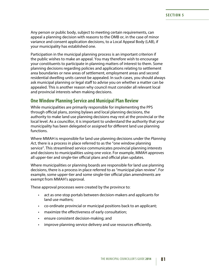Any person or public body, subject to meeting certain requirements, can appeal a planning decision with reasons to the OMB or, in the case of minor variance and consent application decisions, to a Local Appeal Body (LAB), if your municipality has established one.

Participation in the municipal planning process is an important criterion if the public wishes to make an appeal. You may therefore wish to encourage your constituents to participate in planning matters of interest to them. Some planning decisions regarding policies and applications relating to settlement area boundaries or new areas of settlement, employment areas and second residential dwelling units cannot be appealed. In such cases, you should always ask municipal planning or legal staff to advise you on whether a matter can be appealed. This is another reason why council must consider all relevant local and provincial interests when making decisions.

### **One Window Planning Service and Municipal Plan Review**

While municipalities are primarily responsible for implementing the PPS through official plans, zoning bylaws and local planning decisions, the authority to make land use planning decisions may rest at the provincial or the local level. As a councillor, it is important to understand the authority that your municipality has been delegated or assigned for different land use planning functions.

Where MMAH is responsible for land use planning decisions under the *Planning Act*, there is a process in place referred to as the "one window planning service". This streamlined service communicates provincial planning interests and decisions to municipalities using one voice. For example, MMAH approves all upper-tier and single-tier official plans and official plan updates.

Where municipalities or planning boards are responsible for land use planning decisions, there is a process in place referred to as "municipal plan review". For example, some upper-tier and some single-tier official plan amendments are exempt from MMAH's approval.

These approval processes were created by the province to:

- act as one-stop portals between decision-makers and applicants for land use matters;
- co-ordinate provincial or municipal positions back to an applicant;
- maximize the effectiveness of early consultation;
- • ensure consistent decision-making; and
- improve planning service delivery and use resources efficiently.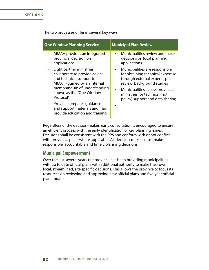The two processes differ in several key ways:

| <b>One Window Planning Service</b>                                                                                   | <b>Municipal Plan Review</b>                                                                                                                     |
|----------------------------------------------------------------------------------------------------------------------|--------------------------------------------------------------------------------------------------------------------------------------------------|
| MMAH provides an integrated<br>provincial decision on<br>applications                                                | Municipalities review and make<br>$\bullet$<br>decisions on local planning<br>applications                                                       |
| Eight partner ministries<br>collaborate to provide advice<br>and technical support to<br>MMAH (guided by an internal | Municipalities are responsible<br>$\bullet$<br>for obtaining technical expertise<br>through external experts, peer<br>review, background studies |
| memorandum of understanding<br>known as the "One Window<br>Protocol")                                                | Municipalities access provincial<br>ministries for technical (not<br>policy) support and data sharing                                            |
| Province prepares guidance<br>and support materials and may<br>provide education and training                        |                                                                                                                                                  |

Regardless of the decision-maker, early consultation is encouraged to ensure an efficient process with the early identification of key planning issues. Decisions shall be consistent with the PPS and conform with or not conflict with provincial plans where applicable. All decision-makers must make responsible, accountable and timely planning decisions.

### **Municipal Empowerment**

Over the last several years the province has been providing municipalities with up to date official plans with additional authority to make their own local, streamlined, site specific decisions. This allows the province to focus its resources on reviewing and approving new official plans and five-year official plan updates.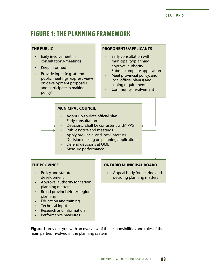# **FIGURE 1: THE PLANNING FRAMEWORK**

#### **THE PUBLIC**

- • Early involvement in consultations/meetings
- • Keep informed
- • Provide input (e.g. attend public meetings, express views on development proposals and participate in making policy)

#### **PROPONENTS/APPLICANTS**

- **Early consultation with** municipality/planning approval authority
- Submit complete application
- Meet provincial policy, and local official plan(s) and zoning requirements
- Community involvement

#### **MUNICIPAL COUNCIL**

- Adopt up-to-date official plan
- • Early consultation
- Decisions "shall be consistent with" PPS
- Public notice and meetings
- Apply provincial and local interests
- Decision making on planning applications
- Defend decisions at OMB
- Measure performance

#### **THE PROVINCE**

- • Policy and statute development
- • Approval authority for certain planning matters
- • Broad provincial/inter-regional planning
- • Education and training
- Technical input
- • Research and information
- Performance measures

#### **ONTARIO MUNICIPAL BOARD**

Appeal body for hearing and deciding planning matters

**Figure 1** provides you with an overview of the responsibilities and roles of the main parties involved in the planning system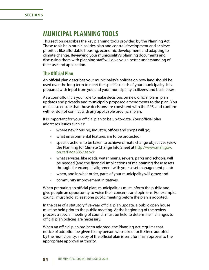# **MUNICIPAL PLANNING TOOLS**

This section describes the key planning tools provided by the Planning Act. These tools help municipalities plan and control development and achieve priorities like affordable housing, economic development and adapting to climate change. Reviewing your municipality's planning documents and discussing them with planning staff will give you a better understanding of their use and application.

### **The Official Plan**

An official plan describes your municipality's policies on how land should be used over the long term to meet the specific needs of your municipality. It is prepared with input from you and your municipality's citizens and businesses.

As a councillor, it is your role to make decisions on new official plans, plan updates and privately and municipally proposed amendments to the plan. You must also ensure that those decisions are consistent with the PPS, and conform with or do not conflict with any applicable provincial plan.

It is important for your official plan to be up-to-date. Your official plan addresses issues such as:

- where new housing, industry, offices and shops will go;
- what environmental features are to be protected;
- specific actions to be taken to achieve climate change objectives (view the Planning for Climate Change Info Sheet at [http://www.mah.gov.](http://www.mah.gov.on.ca/Page6857.aspx) [on.ca/Page6857.aspx\)](http://www.mah.gov.on.ca/Page6857.aspx);
- what services, like roads, water mains, sewers, parks and schools, will be needed (and the financial implications of maintaining these assets through, for example, alignment with your asset management plan);
- when, and in what order, parts of your municipality will grow; and
- • community improvement initiatives.

When preparing an official plan, municipalities must inform the public and give people an opportunity to voice their concerns and opinions. For example, council must hold at least one public meeting before the plan is adopted.

In the case of a statutory five-year official plan update, a public open house must be held prior to the public meeting. At the beginning of the review process a special meeting of council must be held to determine if changes to official plan policies are necessary.

When an official plan has been adopted, the Planning Act requires that notice of adoption be given to any person who asked for it. Once adopted by the municipality, a copy of the official plan is sent for final approval to the appropriate approval authority.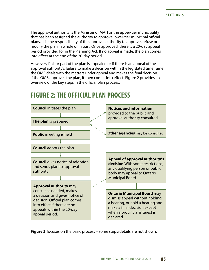The approval authority is the Minister of MAH or the upper-tier municipality that has been assigned the authority to approve lower-tier municipal official plans. It is the responsibility of the approval authority to approve, refuse or modify the plan in whole or in part. Once approved, there is a 20-day appeal period provided for in the Planning Act. If no appeal is made, the plan comes into effect at the end of the 20-day period.

However, if all or part of the plan is appealed or if there is an appeal of the approval authority's failure to make a decision within the legislated timeframe, the OMB deals with the matters under appeal and makes the final decision. If the OMB approves the plan, it then comes into effect. Figure 2 provides an overview of the key steps in the official plan process.



# **FIGURE 2: THE OFFICIAL PLAN PROCESS**

**Figure 2** focuses on the basic process – some steps/details are not shown.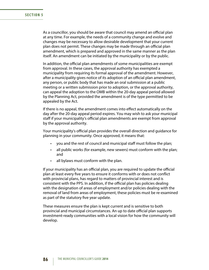As a councillor, you should be aware that council may amend an official plan at any time. For example, the needs of a community change and evolve and changes may be necessary to allow desirable development that your current plan does not permit. These changes may be made through an official plan amendment, which is prepared and approved in the same manner as the plan itself. An amendment can be initiated by the municipality or by the public.

In addition, the official plan amendments of some municipalities are exempt from approval. In these cases, the approval authority has exempted a municipality from requiring its formal approval of the amendment. However, after a municipality gives notice of its adoption of an official plan amendment, any person, or public body that has made an oral submission at a public meeting or a written submission prior to adoption, or the approval authority, can appeal the adoption to the OMB within the 20-day appeal period allowed by the Planning Act, provided the amendment is of the type permitted to be appealed by the Act.

If there is no appeal, the amendment comes into effect automatically on the day after the 20-day appeal period expires. You may wish to ask your municipal staff if your municipality's official plan amendments are exempt from approval by the approval authority.

Your municipality's official plan provides the overall direction and guidance for planning in your community. Once approved, it means that:

- you and the rest of council and municipal staff must follow the plan;
- all public works (for example, new sewers) must conform with the plan; and
- • all bylaws must conform with the plan.

If your municipality has an official plan, you are required to update the official plan at least every five years to ensure it conforms with or does not conflict with provincial plans, has regard to matters of provincial interest and is consistent with the PPS. In addition, if the official plan has policies dealing with the designation of areas of employment and/or policies dealing with the removal of land from areas of employment, these policies must be re-examined as part of the statutory five year update.

These measures ensure the plan is kept current and is sensitive to both provincial and municipal circumstances. An up to date official plan supports investment-ready communities with a local vision for how the community will develop.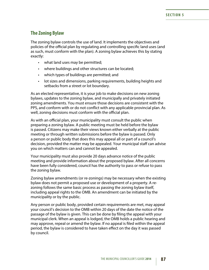### **The Zoning Bylaw**

The zoning bylaw controls the use of land. It implements the objectives and policies of the official plan by regulating and controlling specific land uses (and as such, must conform with the plan). A zoning bylaw achieves this by stating exactly:

- what land uses may be permitted;
- where buildings and other structures can be located;
- • which types of buildings are permitted; and
- lot sizes and dimensions, parking requirements, building heights and setbacks from a street or lot boundary.

As an elected representative, it is your job to make decisions on new zoning bylaws, updates to the zoning bylaw, and municipally and privately initiated zoning amendments. You must ensure those decisions are consistent with the PPS, and conform with or do not conflict with any applicable provincial plan. As well, zoning decisions must conform with the official plan.

As with an official plan, your municipality must consult the public when preparing a zoning bylaw. A public meeting must be held before the bylaw is passed. Citizens may make their views known either verbally at the public meeting or through written submissions before the bylaw is passed. Only a person or public body that does this may appeal all or part of a council's decision, provided the matter may be appealed. Your municipal staff can advise you on which matters can and cannot be appealed.

Your municipality must also provide 20 days advance notice of the public meeting and provide information about the proposed bylaw. After all concerns have been fully considered, council has the authority to pass or refuse to pass the zoning bylaw.

Zoning bylaw amendments (or re-zonings) may be necessary when the existing bylaw does not permit a proposed use or development of a property. A rezoning follows the same basic process as passing the zoning bylaw itself, including appeal rights to the OMB. An amendment can be initiated by the municipality or by the public.

Any person or public body, provided certain requirements are met, may appeal your council's decision to the OMB within 20 days of the date the notice of the passage of the bylaw is given. This can be done by filing the appeal with your municipal clerk. When an appeal is lodged, the OMB holds a public hearing and may approve, repeal or amend the bylaw. If no appeal is filed within the appeal period, the bylaw is considered to have taken effect on the day it was passed by council.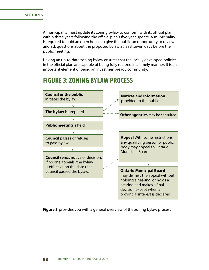A municipality must update its zoning bylaw to conform with its official plan within three years following the official plan's five-year update. A municipality is required to hold an open house to give the public an opportunity to review and ask questions about the proposed bylaw at least seven days before the public meeting.

Having an up-to-date zoning bylaw ensures that the locally developed policies in the official plan are capable of being fully realized in a timely manner. It is an important element of being an investment-ready community.

# **FIGURE 3: ZONING BYLAW PROCESS**



**Figure 3** provides you with a general overview of the zoning bylaw process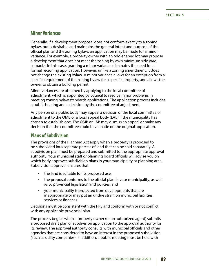### **Minor Variances**

Generally, if a development proposal does not conform exactly to a zoning bylaw, but is desirable and maintains the general intent and purpose of the official plan and the zoning bylaw, an application may be made for a minor variance. For example, a property owner with an odd-shaped lot may propose a development that does not meet the zoning bylaw's minimum side yard setbacks. In this case, granting a minor variance eliminates the need for a formal re-zoning application. However, unlike a zoning amendment, it does not change the existing bylaw. A minor variance allows for an exception from a specific requirement of the zoning bylaw for a specific property, and allows the owner to obtain a building permit.

Minor variances are obtained by applying to the local committee of adjustment, which is appointed by council to resolve minor problems in meeting zoning bylaw standards applications. The application process includes a public hearing and a decision by the committee of adjustment.

Any person or a public body may appeal a decision of the local committee of adjustment to the OMB or a local appeal body (LAB) if the municipality has chosen to establish one. The OMB or LAB may dismiss an appeal or make any decision that the committee could have made on the original application.

### **Plans of Subdivision**

The provisions of the Planning Act apply when a property is proposed to be subdivided into separate parcels of land that can be sold separately. A subdivision plan must be prepared and submitted to the appropriate approval authority. Your municipal staff or planning board officials will advise you on which body approves subdivision plans in your municipality or planning area. Subdivision approval ensures that:

- the land is suitable for its proposed use;
- the proposal conforms to the official plan in your municipality, as well as to provincial legislation and policies; and
- your municipality is protected from developments that are inappropriate or may put an undue strain on municipal facilities, services or finances.

Decisions must be consistent with the PPS and conform with or not conflict with any applicable provincial plan.

The process begins when a property owner (or an authorized agent) submits a proposed draft plan of subdivision application to the approval authority for its review. The approval authority consults with municipal officials and other agencies that are considered to have an interest in the proposed subdivision (such as utility companies). In addition, a public meeting must be held with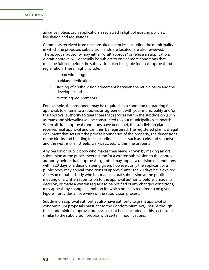advance notice. Each application is reviewed in light of existing policies, legislation and regulations.

Comments received from the consulted agencies (including the municipality in which the proposed subdivision lands are located) are also reviewed. The approval authority may either "draft approve" or refuse an application. A draft approval will generally be subject to one or more conditions that must be fulfilled before the subdivision plan is eligible for final approval and registration. These might include:

- a road widening;
- parkland dedication;
- signing of a subdivision agreement between the municipality and the developer; and
- • re-zoning requirements.

For example, the proponent may be required, as a condition to granting final approval, to enter into a subdivision agreement with your municipality and/or the approval authority to guarantee that services within the subdivision (such as roads and sidewalks) will be constructed to your municipality's standards. When all draft approval conditions have been met, the subdivision plan receives final approval and can then be registered. The registered plan is a legal document that sets out the precise boundaries of the property, the dimensions of the blocks and building lots (including facilities such as parks and schools) and the widths of all streets, walkways, etc., within the property.

Any person or public body who makes their views known by making an oral submission at the public meeting and/or a written submission to the approval authority before draft approval is granted may appeal a decision or conditions within 20 days of a decision being given. However, only the applicant or a public body may appeal conditions of approval after the 20 days have expired. A person or public body who has made an oral submission at the public meeting or a written submission to the approval authority before it made its decision, or made a written request to be notified of any changed conditions, may appeal any changed condition for which notice is required to be given. Figure 4 provides an overview of the subdivision process.

Subdivision approval authorities also have authority to grant approval of condominium proposals pursuant to the Condominium Act, 1998. Although the condominium approval process has not been included in this section, it is similar to the subdivision process with certain modifications.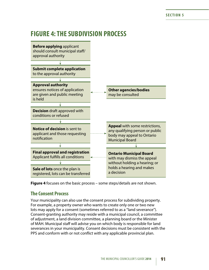# **FIGURE 4: THE SUBDIVISION PROCESS**



**Figure 4** focuses on the basic process – some steps/details are not shown.

### **The Consent Process**

Your municipality can also use the consent process for subdividing property. For example, a property owner who wants to create only one or two new lots may apply for a consent (sometimes referred to as a "land severance"). Consent-granting authority may reside with a municipal council, a committee of adjustment, a land division committee, a planning board or the Minister of MAH. Municipal staff will advise you on which body is responsible for land severances in your municipality. Consent decisions must be consistent with the PPS and conform with or not conflict with any applicable provincial plan.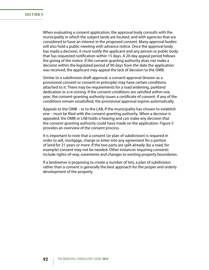When evaluating a consent application, the approval body consults with the municipality in which the subject lands are located, and with agencies that are considered to have an interest in the proposed consent. Many approval bodies will also hold a public meeting with advance notice. Once the approval body has made a decision, it must notify the applicant and any person or public body that has requested notification within 15 days. A 20-day appeal period follows the giving of the notice. If the consent-granting authority does not make a decision within the legislated period of 90 days from the date the application was received, the applicant may appeal the lack of decision to the OMB.

Similar to a subdivision draft approval, a consent approval (known as a provisional consent or consent-in-principle) may have certain conditions attached to it. There may be requirements for a road widening, parkland dedication or a re-zoning. If the consent conditions are satisfied within one year, the consent-granting authority issues a certificate of consent. If any of the conditions remain unsatisfied, the provisional approval expires automatically.

Appeals to the OMB – or to the LAB, if the municipality has chosen to establish one – must be filed with the consent-granting authority. When a decision is appealed, the OMB or LAB holds a hearing and can make any decision that the consent-granting authority could have made on the application. Figure 5 provides an overview of the consent process.

It is important to note that a consent (or plan of subdivision) is required in order to sell, mortgage, charge or enter into any agreement for a portion of land for 21 years or more. If the two parts are split already (by a road, for example) consent may not be needed. Other instances requiring consents include rights-of-way, easements and changes to existing property boundaries.

If a landowner is proposing to create a number of lots, a plan of subdivision rather than a consent is generally the best approach for the proper and orderly development of the property.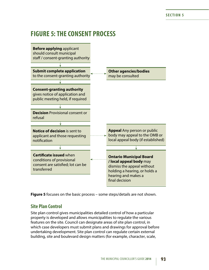# **FIGURE 5: THE CONSENT PROCESS**



**Figure 5** focuses on the basic process – some steps/details are not shown.

### **Site Plan Control**

Site plan control gives municipalities detailed control of how a particular property is developed and allows municipalities to regulate the various features on the site. Council can designate areas of site plan control, in which case developers must submit plans and drawings for approval before undertaking development. Site plan control can regulate certain external building, site and boulevard design matters (for example, character, scale,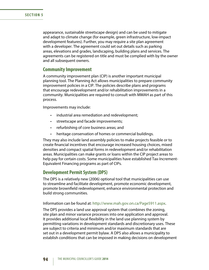appearance, sustainable streetscape design) and can be used to mitigate and adapt to climate change (for example, green infrastructure, low-impact development features). Further, you may require a site plan agreement with a developer. The agreement could set out details such as parking areas, elevations and grades, landscaping, building plans and services. The agreements can be registered on title and must be complied with by the owner and all subsequent owners.

#### **Community Improvement**

A community improvement plan (CIP) is another important municipal planning tool. The Planning Act allows municipalities to prepare community improvement policies in a CIP. The policies describe plans and programs that encourage redevelopment and/or rehabilitation improvements in a community. Municipalities are required to consult with MMAH as part of this process.

Improvements may include:

- • industrial area remediation and redevelopment;
- streetscape and facade improvements;
- • refurbishing of core business areas; and
- heritage conservation of homes or commercial buildings.

They may also include land assembly policies to make projects feasible or to create financial incentives that encourage increased housing choices, mixed densities and compact spatial forms in redevelopment and/or rehabilitation areas. Municipalities can make grants or loans within the CIP project areas to help pay for certain costs. Some municipalities have established Tax-Increment-Equivalent Financing programs as part of CIPs.

#### **Development Permit System (DPS)**

The DPS is a relatively new (2006) optional tool that municipalities can use to streamline and facilitate development, promote economic development, promote brownfield redevelopment, enhance environmental protection and build strong communities.

#### Information can be found at: [http://www.mah.gov.on.ca/Page5911.aspx.](http://www.mah.gov.on.ca/Page5911.aspx)

The DPS provides a land use approval system that combines the zoning, site plan and minor variance processes into one application and approval. It provides additional local flexibility in the land use planning system by permitting variations in development standards and discretionary uses. These are subject to criteria and minimum and/or maximum standards that are set out in a development permit bylaw. A DPS also allows a municipality to establish conditions that can be imposed in making decisions on development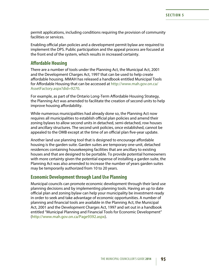permit applications, including conditions requiring the provision of community facilities or services.

Enabling official plan policies and a development permit bylaw are required to implement the DPS. Public participation and the appeal process are focused at the front end of the system, which results in increased certainty.

#### **Affordable Housing**

There are a number of tools under the Planning Act, the Municipal Act, 2001 and the Development Charges Act, 1997 that can be used to help create affordable housing. MMAH has released a handbook entitled Municipal Tools for Affordable Housing that can be accessed at [http://www.mah.gov.on.ca/](http://www.mah.gov.on.ca/AssetFactory.aspx%3Fdid%3D9270) [AssetFactory.aspx?did=9270](http://www.mah.gov.on.ca/AssetFactory.aspx%3Fdid%3D9270).

For example, as part of the Ontario Long-Term Affordable Housing Strategy, the Planning Act was amended to facilitate the creation of second units to help improve housing affordability.

While numerous municipalities had already done so, the Planning Act now requires all municipalities to establish official plan policies and amend their zoning bylaws to allow second units in detached, semi-detached, row houses and ancillary structures. The second unit policies, once established, cannot be appealed to the OMB except at the time of an official plan five-year update.

Another land use planning tool that is designed to encourage affordable housing is the garden suite. Garden suites are temporary one-unit, detached residences containing housekeeping facilities that are ancillary to existing houses and that are designed to be portable. To provide potential homeowners with more certainty given the potential expense of installing a garden suite, the Planning Act was also amended to increase the number of years garden suites may be temporarily authorized from 10 to 20 years.

### **Economic Development through Land Use Planning**

Municipal councils can promote economic development through their land use planning decisions and by implementing planning tools. Having an up to date official plan and zoning bylaw can help your municipality be investment-ready in order to seek and take advantage of economic opportunities. A number of planning and financial tools are available in the Planning Act, the Municipal Act, 2001 and the Development Charges Act, 1997 and set out in a handbook entitled "Municipal Planning and Financial Tools for Economic Development" [\(http://www.mah.gov.on.ca/Page9392.aspx\)](http://www.mah.gov.on.ca/Page9392.aspx).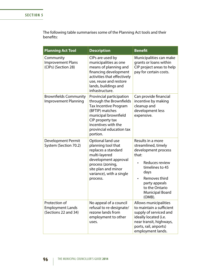The following table summarises some of the Planning Act tools and their benefits:

| <b>Planning Act Tool</b>                                         | <b>Description</b>                                                                                                                                                                                                | <b>Benefit</b>                                                                                                                                                                                                |
|------------------------------------------------------------------|-------------------------------------------------------------------------------------------------------------------------------------------------------------------------------------------------------------------|---------------------------------------------------------------------------------------------------------------------------------------------------------------------------------------------------------------|
| Community<br><b>Improvement Plans</b><br>(CIPs) (Section 28)     | CIPs are used by<br>municipalities as one<br>means of planning and<br>financing development<br>activities that effectively<br>use, reuse and restore<br>lands, buildings and<br>infrastructure.                   | Municipalities can make<br>grants or loans within<br>CIP project areas to help<br>pay for certain costs.                                                                                                      |
| <b>Brownfields Community</b><br><b>Improvement Planning</b>      | Provincial participation<br>through the Brownfields<br><b>Tax Incentive Program</b><br>(BFTIP) matches<br>municipal brownfield<br>CIP property tax<br>incentives with the<br>provincial education tax<br>portion. | Can provide financial<br>incentive by making<br>cleanup and<br>development less<br>expensive.                                                                                                                 |
| <b>Development Permit</b><br>System (Section 70.2)               | Optional land use<br>planning tool that<br>replaces a standard<br>multi-layered<br>development approval<br>process (zoning,<br>site plan and minor<br>variance), with a single<br>process.                        | Results in a more<br>streamlined, timely<br>development process<br>that:<br>Reduces review<br>timelines to 45<br>days<br>Removes third<br>party appeals<br>to the Ontario<br><b>Municipal Board</b><br>(OMB). |
| Protection of<br><b>Employment Lands</b><br>(Sections 22 and 34) | No appeal of a council<br>refusal to re-designate/<br>rezone lands from<br>employment to other<br>uses.                                                                                                           | Allows municipalities<br>to maintain a sufficient<br>supply of serviced and<br>ideally located (i.e.<br>near transit, highways,<br>ports, rail, airports)<br>employment lands.                                |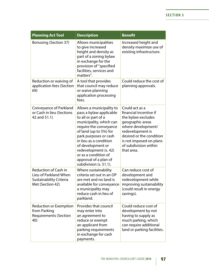| <b>Planning Act Tool</b>                                                                            | <b>Description</b>                                                                                                                                                                                                                                                                                                                    | <b>Benefit</b>                                                                                                                                                                                                             |
|-----------------------------------------------------------------------------------------------------|---------------------------------------------------------------------------------------------------------------------------------------------------------------------------------------------------------------------------------------------------------------------------------------------------------------------------------------|----------------------------------------------------------------------------------------------------------------------------------------------------------------------------------------------------------------------------|
| <b>Bonusing (Section 37)</b>                                                                        | Allows municipalities<br>to give increased<br>height and density as<br>part of a zoning bylaw<br>in exchange for the<br>provision of "specified<br>facilities, services and<br>matters".                                                                                                                                              | Increased height and<br>density maximize use of<br>existing infrastructure.                                                                                                                                                |
| Reduction or waiving of<br>application fees (Section<br>69)                                         | A tool that provides<br>that council may reduce<br>or waive planning<br>application processing<br>fees.                                                                                                                                                                                                                               | Could reduce the cost of<br>planning approvals.                                                                                                                                                                            |
| Conveyance of Parkland<br>or Cash in lieu (Sections<br>42 and 51.1)                                 | Allows a municipality to<br>pass a bylaw applicable<br>to all or part of a<br>municipality, which can<br>require the conveyance<br>of land (up to 5%) for<br>park purposes or cash<br>in lieu as a condition<br>of development or<br>redevelopment (s. 42)<br>or as a condition of<br>approval of a plan of<br>subdivision (s. 51.1). | Could act as a<br>financial incentive if<br>the bylaw excludes<br>geographic areas<br>where development/<br>redevelopment is<br>desired or the condition<br>is not imposed on plans<br>of subdivision within<br>that area. |
| <b>Reduction of Cash in</b><br>Lieu of Parkland When<br>Sustainability Criteria<br>Met (Section 42) | Where sustainability<br>criteria set out in an OP<br>are met and no land is<br>available for conveyance<br>a municipality may<br>reduce cash in lieu of<br>parkland.                                                                                                                                                                  | Can reduce cost of<br>development and<br>redevelopment while<br>improving sustainability<br>(could result in energy<br>savings).                                                                                           |
| <b>Reduction or Exemption</b><br>from Parking<br><b>Requirements (Section</b><br>40)                | Provides that council<br>may enter into<br>an agreement to<br>reduce or exempt<br>an applicant from<br>parking requirements<br>in exchange for cash<br>payments.                                                                                                                                                                      | Could reduce cost of<br>development by not<br>having to supply as<br>much parking, which<br>can require additional<br>land or parking facilities.                                                                          |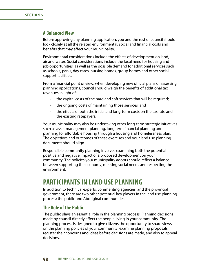### **A Balanced View**

Before approving any planning application, you and the rest of council should look closely at all the related environmental, social and financial costs and benefits that may affect your municipality.

Environmental considerations include the effects of development on land, air and water. Social considerations include the local need for housing and job opportunities, as well as the possible demand for additional services such as schools, parks, day cares, nursing homes, group homes and other social support facilities.

From a financial point of view, when developing new official plans or assessing planning applications, council should weigh the benefits of additional tax revenues in light of:

- the capital costs of the hard and soft services that will be required;
- the ongoing costs of maintaining those services; and
- the effects of both the initial and long-term costs on the tax rate and the existing ratepayers.

Your municipality may also be undertaking other long-term strategic initiatives such as asset management planning, long term financial planning and planning for affordable housing through a housing and homelessness plan. The objectives and outcomes of these exercises and your land use planning documents should align.

Responsible community planning involves examining both the potential positive and negative impact of a proposed development on your community. The policies your municipality adopts should reflect a balance between supporting the economy, meeting social needs and respecting the environment.

# **PARTICIPANTS IN LAND USE PLANNING**

In addition to technical experts, commenting agencies, and the provincial government, there are two other potential key players in the land use planning process: the public and Aboriginal communities.

#### **The Role of the Public**

The public plays an essential role in the planning process. Planning decisions made by council directly affect the people living in your community. The planning process is designed to give citizens the opportunity to share views on the planning policies of your community, examine planning proposals, register their concerns and ideas before decisions are made, and also to appeal decisions.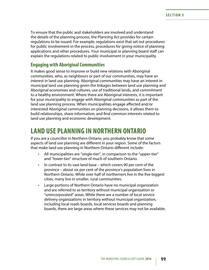To ensure that the public and stakeholders are involved and understand the details of the planning process, the Planning Act provides for certain regulations to be issued. For example, regulations exist that set out procedures for public involvement in the process, procedures for giving notice of planning applications and other procedures. Your municipal or planning board staff can explain the regulations related to public involvement in your municipality.

### **Engaging with Aboriginal Communities**

It makes good sense to improve or build new relations with Aboriginal communities, who, as neighbours or part of our communities, may have an interest in land use planning. Aboriginal communities may have an interest in municipal land use planning given the linkages between land use planning and Aboriginal economies and cultures, use of traditional lands, and commitment to a healthy environment. Where there are Aboriginal interests, it is important for your municipality to engage with Aboriginal communities as part of the land use planning process. When municipalities engage affected and/or interested Aboriginal communities on planning decisions, it allows them to build relationships, share information, and find common interests related to land use planning and economic development.

# **LAND USE PLANNING IN NORTHERN ONTARIO**

If you are a councillor in Northern Ontario, you probably know that some aspects of land use planning are different in your region. Some of the factors that make land use planning in Northern Ontario different include:

- All municipalities are "single-tier", in comparison to the "upper-tier" and "lower-tier" structure of much of southern Ontario.
- In contrast to its vast land base which covers 90 per cent of the province – about six per cent of the province's population lives in Northern Ontario. While over half of northerners live in the five biggest cities, many live in smaller, rural communities.
- Large portions of Northern Ontario have no municipal organization and are referred to as territory without municipal organization or "unincorporated" areas. While there are a number of local service delivery organizations in territory without municipal organization, including local roads boards, local services boards and planning boards, there are large areas where these services may not be available.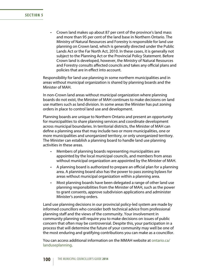Crown land makes up about 87 per cent of the province's land mass and more than 95 per cent of the land base in Northern Ontario. The Ministry of Natural Resources and Forestry is responsible for land use planning on Crown land, which is generally directed under the Public Lands Act or the Far North Act, 2010. In these cases, it is generally not subject to the Planning Act or the Provincial Policy Statement. Before Crown land is developed, however, the Ministry of Natural Resources and Forestry consults affected councils and takes any official plans and policies that are in effect into account.

Responsibility for land use planning in some northern municipalities and in areas without municipal organization is shared by planning boards and the Minister of MAH.

In non-Crown land areas without municipal organization where planning boards do not exist, the Minister of MAH continues to make decisions on land use matters such as land division. In some areas the Minister has put zoning orders in place to control land use and development.

Planning boards are unique to Northern Ontario and present an opportunity for municipalities to share planning services and coordinate development across municipal boundaries. In territorial districts, the Minister of MAH can define a planning area that may include two or more municipalities, one or more municipalities and unorganized territory, or only unorganized territory. The Minister can establish a planning board to handle land use planning activities in these areas.

- Members of planning boards representing municipalities are appointed by the local municipal councils, and members from areas without municipal organization are appointed by the Minister of MAH.
- • A planning board is authorized to prepare an official plan for a planning area. A planning board also has the power to pass zoning bylaws for areas without municipal organization within a planning area.
- Most planning boards have been delegated a range of other land use planning responsibilities from the Minister of MAH, such as the power to grant consents, approve subdivision applications and administer Minister's zoning orders.

Land use planning decisions in our provincial policy-led system are made by informed councillors who consider both technical advice from professional planning staff and the views of the community. Your involvement in community planning will require you to make decisions on issues of public concern that often may be controversial. Despite this, your participation in a process that will determine the future of your community may well be one of the most enduring and gratifying contributions you can make as a councillor.

You can access additional information on the MMAH website at [ontario.ca/](http://www.mah.gov.on.ca/Page186.aspx) [landuseplanning](http://www.mah.gov.on.ca/Page186.aspx).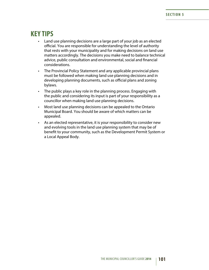# **KEY TIPS**

- Land use planning decisions are a large part of your job as an elected official. You are responsible for understanding the level of authority that rests with your municipality and for making decisions on land use matters accordingly. The decisions you make need to balance technical advice, public consultation and environmental, social and financial considerations.
- The Provincial Policy Statement and any applicable provincial plans must be followed when making land use planning decisions and in developing planning documents, such as official plans and zoning bylaws.
- The public plays a key role in the planning process. Engaging with the public and considering its input is part of your responsibility as a councillor when making land use planning decisions.
- Most land use planning decisions can be appealed to the Ontario Municipal Board. You should be aware of which matters can be appealed.
- As an elected representative, it is your responsibility to consider new and evolving tools in the land use planning system that may be of benefit to your community, such as the Development Permit System or a Local Appeal Body.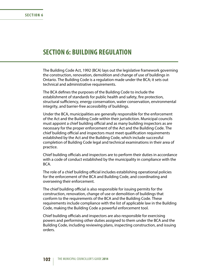### **SECTION 6: BUILDING REGULATION**

The Building Code Act, 1992 (BCA) lays out the legislative framework governing the construction, renovation, demolition and change of use of buildings in Ontario. The Building Code is a regulation made under the BCA; it sets out technical and administrative requirements.

The BCA defines the purposes of the Building Code to include the establishment of standards for public health and safety, fire protection, structural sufficiency, energy conservation, water conservation, environmental integrity, and barrier-free accessibility of buildings.

Under the BCA, municipalities are generally responsible for the enforcement of the Act and the Building Code within their jurisdiction. Municipal councils must appoint a chief building official and as many building inspectors as are necessary for the proper enforcement of the Act and the Building Code. The chief building official and inspectors must meet qualification requirements established by the Act and the Building Code, which include successful completion of Building Code legal and technical examinations in their area of practice.

Chief building officials and inspectors are to perform their duties in accordance with a code of conduct established by the municipality in compliance with the BCA.

The role of a chief building official includes establishing operational policies for the enforcement of the BCA and Building Code, and coordinating and overseeing their enforcement.

The chief building official is also responsible for issuing permits for the construction, renovation, change of use or demolition of buildings that conform to the requirements of the BCA and the Building Code. These requirements include compliance with the list of applicable law in the Building Code, making the Building Code a powerful enforcement tool.

Chief building officials and inspectors are also responsible for exercising powers and performing other duties assigned to them under the BCA and the Building Code, including reviewing plans, inspecting construction, and issuing orders.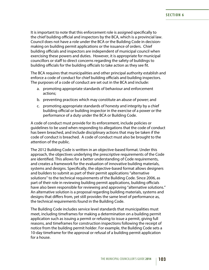It is important to note that this enforcement role is assigned specifically to the chief building official and inspectors by the BCA, which is a provincial law. Council does not have a role under the BCA or the Building Code in decisionmaking on building permit applications or the issuance of orders. Chief building officials and inspectors are independent of municipal council when exercising these powers and duties. However, it is appropriate for municipal councillors or staff to direct concerns regarding the safety of buildings to building officials for the building officials to take action as they see fit.

The BCA requires that municipalities and other principal authority establish and enforce a code of conduct for chief building officials and building inspectors. The purposes of a code of conduct are set out in the BCA and include:

- a. promoting appropriate standards of behaviour and enforcement actions;
- b. preventing practices which may constitute an abuse of power; and
- c. promoting appropriate standards of honesty and integrity by a chief building official or building inspector in the exercise of a power or the performance of a duty under the BCA or Building Code.

A code of conduct must provide for its enforcement, include policies or guidelines to be used when responding to allegations that the code of conduct has been breached, and include disciplinary actions that may be taken if the code of conduct is breached. A code of conduct must also be brought to the attention of the public.

The 2012 Building Code is written in an objective-based format. Under this approach, the objectives underlying the prescriptive requirements of the Code are identified. This allows for a better understanding of Code requirements, and creates a framework for the evaluation of innovative building materials, systems and designs. Specifically, the objective-based format allows designers and builders to submit as part of their permit applications "alternative solutions" to the technical requirements of the Building Code. Since 2006, as part of their role in reviewing building permit applications, building officials have also been responsible for reviewing and approving "alternative solutions." An alternative solution is a proposal regarding building materials, systems and designs that differs from, yet still provides the same level of performance as, the technical requirements found in the Building Code.

The Building Code includes service level standards that municipalities must meet, including timeframes for making a determination on a building permit application such as issuing a permit or refusing to issue a permit, giving full reasons, and timeframes for construction inspections following the receipt of notice from the building permit holder. For example, the Building Code sets a 10-day timeframe for the approval or refusal of a building permit application for a house.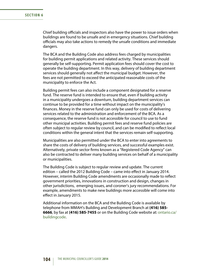Chief building officials and inspectors also have the power to issue orders when buildings are found to be unsafe and in emergency situations. Chief building officials may also take actions to remedy the unsafe conditions and immediate dangers.

The BCA and the Building Code also address fees charged by municipalities for building permit applications and related activity. These services should generally be self-supporting. Permit application fees should cover the cost to operate the building department. In this way, delivery of building department services should generally not affect the municipal budget. However, the fees are not permitted to exceed the anticipated reasonable costs of the municipality to enforce the Act.

Building permit fees can also include a component designated for a reserve fund. The reserve fund is intended to ensure that, even if building activity in a municipality undergoes a downturn, building department services can continue to be provided for a time without impact on the municipality's finances. Money in the reserve fund can only be used for costs of delivering services related to the administration and enforcement of the BCA. As a consequence, the reserve fund is not accessible for council to use to fund other municipal activities. Building permit fees and reserve fund policies are often subject to regular review by council, and can be modified to reflect local conditions within the general intent that the services remain self-supporting.

Municipalities are also permitted under the BCA to enter into agreements to share the costs of delivery of building services, and successful examples exist. Alternatively, private sector firms known as a "Registered Code Agency" can also be contracted to deliver many building services on behalf of a municipality or municipalities.

The Building Code is subject to regular review and update. The current edition – called the 2012 Building Code – came into effect in January 2014. However, interim Building Code amendments are occasionally made to reflect government priorities, innovations in construction and design, changes in other jurisdictions, emerging issues, and coroner's jury recommendations. For example, amendments to make new buildings more accessible will come into effect in January 2015.

Additional information on the BCA and the Building Code is available by telephone from MMAH's Building and Development Branch at **(416) 585- 6666**, by fax at **(416) 585-7455** or on the Building Code website at: [ontario.ca/](http://www.mah.gov.on.ca/Page7393.aspx) [buildingcode.](http://www.mah.gov.on.ca/Page7393.aspx)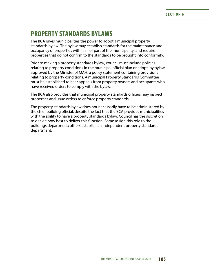### **PROPERTY STANDARDS BYLAWS**

The BCA gives municipalities the power to adopt a municipal property standards bylaw. The bylaw may establish standards for the maintenance and occupancy of properties within all or part of the municipality, and require properties that do not confirm to the standards to be brought into conformity.

Prior to making a property standards bylaw, council must include policies relating to property conditions in the municipal official plan or adopt, by bylaw approved by the Minister of MAH, a policy statement containing provisions relating to property conditions. A municipal Property Standards Committee must be established to hear appeals from property owners and occupants who have received orders to comply with the bylaw.

The BCA also provides that municipal property standards officers may inspect properties and issue orders to enforce property standards.

The property standards bylaw does not necessarily have to be administered by the chief building official, despite the fact that the BCA provides municipalities with the ability to have a property standards bylaw. Council has the discretion to decide how best to deliver this function. Some assign this role to the buildings department; others establish an independent property standards department.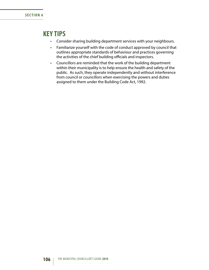## **KEY TIPS**

- Consider sharing building department services with your neighbours.
- Familiarize yourself with the code of conduct approved by council that outlines appropriate standards of behaviour and practices governing the activities of the chief building officials and inspectors.
- • Councillors are reminded that the work of the building department within their municipality is to help ensure the health and safety of the public. As such, they operate independently and without interference from council or councillors when exercising the powers and duties assigned to them under the Building Code Act, 1992.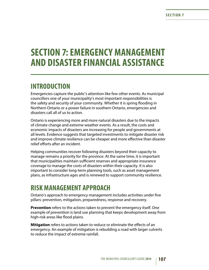# **SECTION 7: EMERGENCY MANAGEMENT AND DISASTER FINANCIAL ASSISTANCE**

### **INTRODUCTION**

Emergencies capture the public's attention like few other events. As municipal councillors one of your municipality's most important responsibilities is the safety and security of your community. Whether it is spring flooding in Northern Ontario or a power failure in southern Ontario, emergencies and disasters call all of us to action.

Ontario is experiencing more and more natural disasters due to the impacts of climate change and extreme weather events. As a result, the costs and economic impacts of disasters are increasing for people and governments at all levels. Evidence suggests that targeted investments to mitigate disaster risk and improve climate resilience can be cheaper and more effective than disaster relief efforts after an incident.

Helping communities recover following disasters beyond their capacity to manage remains a priority for the province. At the same time, it is important that municipalities maintain sufficient reserves and appropriate insurance coverage to manage the costs of disasters within their capacity. It is also important to consider long-term planning tools, such as asset management plans, as infrastructure ages and is renewed to support community resilience.

# **RISK MANAGEMENT APPROACH**

Ontario's approach to emergency management includes activities under five pillars: prevention, mitigation, preparedness, response and recovery.

**Prevention** refers to the actions taken to prevent the emergency itself. One example of prevention is land use planning that keeps development away from high-risk areas like flood plains.

**Mitigation** refers to actions taken to reduce or eliminate the effects of an emergency. An example of mitigation is rebuilding a road with larger culverts to reduce the impact of extreme rainfall.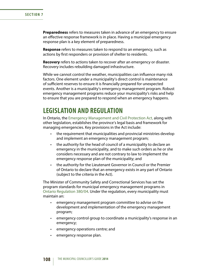**Preparedness** refers to measures taken in advance of an emergency to ensure an effective response framework is in place. Having a municipal emergency response plan is a key element of preparedness.

**Response** refers to measures taken to respond to an emergency, such as actions by first responders or provision of shelter to residents.

**Recovery** refers to actions taken to recover after an emergency or disaster. Recovery includes rebuilding damaged infrastructure.

While we cannot control the weather, municipalities can influence many risk factors. One element under a municipality's direct control is maintenance of sufficient reserves to ensure it is financially prepared for unexpected events. Another is a municipality's emergency management program. Robust emergency management programs reduce your municipality's risks and help to ensure that you are prepared to respond when an emergency happens.

### **LEGISLATION AND REGULATION**

In Ontario, the [Emergency Management and Civil Protection Act,](http://www.e-laws.gov.on.ca/html/statutes/english/elaws_statutes_90e09_e.htm) along with other legislation, establishes the province's legal basis and framework for managing emergencies. Key provisions in the Act include:

- the requirement that municipalities and provincial ministries develop and implement an emergency management program;
- the authority for the head of council of a municipality to declare an emergency in the municipality, and to make such orders as he or she considers necessary and are not contrary to law to implement the emergency response plan of the municipality; and
- the authority for the Lieutenant Governor in Council or the Premier of Ontario to declare that an emergency exists in any part of Ontario (subject to the criteria in the Act).

The Minister of Community Safety and Correctional Services has set the program standards for municipal emergency management programs in [Ontario Regulation 380/04](http://www.e-laws.gov.on.ca/html/regs/english/elaws_regs_040380_e.htm). Under the regulation, every municipality must maintain an:

- emergency management program committee to advise on the development and implementation of the emergency management program;
- emergency control group to coordinate a municipality's response in an emergency;
- • emergency operations centre; and
- emergency response plan.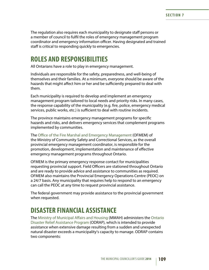The regulation also requires each municipality to designate staff persons or a member of council to fulfil the roles of emergency management program coordinator and emergency information officer. Having designated and trained staff is critical to responding quickly to emergencies.

### **ROLES AND RESPONSIBILITIES**

All Ontarians have a role to play in emergency management.

Individuals are responsible for the safety, preparedness, and well-being of themselves and their families. At a minimum, everyone should be aware of the hazards that might affect him or her and be sufficiently prepared to deal with them.

Each municipality is required to develop and implement an emergency management program tailored to local needs and priority risks. In many cases, the response capability of the municipality (e.g. fire, police, emergency medical services, public works, etc.) is sufficient to deal with routine incidents.

The province maintains emergency management programs for specific hazards and risks, and delivers emergency services that complement programs implemented by communities.

The [Office of the Fire Marshal and Emergency Management](http://www.emergencymanagementontario.ca/english/home.html) (OFMEM) of the Ministry of Community Safety and Correctional Services, as the overall provincial emergency management coordinator, is responsible for the promotion, development, implementation and maintenance of effective emergency management programs throughout Ontario.

OFMEM is the primary emergency response contact for municipalities requesting provincial support. Field Officers are stationed throughout Ontario and are ready to provide advice and assistance to communities as required. OFMEM also maintains the Provincial Emergency Operations Centre (PEOC) on a 24/7 basis. Any municipality that requires help to respond to an emergency can call the PEOC at any time to request provincial assistance.

The federal government may provide assistance to the provincial government when requested.

## **DISASTER FINANCIAL ASSISTANCE**

The [Ministry of Municipal Affairs and Housing](http://www.mah.gov.on.ca/Page11.aspx) (MMAH) administers the [Ontario](http://www.mah.gov.on.ca/Page237.aspx)  [Disaster Relief Assistance Program](http://www.mah.gov.on.ca/Page237.aspx) (ODRAP), which is intended to provide assistance when extensive damage resulting from a sudden and unexpected natural disaster exceeds a municipality's capacity to manage. ODRAP contains two components: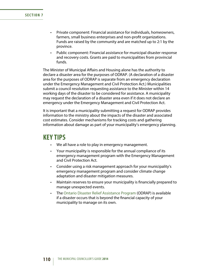- Private component: Financial assistance for individuals, homeowners, farmers, small business enterprises and non-profit organizations. Funds are raised by the community and are matched up to 2:1 by the province.
- Public component: Financial assistance for municipal disaster response and recovery costs. Grants are paid to municipalities from provincial funds.

The Minister of Municipal Affairs and Housing alone has the authority to declare a disaster area for the purposes of ODRAP. (A declaration of a disaster area for the purposes of ODRAP is separate from an emergency declaration under the Emergency Management and Civil Protection Act.) Municipalities submit a council resolution requesting assistance to the Minister within 14 working days of the disaster to be considered for assistance. A municipality may request the declaration of a disaster area even if it does not declare an emergency under the Emergency Management and Civil Protection Act.

It is important that a municipality submitting a request for ODRAP provides information to the ministry about the impacts of the disaster and associated cost estimates. Consider mechanisms for tracking costs and gathering information about damage as part of your municipality's emergency planning.

### **KEY TIPS**

- We all have a role to play in emergency management.
- Your municipality is responsible for the annual compliance of its emergency management program with the Emergency Management and Civil Protection Act.
- • Consider using a risk management approach for your municipality's emergency management program and consider climate change adaptation and disaster mitigation measures.
- Maintain reserves to ensure your municipality is financially prepared to manage unexpected events.
- The [Ontario Disaster Relief Assistance Program](http://www.mah.gov.on.ca/Page237.aspx) (ODRAP) is available if a disaster occurs that is beyond the financial capacity of your municipality to manage on its own.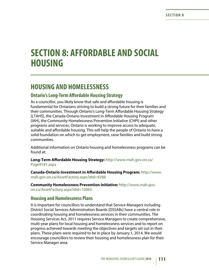# **SECTION 8: AFFORDABLE AND SOCIAL HOUSING**

### **HOUSING AND HOMELESSNESS**

### **Ontario's Long-Term Affordable Housing Strategy**

As a councillor, you likely know that safe and affordable housing is fundamental for Ontarians striving to build a strong future for their families and their communities. Through Ontario's Long-Term Affordable Housing Strategy (LTAHS), the Canada-Ontario Investment in Affordable Housing Program (IAH), the Community Homelessness Prevention Initiative (CHPI) and other programs and services, Ontario is working to improve access to adequate, suitable and affordable housing. This will help the people of Ontario to have a solid foundation on which to get employment, raise families and build strong communities.

Additional information on Ontario housing and homelessness programs can be found at:

**Long-Term Affordable Housing Strategy:** [http://www.mah.gov.on.ca/](http://www.mah.gov.on.ca/Page9181.aspx) [Page9181.aspx](http://www.mah.gov.on.ca/Page9181.aspx)

**Canada-Ontario Investment in Affordable Housing Program:** [http://www.](http://www.mah.gov.on.ca/AssetFactory.aspx?did=9288) [mah.gov.on.ca/AssetFactory.aspx?did=9288](http://www.mah.gov.on.ca/AssetFactory.aspx?did=9288)

**Community Homelessness Prevention Initiative:** [http://www.mah.gov.](http://www.mah.gov.on.ca/AssetFactory.aspx?did=10065) [on.ca/AssetFactory.aspx?did=10065](http://www.mah.gov.on.ca/AssetFactory.aspx?did=10065)

### **Housing and Homelessness Plans**

It is important for councillors to understand that Service Managers including District Social Services Administration Boards (DSSABs) have a central role in coordinating housing and homelessness services in their communities. The Housing Services Act, 2011 requires Service Managers to create comprehensive, multi-year plans for local housing and homelessness services and to report on progress achieved towards meeting the objectives and targets set out in their plans. These plans were required to be in place by January 1, 2014. We would encourage councillors to review their housing and homelessness plan for their Service Manager area.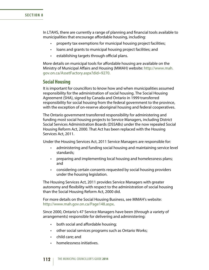In LTAHS, there are currently a range of planning and financial tools available to municipalities that encourage affordable housing, including:

- property tax exemptions for municipal housing project facilities;
- loans and grants to municipal housing project facilities; and
- • establishing targets through official plans.

More details on municipal tools for affordable housing are available on the Ministry of Municipal Affairs and Housing (MMAH) website: [http://www.mah.](http://www.mah.gov.on.ca/AssetFactory.aspx?did=9270) [gov.on.ca/AssetFactory.aspx?did=9270.](http://www.mah.gov.on.ca/AssetFactory.aspx?did=9270)

### **Social Housing**

It is important for councillors to know how and when municipalities assumed responsibility for the administration of social housing. The Social Housing Agreement (SHA), signed by Canada and Ontario in 1999 transferred responsibility for social housing from the federal government to the province, with the exception of on-reserve aboriginal housing and federal cooperatives.

The Ontario government transferred responsibility for administering and funding most social housing projects to Service Managers, including District Social Services Administration Boards (DSSABs) under the now repealed Social Housing Reform Act, 2000. That Act has been replaced with the Housing Services Act, 2011.

Under the Housing Services Act, 2011 Service Managers are responsible for:

- administering and funding social housing and maintaining service level standards;
- preparing and implementing local housing and homelessness plans; and
- considering certain consents requested by social housing providers under the housing legislation.

The Housing Services Act, 2011 provides Service Managers with greater autonomy and flexibility with respect to the administration of social housing than the Social Housing Reform Act, 2000 did.

For more details on the Social Housing Business, see MMAH's website: <http://www.mah.gov.on.ca/Page148.aspx>.

Since 2000, Ontario's 47 Service Managers have been (through a variety of arrangements) responsible for delivering and administering:

- both social and affordable housing;
- other social services programs such as Ontario Works;
- • child care; and
- • homelessness initiatives.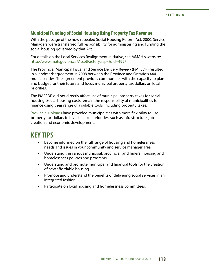### **Municipal Funding of Social Housing Using Property Tax Revenue**

With the passage of the now repealed Social Housing Reform Act, 2000, Service Managers were transferred full responsibility for administering and funding the social housing governed by that Act.

For details on the Local Services Realignment initiative, see MMAH's website: [http://www.mah.gov.on.ca/AssetFactory.aspx?did=4997.](http://www.mah.gov.on.ca/AssetFactory.aspx?did=4997)

The Provincial Municipal Fiscal and Service Delivery Review (PMFSDR) resulted in a landmark agreement in 2008 between the Province and Ontario's 444 municipalities. The agreement provides communities with the capacity to plan and budget for their future and focus municipal property tax dollars on local priorities.

The PMFSDR did not directly affect use of municipal property taxes for social housing. Social housing costs remain the responsibility of municipalities to finance using their range of available tools, including property taxes.

[Provincial uploads](http://www.mah.gov.on.ca/Page9204.aspx) have provided municipalities with more flexibility to use property tax dollars to invest in local priorities, such as infrastructure, job creation and economic development.

### **KEY TIPS**

- • Become informed on the full range of housing and homelessness needs and issues in your community and service manager area.
- Understand the various municipal, provincial, and federal housing and homelessness policies and programs.
- Understand and promote municipal and financial tools for the creation of new affordable housing.
- Promote and understand the benefits of delivering social services in an integrated fashion.
- Participate on local housing and homelessness committees.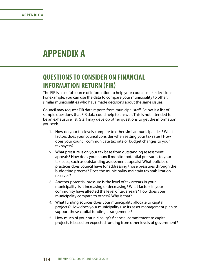# **APPENDIX A**

## **QUESTIONS TO CONSIDER ON FINANCIAL INFORMATION RETURN (FIR)**

The FIR is a useful source of information to help your council make decisions. For example, you can use the data to compare your municipality to other, similar municipalities who have made decisions about the same issues.

Council may request FIR data reports from municipal staff. Below is a list of sample questions that FIR data could help to answer. This is not intended to be an exhaustive list. Staff may develop other questions to get the information you seek.

- 1. How do your tax levels compare to other similar municipalities? What factors does your council consider when setting your tax rates? How does your council communicate tax rate or budget changes to your taxpayers?
- 2. What pressure is on your tax base from outstanding assessment appeals? How does your council monitor potential pressures to your tax base, such as outstanding assessment appeals? What policies or practices does council have for addressing those pressures through the budgeting process? Does the municipality maintain tax stabilization reserves?
- 3. Another potential pressure is the level of tax arrears in your municipality. Is it increasing or decreasing? What factors in your community have affected the level of tax arrears? How does your municipality compare to others? Why is that?
- 4. What funding sources does your municipality allocate to capital projects? How does your municipality use its asset management plan to support these capital funding arrangements?
- 5. How much of your municipality's financial commitment to capital projects is based on expected funding from other levels of government?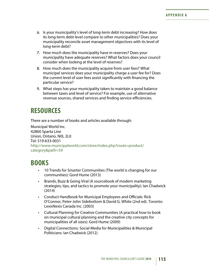- 6. Is your municipality's level of long-term debt increasing? How does its long-term debt level compare to other municipalities? Does your municipality reconcile asset management objectives with its level of long-term debt?
- 7. How much does the municipality have in reserves? Does your municipality have adequate reserves? What factors does your council consider when looking at the level of reserves?
- 8. How much does the municipality acquire from user fees? What municipal services does your municipality charge a user fee for? Does the current level of user fees assist significantly with financing the particular service?
- 9. What steps has your municipality taken to maintain a good balance between taxes and level of service? For example, use of alternative revenue sources, shared services and finding service efficiencies.

## **RESOURCES**

There are a number of books and articles available through:

Municipal World Inc. 42860 Sparta Line Union, Ontario, N0L 2L0 Tel: 519-633-0031 [http://www.municipalworld.com/store/index.php?route=product/](http://www.municipalworld.com/store/index.php?route=product/category&path=59) [category&path=59](http://www.municipalworld.com/store/index.php?route=product/category&path=59)

# **BOOKS**

- 10 Trends for Smarter Communities (The world is changing for our communities): Gord Hume (2013)
- Brands, Buzz & Going Viral (A sourcebook of modern marketing strategies, tips, and tactics to promote your municipality): Ian Chadwick (2014)
- • Conduct Handbook for Municipal Employees and Officials: Rick O'Connor, Peter-John Sidebottom & David G. White (2nd ed). Toronto: LexisNexis Canada Inc. (2003)
- Cultural Planning for Creative Communities (A practical how to book on municipal cultural planning and the creative city concepts for municipalities of all sizes): Gord Hume (2009)
- Digital Connections: Social Media for Municipalities & Municipal Politicians: Ian Chadwick (2012)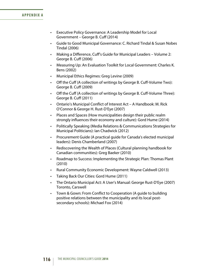#### **APPENDIX A**

- • Executive Policy Governance: A Leadership Model for Local Government – George B. Cuff (2014)
- Guide to Good Municipal Governance: C. Richard Tindal & Susan Nobes Tindal (2006)
- Making a Difference, Cuff's Guide for Municipal Leaders Volume 2: George B. Cuff (2006)
- Measuring Up: An Evaluation Toolkit for Local Government: Charles K. Bens (2002)
- Municipal Ethics Regimes: Greg Levine (2009)
- Off the Cuff (A collection of writings by George B. Cuff-Volume Two): George B. Cuff (2009)
- Off the Cuff (A collection of writings by George B. Cuff-Volume Three): George B. Cuff (2011)
- Ontario's Municipal Conflict of Interest Act A Handbook: M. Rick O'Connor & George H. Rust-D'Eye (2007)
- Places and Spaces (How municipalities design their public realm strongly influences their economy and culture): Gord Hume (2014)
- • Politically Speaking (Media Relations & Communications Strategies for Municipal Politicians): Ian Chadwick (2012)
- Procurement Guide (A practical quide for Canada's elected municipal leaders): Denis Chamberland (2007)
- Rediscovering the Wealth of Places (Cultural planning handbook for Canadian communities): Greg Baeker (2010)
- Roadmap to Success: Implementing the Strategic Plan: Thomas Plant (2010)
- Rural Community Economic Development: Wayne Caldwell (2013)
- Taking Back Our Cities: Gord Hume (2011)
- The Ontario Municipal Act: A User's Manual: George Rust-D'Eye (2007) Toronto, Carswell
- Town & Gown: From Conflict to Cooperation (A guide to building positive relations between the municipality and its local postsecondary schools): Michael Fox (2014)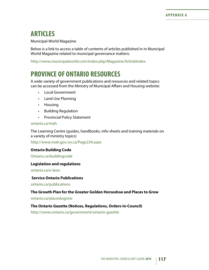### **ARTICLES**

Municipal World Magazine

Below is a link to access a table of contents of articles published in in Municipal World Magazine related to municipal governance matters:

[http://www.municipalworld.com/index.php/Magazine/ArticleIndex.](http://www.municipalworld.com/magazine/article-index/)

# **PROVINCE OF ONTARIO RESOURCES**

A wide variety of government publications and resources and related topics can be accessed from the Ministry of Municipal Affairs and Housing website:

- • Local Government
- • Land Use Planning
- • Housing
- • Building Regulation
- • Provincial Policy Statement

#### [ontario.ca/mah](www.mah.gov.on.ca)

The Learning Centre (guides, handbooks, info-sheets and training materials on a variety of ministry topics)

<http://www.mah.gov.on.ca/Page234.aspx>

#### **Ontario Building Code**

[Ontario.ca/buildingcode](http://www.mah.gov.on.ca/Page7393.aspx)

#### **Legislation and regulations**

[ontario.ca/e-laws](http://www.e-laws.gov.on.ca/)

#### **Service Ontario Publications**

[ontario.ca/publications](https://www.publications.serviceontario.ca/pubont/servlet/ecom/)

#### **The Growth Plan for the Greater Golden Horseshoe and Places to Grow**

[ontario.ca/placestogrow](http://www.placestogrow.ca/)

#### **The Ontario Gazette (Notices, Regulations, Orders-in-Council)**

[http://www.ontario.ca/government/ontario-gazette](http://www.ontario.ca/government/ontario-gazette%20)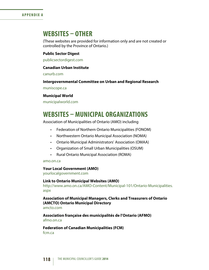#### **APPENDIX A**

### **WEBSITES – OTHER**

(These websites are provided for information only and are not created or controlled by the Province of Ontario.)

#### **Public Sector Digest**

[publicsectordigest.com](https://www.publicsectordigest.com/)

#### **Canadian Urban Institute**

[canurb.com](http://www.canurb.org/)

#### **Intergovernmental Committee on Urban and Regional Research**

[muniscope.ca](https://www.muniscope.ca/splash/)

#### **Municipal World**

[municipalworld.com](www.municipalworld.com)

### **WEBSITES – MUNICIPAL ORGANIZATIONS**

Association of Municipalities of Ontario (AMO) including

- • Federation of Northern Ontario Municipalities (FONOM)
- Northwestern Ontario Municipal Association (NOMA)
- • Ontario Municipal Administrators' Association (OMAA)
- • Organization of Small Urban Municipalities (OSUM)
- • Rural Ontario Municipal Association (ROMA)

#### [amo.on.ca](http://www.amo.on.ca/)

#### **Your Local Government (AMO)**

[yourlocalgovernment.com](http://www.amo.on.ca/About/Municipal-101.aspx)

#### **Link to Ontario Municipal Websites (AMO)**

[http://www.amo.on.ca/AMO-Content/Municipal-101/Ontario-Municipalities.](http://www.amo.on.ca/AMO-Content/Municipal-101/Ontario-Municipalities.aspx) [aspx](http://www.amo.on.ca/AMO-Content/Municipal-101/Ontario-Municipalities.aspx)

#### **Association of Municipal Managers, Clerks and Treasurers of Ontario (AMCTO) Ontario Municipal Directory**

[amcto.com](http://www.amcto.com/imis15/content/) 

**Association française des municipalités de l'Ontario (AFMO)** [afmo.on.ca](http://www.afmo.on.ca/)

**Federation of Canadian Municipalities (FCM)** [fcm.ca](http://www.fcm.ca/)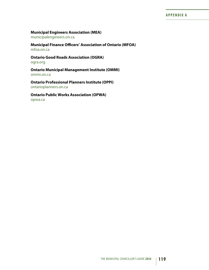#### **Municipal Engineers Association (MEA)**

[municipalengineers.on.ca](http://www.municipalengineers.on.ca/)

**Municipal Finance Officers' Association of Ontario (MFOA)** [mfoa.on.ca](www.mfoa.on.ca)

**Ontario Good Roads Association (OGRA)** [ogra.org](http://ogra.org/) 

**Ontario Municipal Management Institute (OMMI)** [ommi.on.ca](http://www.ommi.on.ca/)

**Ontario Professional Planners Institute (OPPI)** [ontarioplanners.on.ca](http://ontarioplanners.ca/)

**Ontario Public Works Association (OPWA)**

[opwa.ca](https://opwa.ca/)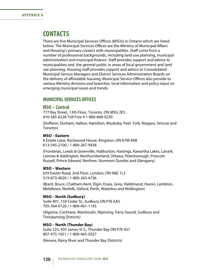### **CONTACTS**

There are five Municipal Services Offices (MSOs) in Ontario which are listed below. The Municipal Services Offices are the Ministry of Municipal Affairs and Housing's primary contact with municipalities. Staff come from a number of professional backgrounds, including land use planning, municipal administration and municipal finance. Staff provides support and advice to municipalities and, the general public in areas of local government and land use planning. Housing staff provides support and advice to Consolidated Municipal Service Managers and District Services Administration Boards on the delivery of affordable housing. Municipal Service Offices also provide to various Ministry divisions and branches, local information and policy input on emerging municipal issues and trends.

### **MUNICIPAL SERVICES OFFICES**

#### **MSO – Central**

777 Bay Street, 13th Floor, Toronto, ON M5G 2E5 416-585-6226 Toll Free # 1-800-668-0230

(Dufferin, Durham, Halton, Hamilton, Muskoka, Peel, York, Niagara, Simcoe and Toronto)

#### **MSO – Eastern**

8 Estate Lane, Rockwood House, Kingston, ON K7M 9A8 613-545-2100 / 1-800-267-9438

(Frontenac, Leeds & Greenville, Haliburton, Hastings, Kawartha Lakes, Lanark, Lennox & Addington, Northumberland, Ottawa, Peterborough, Prescott-Russell, Prince Edward, Renfrew, Stormont Dundas and Glengarry)

#### **MSO – Western**

659 Exeter Road, 2nd Floor, London, ON N6E 1L3 519-873-4020 / 1-800-265-4736

(Brant, Bruce, Chatham-Kent, Elgin, Essex, Grey, Haldimand, Huron, Lambton, Middlesex, Norfolk, Oxford, Perth, Waterloo and Wellington)

#### **MSO – North (Sudbury)**

Suite 401, 159 Cedar St., Sudbury ON P3E 6A5 705-564-0120 / 1-800-461-1193

(Algoma, Cochrane, Manitoulin, Nipissing, Parry Sound, Sudbury and Timiskaming Districts)

#### **MSO – North (Thunder Bay)**

Suite 223, 435 James St S., Thunder Bay ON P7E 6S7 807-475-1651 / 1-800-465-5027

(Kenora, Rainy River and Thunder Bay Districts)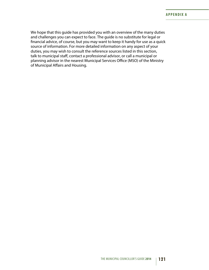We hope that this guide has provided you with an overview of the many duties and challenges you can expect to face. The guide is no substitute for legal or financial advice, of course, but you may want to keep it handy for use as a quick source of information. For more detailed information on any aspect of your duties, you may wish to consult the reference sources listed in this section, talk to municipal staff, contact a professional advisor, or call a municipal or planning advisor in the nearest Municipal Services Office (MSO) of the Ministry of Municipal Affairs and Housing.